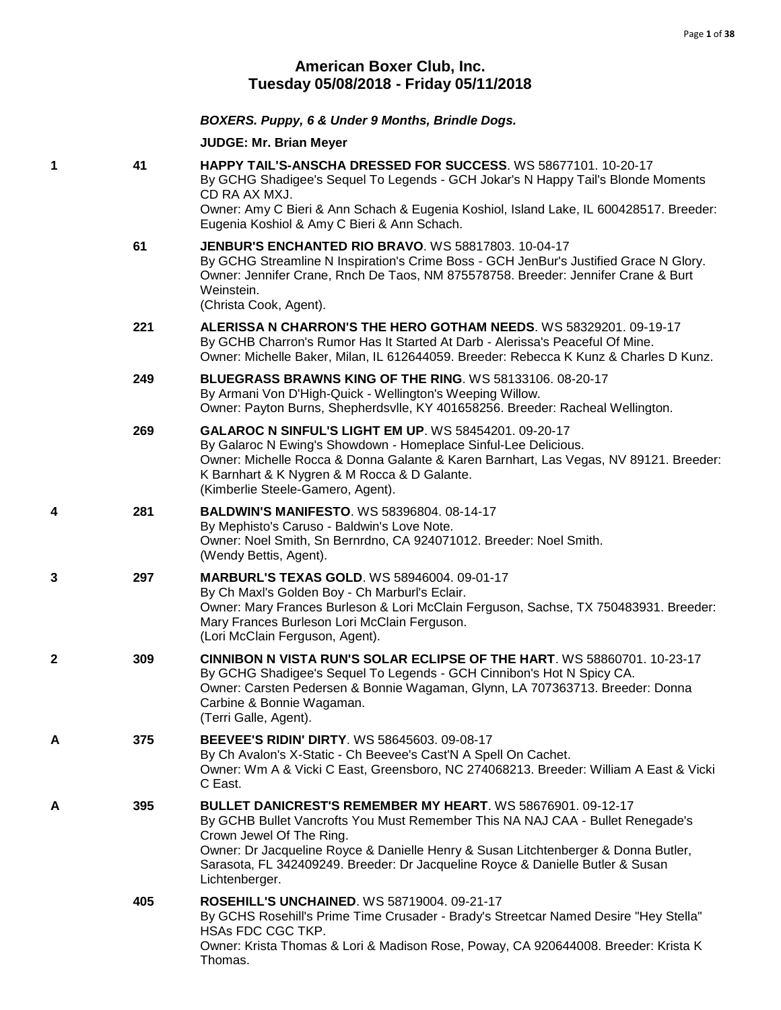# **American Boxer Club, Inc. Tuesday 05/08/2018 - Friday 05/11/2018**

|   |     | BOXERS. Puppy, 6 & Under 9 Months, Brindle Dogs.                                                                                                                                                                                                                                                                                                                           |
|---|-----|----------------------------------------------------------------------------------------------------------------------------------------------------------------------------------------------------------------------------------------------------------------------------------------------------------------------------------------------------------------------------|
|   |     | <b>JUDGE: Mr. Brian Meyer</b>                                                                                                                                                                                                                                                                                                                                              |
| 1 | 41  | <b>HAPPY TAIL'S-ANSCHA DRESSED FOR SUCCESS. WS 58677101, 10-20-17</b><br>By GCHG Shadigee's Sequel To Legends - GCH Jokar's N Happy Tail's Blonde Moments<br>CD RA AX MXJ.<br>Owner: Amy C Bieri & Ann Schach & Eugenia Koshiol, Island Lake, IL 600428517. Breeder:<br>Eugenia Koshiol & Amy C Bieri & Ann Schach.                                                        |
|   | 61  | <b>JENBUR'S ENCHANTED RIO BRAVO.</b> WS 58817803. 10-04-17<br>By GCHG Streamline N Inspiration's Crime Boss - GCH JenBur's Justified Grace N Glory.<br>Owner: Jennifer Crane, Rnch De Taos, NM 875578758. Breeder: Jennifer Crane & Burt<br>Weinstein.<br>(Christa Cook, Agent).                                                                                           |
|   | 221 | ALERISSA N CHARRON'S THE HERO GOTHAM NEEDS. WS 58329201. 09-19-17<br>By GCHB Charron's Rumor Has It Started At Darb - Alerissa's Peaceful Of Mine.<br>Owner: Michelle Baker, Milan, IL 612644059. Breeder: Rebecca K Kunz & Charles D Kunz.                                                                                                                                |
|   | 249 | <b>BLUEGRASS BRAWNS KING OF THE RING. WS 58133106. 08-20-17</b><br>By Armani Von D'High-Quick - Wellington's Weeping Willow.<br>Owner: Payton Burns, Shepherdsvlle, KY 401658256. Breeder: Racheal Wellington.                                                                                                                                                             |
|   | 269 | <b>GALAROC N SINFUL'S LIGHT EM UP. WS 58454201. 09-20-17</b><br>By Galaroc N Ewing's Showdown - Homeplace Sinful-Lee Delicious.<br>Owner: Michelle Rocca & Donna Galante & Karen Barnhart, Las Vegas, NV 89121. Breeder:<br>K Barnhart & K Nygren & M Rocca & D Galante.<br>(Kimberlie Steele-Gamero, Agent).                                                              |
| 4 | 281 | <b>BALDWIN'S MANIFESTO. WS 58396804. 08-14-17</b><br>By Mephisto's Caruso - Baldwin's Love Note.<br>Owner: Noel Smith, Sn Bernrdno, CA 924071012. Breeder: Noel Smith.<br>(Wendy Bettis, Agent).                                                                                                                                                                           |
| 3 | 297 | <b>MARBURL'S TEXAS GOLD. WS 58946004. 09-01-17</b><br>By Ch Maxl's Golden Boy - Ch Marburl's Eclair.<br>Owner: Mary Frances Burleson & Lori McClain Ferguson, Sachse, TX 750483931. Breeder:<br>Mary Frances Burleson Lori McClain Ferguson.<br>(Lori McClain Ferguson, Agent).                                                                                            |
| 2 | 309 | CINNIBON N VISTA RUN'S SOLAR ECLIPSE OF THE HART. WS 58860701. 10-23-17<br>By GCHG Shadigee's Sequel To Legends - GCH Cinnibon's Hot N Spicy CA.<br>Owner: Carsten Pedersen & Bonnie Wagaman, Glynn, LA 707363713. Breeder: Donna<br>Carbine & Bonnie Wagaman.<br>(Terri Galle, Agent).                                                                                    |
| Α | 375 | <b>BEEVEE'S RIDIN' DIRTY. WS 58645603, 09-08-17</b><br>By Ch Avalon's X-Static - Ch Beevee's Cast'N A Spell On Cachet.<br>Owner: Wm A & Vicki C East, Greensboro, NC 274068213. Breeder: William A East & Vicki<br>C East.                                                                                                                                                 |
| А | 395 | <b>BULLET DANICREST'S REMEMBER MY HEART. WS 58676901. 09-12-17</b><br>By GCHB Bullet Vancrofts You Must Remember This NA NAJ CAA - Bullet Renegade's<br>Crown Jewel Of The Ring.<br>Owner: Dr Jacqueline Royce & Danielle Henry & Susan Litchtenberger & Donna Butler,<br>Sarasota, FL 342409249. Breeder: Dr Jacqueline Royce & Danielle Butler & Susan<br>Lichtenberger. |
|   | 405 | <b>ROSEHILL'S UNCHAINED. WS 58719004. 09-21-17</b><br>By GCHS Rosehill's Prime Time Crusader - Brady's Streetcar Named Desire "Hey Stella"<br>HSAs FDC CGC TKP.<br>Owner: Krista Thomas & Lori & Madison Rose, Poway, CA 920644008. Breeder: Krista K<br>Thomas.                                                                                                           |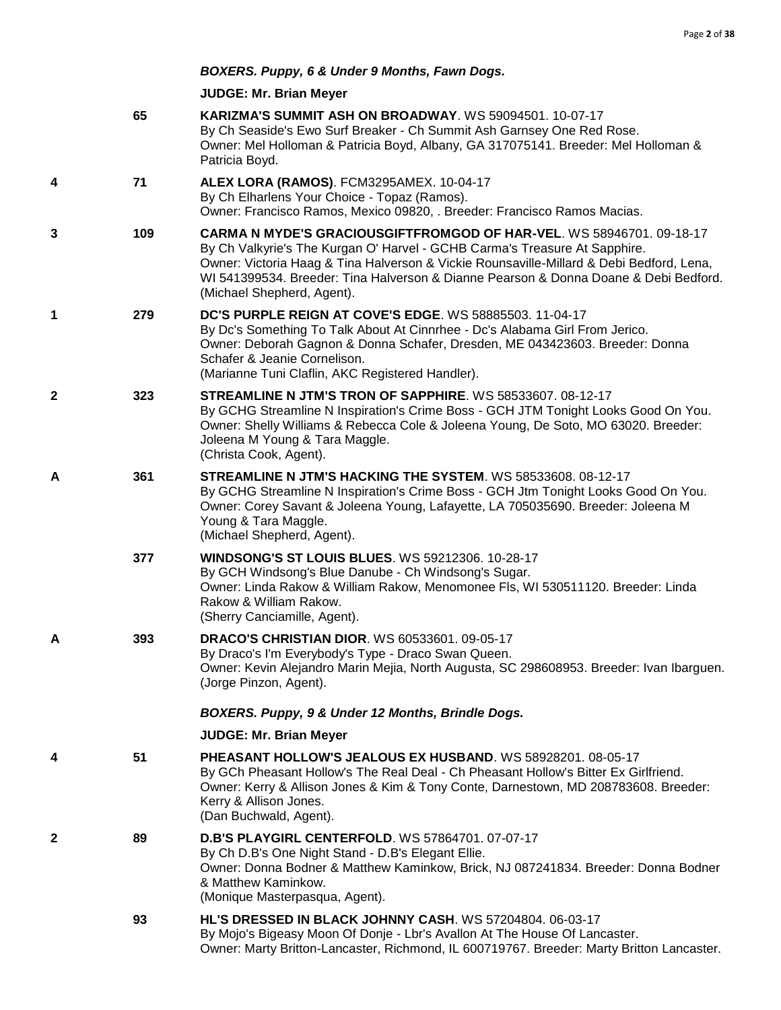# *BOXERS. Puppy, 6 & Under 9 Months, Fawn Dogs.*

|   | 65  | KARIZMA'S SUMMIT ASH ON BROADWAY. WS 59094501. 10-07-17<br>By Ch Seaside's Ewo Surf Breaker - Ch Summit Ash Garnsey One Red Rose.<br>Owner: Mel Holloman & Patricia Boyd, Albany, GA 317075141. Breeder: Mel Holloman &<br>Patricia Boyd.                                                                                                                            |
|---|-----|----------------------------------------------------------------------------------------------------------------------------------------------------------------------------------------------------------------------------------------------------------------------------------------------------------------------------------------------------------------------|
| 4 | 71  | ALEX LORA (RAMOS). FCM3295AMEX. 10-04-17<br>By Ch Elharlens Your Choice - Topaz (Ramos).<br>Owner: Francisco Ramos, Mexico 09820, . Breeder: Francisco Ramos Macias.                                                                                                                                                                                                 |
| 3 | 109 | CARMA N MYDE'S GRACIOUSGIFTFROMGOD OF HAR-VEL. WS 58946701. 09-18-17<br>By Ch Valkyrie's The Kurgan O' Harvel - GCHB Carma's Treasure At Sapphire.<br>Owner: Victoria Haag & Tina Halverson & Vickie Rounsaville-Millard & Debi Bedford, Lena,<br>WI 541399534. Breeder: Tina Halverson & Dianne Pearson & Donna Doane & Debi Bedford.<br>(Michael Shepherd, Agent). |
| 1 | 279 | DC'S PURPLE REIGN AT COVE'S EDGE. WS 58885503. 11-04-17<br>By Dc's Something To Talk About At Cinnrhee - Dc's Alabama Girl From Jerico.<br>Owner: Deborah Gagnon & Donna Schafer, Dresden, ME 043423603. Breeder: Donna<br>Schafer & Jeanie Cornelison.<br>(Marianne Tuni Claflin, AKC Registered Handler).                                                          |
| 2 | 323 | STREAMLINE N JTM'S TRON OF SAPPHIRE, WS 58533607, 08-12-17<br>By GCHG Streamline N Inspiration's Crime Boss - GCH JTM Tonight Looks Good On You.<br>Owner: Shelly Williams & Rebecca Cole & Joleena Young, De Soto, MO 63020. Breeder:<br>Joleena M Young & Tara Maggle.<br>(Christa Cook, Agent).                                                                   |
| A | 361 | STREAMLINE N JTM'S HACKING THE SYSTEM. WS 58533608. 08-12-17<br>By GCHG Streamline N Inspiration's Crime Boss - GCH Jtm Tonight Looks Good On You.<br>Owner: Corey Savant & Joleena Young, Lafayette, LA 705035690. Breeder: Joleena M<br>Young & Tara Maggle.<br>(Michael Shepherd, Agent).                                                                         |
|   | 377 | <b>WINDSONG'S ST LOUIS BLUES. WS 59212306. 10-28-17</b><br>By GCH Windsong's Blue Danube - Ch Windsong's Sugar.<br>Owner: Linda Rakow & William Rakow, Menomonee Fls, WI 530511120. Breeder: Linda<br>Rakow & William Rakow.<br>(Sherry Canciamille, Agent).                                                                                                         |
| Α | 393 | <b>DRACO'S CHRISTIAN DIOR. WS 60533601. 09-05-17</b><br>By Draco's I'm Everybody's Type - Draco Swan Queen.<br>Owner: Kevin Alejandro Marin Mejia, North Augusta, SC 298608953. Breeder: Ivan Ibarguen.<br>(Jorge Pinzon, Agent).                                                                                                                                    |
|   |     | BOXERS. Puppy, 9 & Under 12 Months, Brindle Dogs.                                                                                                                                                                                                                                                                                                                    |
|   |     | <b>JUDGE: Mr. Brian Meyer</b>                                                                                                                                                                                                                                                                                                                                        |
| 4 | 51  | <b>PHEASANT HOLLOW'S JEALOUS EX HUSBAND. WS 58928201, 08-05-17</b><br>By GCh Pheasant Hollow's The Real Deal - Ch Pheasant Hollow's Bitter Ex Girlfriend.<br>Owner: Kerry & Allison Jones & Kim & Tony Conte, Darnestown, MD 208783608. Breeder:<br>Kerry & Allison Jones.<br>(Dan Buchwald, Agent).                                                                 |
| 2 | 89  | <b>D.B'S PLAYGIRL CENTERFOLD.</b> WS 57864701. 07-07-17<br>By Ch D.B's One Night Stand - D.B's Elegant Ellie.<br>Owner: Donna Bodner & Matthew Kaminkow, Brick, NJ 087241834. Breeder: Donna Bodner<br>& Matthew Kaminkow.<br>(Monique Masterpasqua, Agent).                                                                                                         |
|   | 93  | HL'S DRESSED IN BLACK JOHNNY CASH. WS 57204804. 06-03-17<br>By Mojo's Bigeasy Moon Of Donje - Lbr's Avallon At The House Of Lancaster.<br>Owner: Marty Britton-Lancaster, Richmond, IL 600719767. Breeder: Marty Britton Lancaster.                                                                                                                                  |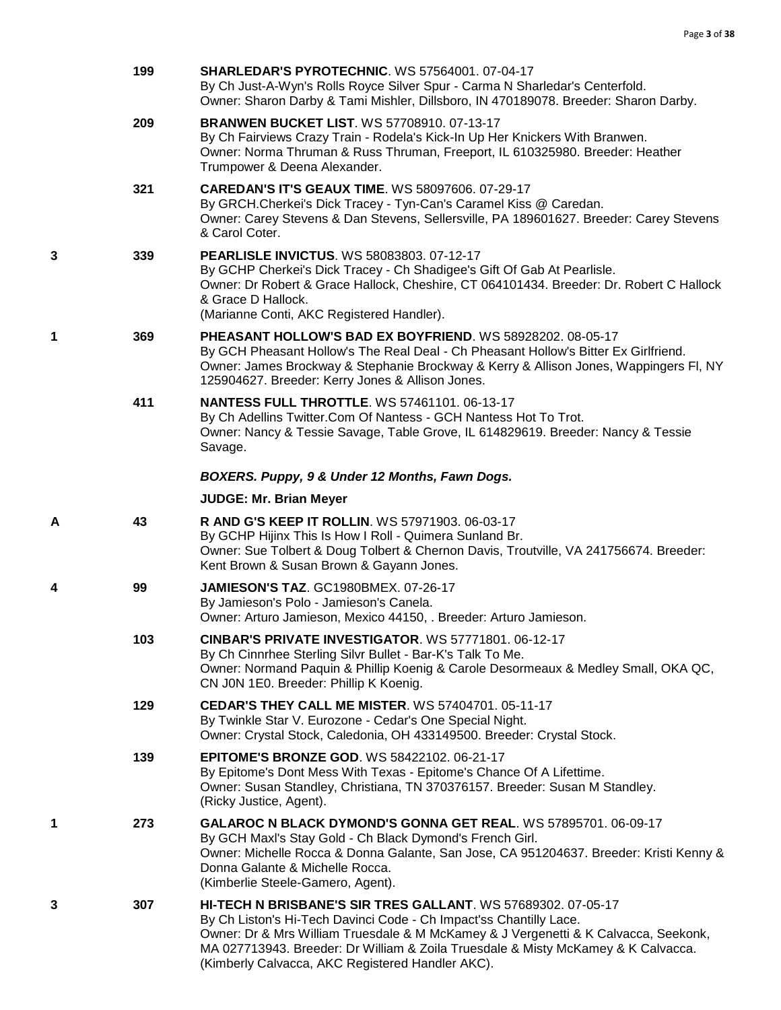|   | 199 | <b>SHARLEDAR'S PYROTECHNIC. WS 57564001, 07-04-17</b><br>By Ch Just-A-Wyn's Rolls Royce Silver Spur - Carma N Sharledar's Centerfold.<br>Owner: Sharon Darby & Tami Mishler, Dillsboro, IN 470189078. Breeder: Sharon Darby.                                                                                                                                       |
|---|-----|--------------------------------------------------------------------------------------------------------------------------------------------------------------------------------------------------------------------------------------------------------------------------------------------------------------------------------------------------------------------|
|   | 209 | <b>BRANWEN BUCKET LIST. WS 57708910. 07-13-17</b><br>By Ch Fairviews Crazy Train - Rodela's Kick-In Up Her Knickers With Branwen.<br>Owner: Norma Thruman & Russ Thruman, Freeport, IL 610325980. Breeder: Heather<br>Trumpower & Deena Alexander.                                                                                                                 |
|   | 321 | <b>CAREDAN'S IT'S GEAUX TIME. WS 58097606. 07-29-17</b><br>By GRCH.Cherkei's Dick Tracey - Tyn-Can's Caramel Kiss @ Caredan.<br>Owner: Carey Stevens & Dan Stevens, Sellersville, PA 189601627. Breeder: Carey Stevens<br>& Carol Coter.                                                                                                                           |
| 3 | 339 | <b>PEARLISLE INVICTUS. WS 58083803. 07-12-17</b><br>By GCHP Cherkei's Dick Tracey - Ch Shadigee's Gift Of Gab At Pearlisle.<br>Owner: Dr Robert & Grace Hallock, Cheshire, CT 064101434. Breeder: Dr. Robert C Hallock<br>& Grace D Hallock.<br>(Marianne Conti, AKC Registered Handler).                                                                          |
| 1 | 369 | PHEASANT HOLLOW'S BAD EX BOYFRIEND. WS 58928202. 08-05-17<br>By GCH Pheasant Hollow's The Real Deal - Ch Pheasant Hollow's Bitter Ex Girlfriend.<br>Owner: James Brockway & Stephanie Brockway & Kerry & Allison Jones, Wappingers FI, NY<br>125904627. Breeder: Kerry Jones & Allison Jones.                                                                      |
|   | 411 | <b>NANTESS FULL THROTTLE. WS 57461101. 06-13-17</b><br>By Ch Adellins Twitter.Com Of Nantess - GCH Nantess Hot To Trot.<br>Owner: Nancy & Tessie Savage, Table Grove, IL 614829619. Breeder: Nancy & Tessie<br>Savage.                                                                                                                                             |
|   |     | BOXERS. Puppy, 9 & Under 12 Months, Fawn Dogs.                                                                                                                                                                                                                                                                                                                     |
|   |     | <b>JUDGE: Mr. Brian Meyer</b>                                                                                                                                                                                                                                                                                                                                      |
| A | 43  | R AND G'S KEEP IT ROLLIN. WS 57971903. 06-03-17<br>By GCHP Hijinx This Is How I Roll - Quimera Sunland Br.<br>Owner: Sue Tolbert & Doug Tolbert & Chernon Davis, Troutville, VA 241756674. Breeder:<br>Kent Brown & Susan Brown & Gayann Jones.                                                                                                                    |
| 4 | 99  | <b>JAMIESON'S TAZ. GC1980BMEX. 07-26-17</b><br>By Jamieson's Polo - Jamieson's Canela.<br>Owner: Arturo Jamieson, Mexico 44150, . Breeder: Arturo Jamieson.                                                                                                                                                                                                        |
|   | 103 | CINBAR'S PRIVATE INVESTIGATOR. WS 57771801. 06-12-17<br>By Ch Cinnrhee Sterling Silvr Bullet - Bar-K's Talk To Me.<br>Owner: Normand Paquin & Phillip Koenig & Carole Desormeaux & Medley Small, OKA QC,<br>CN J0N 1E0. Breeder: Phillip K Koenig.                                                                                                                 |
|   | 129 | <b>CEDAR'S THEY CALL ME MISTER. WS 57404701, 05-11-17</b><br>By Twinkle Star V. Eurozone - Cedar's One Special Night.<br>Owner: Crystal Stock, Caledonia, OH 433149500. Breeder: Crystal Stock.                                                                                                                                                                    |
|   | 139 | <b>EPITOME'S BRONZE GOD. WS 58422102. 06-21-17</b><br>By Epitome's Dont Mess With Texas - Epitome's Chance Of A Lifettime.<br>Owner: Susan Standley, Christiana, TN 370376157. Breeder: Susan M Standley.<br>(Ricky Justice, Agent).                                                                                                                               |
| 1 | 273 | GALAROC N BLACK DYMOND'S GONNA GET REAL. WS 57895701. 06-09-17<br>By GCH Maxl's Stay Gold - Ch Black Dymond's French Girl.<br>Owner: Michelle Rocca & Donna Galante, San Jose, CA 951204637. Breeder: Kristi Kenny &<br>Donna Galante & Michelle Rocca.<br>(Kimberlie Steele-Gamero, Agent).                                                                       |
| 3 | 307 | HI-TECH N BRISBANE'S SIR TRES GALLANT. WS 57689302. 07-05-17<br>By Ch Liston's Hi-Tech Davinci Code - Ch Impact'ss Chantilly Lace.<br>Owner: Dr & Mrs William Truesdale & M McKamey & J Vergenetti & K Calvacca, Seekonk,<br>MA 027713943. Breeder: Dr William & Zoila Truesdale & Misty McKamey & K Calvacca.<br>(Kimberly Calvacca, AKC Registered Handler AKC). |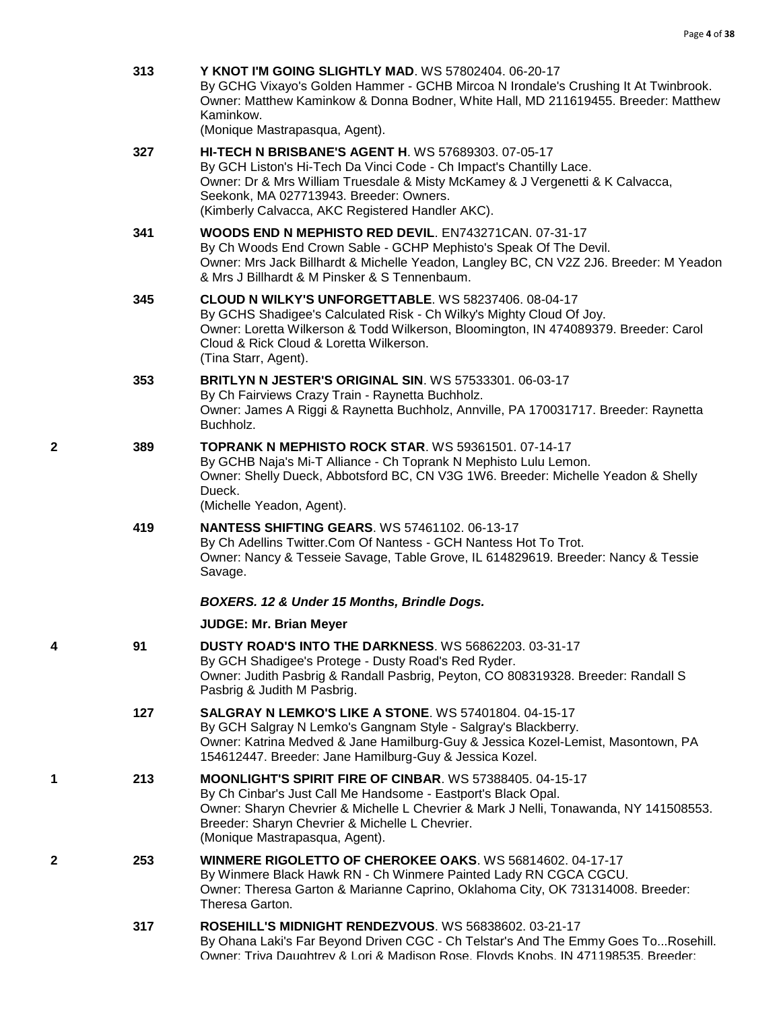|   | 313 | Y KNOT I'M GOING SLIGHTLY MAD. WS 57802404. 06-20-17<br>By GCHG Vixayo's Golden Hammer - GCHB Mircoa N Irondale's Crushing It At Twinbrook.<br>Owner: Matthew Kaminkow & Donna Bodner, White Hall, MD 211619455. Breeder: Matthew<br>Kaminkow.<br>(Monique Mastrapasqua, Agent).                                   |
|---|-----|--------------------------------------------------------------------------------------------------------------------------------------------------------------------------------------------------------------------------------------------------------------------------------------------------------------------|
|   | 327 | <b>HI-TECH N BRISBANE'S AGENT H. WS 57689303. 07-05-17</b><br>By GCH Liston's Hi-Tech Da Vinci Code - Ch Impact's Chantilly Lace.<br>Owner: Dr & Mrs William Truesdale & Misty McKamey & J Vergenetti & K Calvacca,<br>Seekonk, MA 027713943. Breeder: Owners.<br>(Kimberly Calvacca, AKC Registered Handler AKC). |
|   | 341 | <b>WOODS END N MEPHISTO RED DEVIL. EN743271CAN. 07-31-17</b><br>By Ch Woods End Crown Sable - GCHP Mephisto's Speak Of The Devil.<br>Owner: Mrs Jack Billhardt & Michelle Yeadon, Langley BC, CN V2Z 2J6. Breeder: M Yeadon<br>& Mrs J Billhardt & M Pinsker & S Tennenbaum.                                       |
|   | 345 | CLOUD N WILKY'S UNFORGETTABLE. WS 58237406. 08-04-17<br>By GCHS Shadigee's Calculated Risk - Ch Wilky's Mighty Cloud Of Joy.<br>Owner: Loretta Wilkerson & Todd Wilkerson, Bloomington, IN 474089379. Breeder: Carol<br>Cloud & Rick Cloud & Loretta Wilkerson.<br>(Tina Starr, Agent).                            |
|   | 353 | <b>BRITLYN N JESTER'S ORIGINAL SIN. WS 57533301, 06-03-17</b><br>By Ch Fairviews Crazy Train - Raynetta Buchholz.<br>Owner: James A Riggi & Raynetta Buchholz, Annville, PA 170031717. Breeder: Raynetta<br>Buchholz.                                                                                              |
| 2 | 389 | <b>TOPRANK N MEPHISTO ROCK STAR. WS 59361501. 07-14-17</b><br>By GCHB Naja's Mi-T Alliance - Ch Toprank N Mephisto Lulu Lemon.<br>Owner: Shelly Dueck, Abbotsford BC, CN V3G 1W6. Breeder: Michelle Yeadon & Shelly<br>Dueck.<br>(Michelle Yeadon, Agent).                                                         |
|   | 419 | <b>NANTESS SHIFTING GEARS. WS 57461102. 06-13-17</b><br>By Ch Adellins Twitter.Com Of Nantess - GCH Nantess Hot To Trot.<br>Owner: Nancy & Tesseie Savage, Table Grove, IL 614829619. Breeder: Nancy & Tessie<br>Savage.                                                                                           |
|   |     | BOXERS. 12 & Under 15 Months, Brindle Dogs.                                                                                                                                                                                                                                                                        |
|   |     | <b>JUDGE: Mr. Brian Meyer</b>                                                                                                                                                                                                                                                                                      |
| 4 | 91  | <b>DUSTY ROAD'S INTO THE DARKNESS. WS 56862203. 03-31-17</b><br>By GCH Shadigee's Protege - Dusty Road's Red Ryder.<br>Owner: Judith Pasbrig & Randall Pasbrig, Peyton, CO 808319328. Breeder: Randall S<br>Pasbrig & Judith M Pasbrig.                                                                            |
|   | 127 | <b>SALGRAY N LEMKO'S LIKE A STONE. WS 57401804. 04-15-17</b><br>By GCH Salgray N Lemko's Gangnam Style - Salgray's Blackberry.<br>Owner: Katrina Medved & Jane Hamilburg-Guy & Jessica Kozel-Lemist, Masontown, PA<br>154612447. Breeder: Jane Hamilburg-Guy & Jessica Kozel.                                      |
| 1 | 213 | <b>MOONLIGHT'S SPIRIT FIRE OF CINBAR. WS 57388405. 04-15-17</b><br>By Ch Cinbar's Just Call Me Handsome - Eastport's Black Opal.<br>Owner: Sharyn Chevrier & Michelle L Chevrier & Mark J Nelli, Tonawanda, NY 141508553.<br>Breeder: Sharyn Chevrier & Michelle L Chevrier.<br>(Monique Mastrapasqua, Agent).     |
| 2 | 253 | WINMERE RIGOLETTO OF CHEROKEE OAKS. WS 56814602. 04-17-17<br>By Winmere Black Hawk RN - Ch Winmere Painted Lady RN CGCA CGCU.<br>Owner: Theresa Garton & Marianne Caprino, Oklahoma City, OK 731314008. Breeder:<br>Theresa Garton.                                                                                |
|   | 317 | ROSEHILL'S MIDNIGHT RENDEZVOUS. WS 56838602. 03-21-17<br>By Ohana Laki's Far Beyond Driven CGC - Ch Telstar's And The Emmy Goes ToRosehill.<br>Owner: Triva Daughtrey & Lori & Madison Rose, Floyds Knobs, IN 471198535, Breeder:                                                                                  |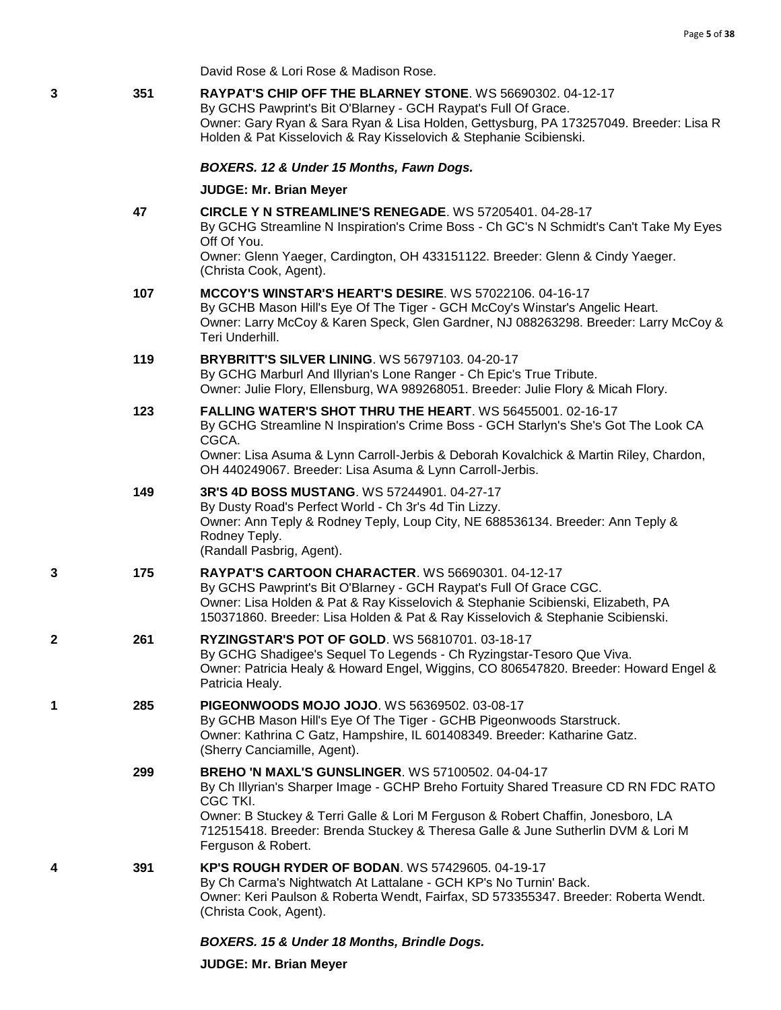David Rose & Lori Rose & Madison Rose.

| 3 | 351 | RAYPAT'S CHIP OFF THE BLARNEY STONE. WS 56690302. 04-12-17<br>By GCHS Pawprint's Bit O'Blarney - GCH Raypat's Full Of Grace.<br>Owner: Gary Ryan & Sara Ryan & Lisa Holden, Gettysburg, PA 173257049. Breeder: Lisa R<br>Holden & Pat Kisselovich & Ray Kisselovich & Stephanie Scibienski.                                         |
|---|-----|-------------------------------------------------------------------------------------------------------------------------------------------------------------------------------------------------------------------------------------------------------------------------------------------------------------------------------------|
|   |     | BOXERS. 12 & Under 15 Months, Fawn Dogs.                                                                                                                                                                                                                                                                                            |
|   |     | <b>JUDGE: Mr. Brian Meyer</b>                                                                                                                                                                                                                                                                                                       |
|   | 47  | CIRCLE Y N STREAMLINE'S RENEGADE. WS 57205401. 04-28-17<br>By GCHG Streamline N Inspiration's Crime Boss - Ch GC's N Schmidt's Can't Take My Eyes<br>Off Of You.                                                                                                                                                                    |
|   |     | Owner: Glenn Yaeger, Cardington, OH 433151122. Breeder: Glenn & Cindy Yaeger.<br>(Christa Cook, Agent).                                                                                                                                                                                                                             |
|   | 107 | MCCOY'S WINSTAR'S HEART'S DESIRE. WS 57022106. 04-16-17<br>By GCHB Mason Hill's Eye Of The Tiger - GCH McCoy's Winstar's Angelic Heart.<br>Owner: Larry McCoy & Karen Speck, Glen Gardner, NJ 088263298. Breeder: Larry McCoy &<br>Teri Underhill.                                                                                  |
|   | 119 | <b>BRYBRITT'S SILVER LINING. WS 56797103. 04-20-17</b><br>By GCHG Marburl And Illyrian's Lone Ranger - Ch Epic's True Tribute.<br>Owner: Julie Flory, Ellensburg, WA 989268051. Breeder: Julie Flory & Micah Flory.                                                                                                                 |
|   | 123 | FALLING WATER'S SHOT THRU THE HEART. WS 56455001. 02-16-17<br>By GCHG Streamline N Inspiration's Crime Boss - GCH Starlyn's She's Got The Look CA<br>CGCA.                                                                                                                                                                          |
|   |     | Owner: Lisa Asuma & Lynn Carroll-Jerbis & Deborah Kovalchick & Martin Riley, Chardon,<br>OH 440249067. Breeder: Lisa Asuma & Lynn Carroll-Jerbis.                                                                                                                                                                                   |
|   | 149 | 3R'S 4D BOSS MUSTANG. WS 57244901. 04-27-17<br>By Dusty Road's Perfect World - Ch 3r's 4d Tin Lizzy.<br>Owner: Ann Teply & Rodney Teply, Loup City, NE 688536134. Breeder: Ann Teply &<br>Rodney Teply.<br>(Randall Pasbrig, Agent).                                                                                                |
| 3 | 175 | <b>RAYPAT'S CARTOON CHARACTER. WS 56690301. 04-12-17</b><br>By GCHS Pawprint's Bit O'Blarney - GCH Raypat's Full Of Grace CGC.<br>Owner: Lisa Holden & Pat & Ray Kisselovich & Stephanie Scibienski, Elizabeth, PA<br>150371860. Breeder: Lisa Holden & Pat & Ray Kisselovich & Stephanie Scibienski.                               |
| 2 | 261 | RYZINGSTAR'S POT OF GOLD. WS 56810701. 03-18-17<br>By GCHG Shadigee's Sequel To Legends - Ch Ryzingstar-Tesoro Que Viva.<br>Owner: Patricia Healy & Howard Engel, Wiggins, CO 806547820. Breeder: Howard Engel &<br>Patricia Healy.                                                                                                 |
| 1 | 285 | <b>PIGEONWOODS MOJO JOJO. WS 56369502. 03-08-17</b><br>By GCHB Mason Hill's Eye Of The Tiger - GCHB Pigeonwoods Starstruck.<br>Owner: Kathrina C Gatz, Hampshire, IL 601408349. Breeder: Katharine Gatz.<br>(Sherry Canciamille, Agent).                                                                                            |
|   | 299 | <b>BREHO 'N MAXL'S GUNSLINGER. WS 57100502. 04-04-17</b><br>By Ch Illyrian's Sharper Image - GCHP Breho Fortuity Shared Treasure CD RN FDC RATO<br>CGC TKI.<br>Owner: B Stuckey & Terri Galle & Lori M Ferguson & Robert Chaffin, Jonesboro, LA<br>712515418. Breeder: Brenda Stuckey & Theresa Galle & June Sutherlin DVM & Lori M |
|   |     | Ferguson & Robert.                                                                                                                                                                                                                                                                                                                  |
| 4 | 391 | KP'S ROUGH RYDER OF BODAN. WS 57429605. 04-19-17<br>By Ch Carma's Nightwatch At Lattalane - GCH KP's No Turnin' Back.<br>Owner: Keri Paulson & Roberta Wendt, Fairfax, SD 573355347. Breeder: Roberta Wendt.<br>(Christa Cook, Agent).                                                                                              |
|   |     |                                                                                                                                                                                                                                                                                                                                     |

# *BOXERS. 15 & Under 18 Months, Brindle Dogs.*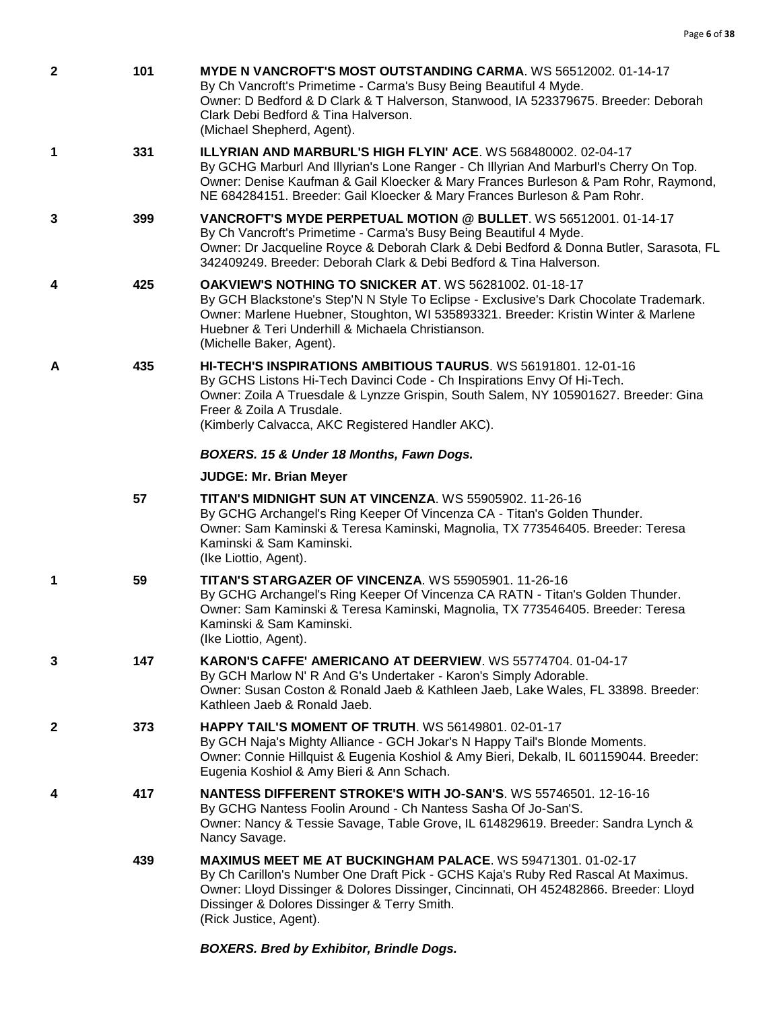| $\mathbf{2}$ | 101 | MYDE N VANCROFT'S MOST OUTSTANDING CARMA. WS 56512002. 01-14-17<br>By Ch Vancroft's Primetime - Carma's Busy Being Beautiful 4 Myde.<br>Owner: D Bedford & D Clark & T Halverson, Stanwood, IA 523379675. Breeder: Deborah<br>Clark Debi Bedford & Tina Halverson.<br>(Michael Shepherd, Agent).                                 |
|--------------|-----|----------------------------------------------------------------------------------------------------------------------------------------------------------------------------------------------------------------------------------------------------------------------------------------------------------------------------------|
| 1            | 331 | <b>ILLYRIAN AND MARBURL'S HIGH FLYIN' ACE. WS 568480002. 02-04-17</b><br>By GCHG Marburl And Illyrian's Lone Ranger - Ch Illyrian And Marburl's Cherry On Top.<br>Owner: Denise Kaufman & Gail Kloecker & Mary Frances Burleson & Pam Rohr, Raymond,<br>NE 684284151. Breeder: Gail Kloecker & Mary Frances Burleson & Pam Rohr. |
| 3            | 399 | VANCROFT'S MYDE PERPETUAL MOTION @ BULLET, WS 56512001, 01-14-17<br>By Ch Vancroft's Primetime - Carma's Busy Being Beautiful 4 Myde.<br>Owner: Dr Jacqueline Royce & Deborah Clark & Debi Bedford & Donna Butler, Sarasota, FL<br>342409249. Breeder: Deborah Clark & Debi Bedford & Tina Halverson.                            |
| 4            | 425 | <b>OAKVIEW'S NOTHING TO SNICKER AT. WS 56281002. 01-18-17</b><br>By GCH Blackstone's Step'N N Style To Eclipse - Exclusive's Dark Chocolate Trademark.<br>Owner: Marlene Huebner, Stoughton, WI 535893321. Breeder: Kristin Winter & Marlene<br>Huebner & Teri Underhill & Michaela Christianson.<br>(Michelle Baker, Agent).    |
| A            | 435 | <b>HI-TECH'S INSPIRATIONS AMBITIOUS TAURUS.</b> WS 56191801, 12-01-16<br>By GCHS Listons Hi-Tech Davinci Code - Ch Inspirations Envy Of Hi-Tech.<br>Owner: Zoila A Truesdale & Lynzze Grispin, South Salem, NY 105901627. Breeder: Gina<br>Freer & Zoila A Trusdale.<br>(Kimberly Calvacca, AKC Registered Handler AKC).         |
|              |     | BOXERS. 15 & Under 18 Months, Fawn Dogs.                                                                                                                                                                                                                                                                                         |
|              |     | <b>JUDGE: Mr. Brian Meyer</b>                                                                                                                                                                                                                                                                                                    |
|              | 57  | TITAN'S MIDNIGHT SUN AT VINCENZA. WS 55905902. 11-26-16<br>By GCHG Archangel's Ring Keeper Of Vincenza CA - Titan's Golden Thunder.<br>Owner: Sam Kaminski & Teresa Kaminski, Magnolia, TX 773546405. Breeder: Teresa<br>Kaminski & Sam Kaminski.<br>(Ike Liottio, Agent).                                                       |
| 1            | 59  | <b>TITAN'S STARGAZER OF VINCENZA. WS 55905901. 11-26-16</b><br>By GCHG Archangel's Ring Keeper Of Vincenza CA RATN - Titan's Golden Thunder.<br>Owner: Sam Kaminski & Teresa Kaminski, Magnolia, TX 773546405. Breeder: Teresa<br>Kaminski & Sam Kaminski.<br>(Ike Liottio, Agent).                                              |
| 3            | 147 | KARON'S CAFFE' AMERICANO AT DEERVIEW. WS 55774704. 01-04-17<br>By GCH Marlow N' R And G's Undertaker - Karon's Simply Adorable.<br>Owner: Susan Coston & Ronald Jaeb & Kathleen Jaeb, Lake Wales, FL 33898. Breeder:<br>Kathleen Jaeb & Ronald Jaeb.                                                                             |
| $\mathbf{2}$ | 373 | <b>HAPPY TAIL'S MOMENT OF TRUTH. WS 56149801. 02-01-17</b><br>By GCH Naja's Mighty Alliance - GCH Jokar's N Happy Tail's Blonde Moments.<br>Owner: Connie Hillquist & Eugenia Koshiol & Amy Bieri, Dekalb, IL 601159044. Breeder:<br>Eugenia Koshiol & Amy Bieri & Ann Schach.                                                   |
| 4            | 417 | <b>NANTESS DIFFERENT STROKE'S WITH JO-SAN'S. WS 55746501. 12-16-16</b><br>By GCHG Nantess Foolin Around - Ch Nantess Sasha Of Jo-San'S.<br>Owner: Nancy & Tessie Savage, Table Grove, IL 614829619. Breeder: Sandra Lynch &<br>Nancy Savage.                                                                                     |
|              | 439 | <b>MAXIMUS MEET ME AT BUCKINGHAM PALACE. WS 59471301. 01-02-17</b><br>By Ch Carillon's Number One Draft Pick - GCHS Kaja's Ruby Red Rascal At Maximus.<br>Owner: Lloyd Dissinger & Dolores Dissinger, Cincinnati, OH 452482866. Breeder: Lloyd<br>Dissinger & Dolores Dissinger & Terry Smith.<br>(Rick Justice, Agent).         |

# *BOXERS. Bred by Exhibitor, Brindle Dogs.*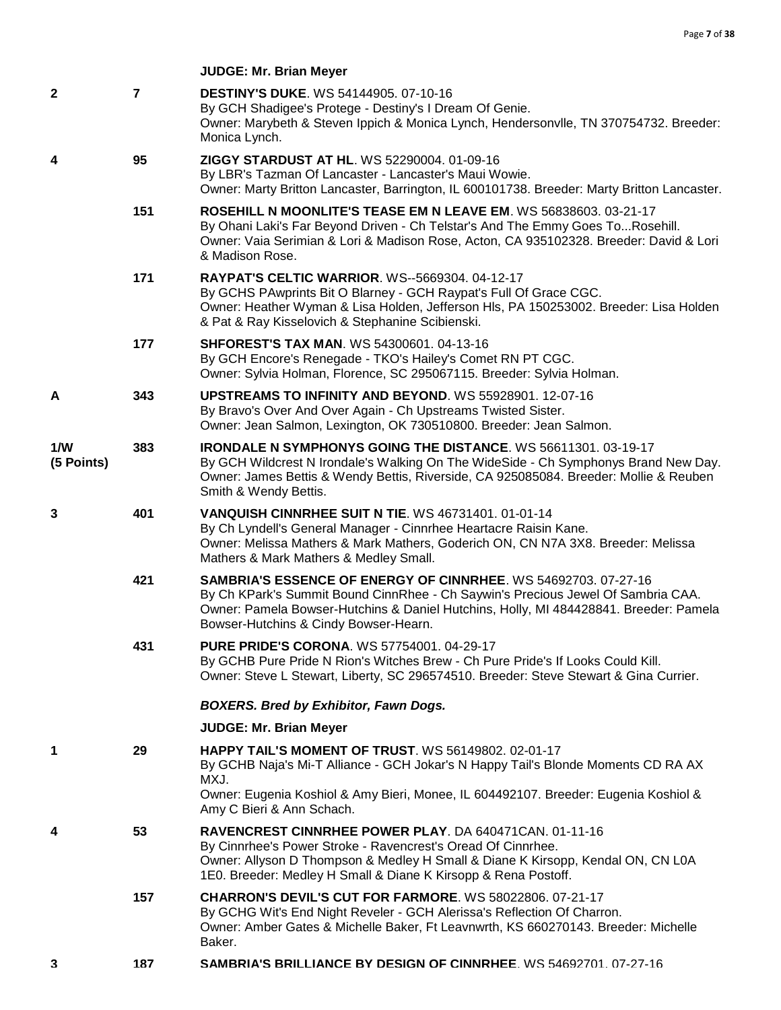| $\mathbf{2}$      | $\overline{7}$ | <b>DESTINY'S DUKE. WS 54144905. 07-10-16</b><br>By GCH Shadigee's Protege - Destiny's I Dream Of Genie.<br>Owner: Marybeth & Steven Ippich & Monica Lynch, Hendersonvlle, TN 370754732. Breeder:<br>Monica Lynch.                                                                           |
|-------------------|----------------|---------------------------------------------------------------------------------------------------------------------------------------------------------------------------------------------------------------------------------------------------------------------------------------------|
| 4                 | 95             | ZIGGY STARDUST AT HL. WS 52290004. 01-09-16<br>By LBR's Tazman Of Lancaster - Lancaster's Maui Wowie.<br>Owner: Marty Britton Lancaster, Barrington, IL 600101738. Breeder: Marty Britton Lancaster.                                                                                        |
|                   | 151            | ROSEHILL N MOONLITE'S TEASE EM N LEAVE EM. WS 56838603. 03-21-17<br>By Ohani Laki's Far Beyond Driven - Ch Telstar's And The Emmy Goes ToRosehill.<br>Owner: Vaia Serimian & Lori & Madison Rose, Acton, CA 935102328. Breeder: David & Lori<br>& Madison Rose.                             |
|                   | 171            | <b>RAYPAT'S CELTIC WARRIOR. WS--5669304. 04-12-17</b><br>By GCHS PAwprints Bit O Blarney - GCH Raypat's Full Of Grace CGC.<br>Owner: Heather Wyman & Lisa Holden, Jefferson Hls, PA 150253002. Breeder: Lisa Holden<br>& Pat & Ray Kisselovich & Stephanine Scibienski.                     |
|                   | 177            | <b>SHFOREST'S TAX MAN. WS 54300601. 04-13-16</b><br>By GCH Encore's Renegade - TKO's Hailey's Comet RN PT CGC.<br>Owner: Sylvia Holman, Florence, SC 295067115. Breeder: Sylvia Holman.                                                                                                     |
| A                 | 343            | UPSTREAMS TO INFINITY AND BEYOND. WS 55928901. 12-07-16<br>By Bravo's Over And Over Again - Ch Upstreams Twisted Sister.<br>Owner: Jean Salmon, Lexington, OK 730510800. Breeder: Jean Salmon.                                                                                              |
| 1/W<br>(5 Points) | 383            | <b>IRONDALE N SYMPHONYS GOING THE DISTANCE. WS 56611301. 03-19-17</b><br>By GCH Wildcrest N Irondale's Walking On The WideSide - Ch Symphonys Brand New Day.<br>Owner: James Bettis & Wendy Bettis, Riverside, CA 925085084. Breeder: Mollie & Reuben<br>Smith & Wendy Bettis.              |
| 3                 | 401            | VANQUISH CINNRHEE SUIT N TIE. WS 46731401. 01-01-14<br>By Ch Lyndell's General Manager - Cinnrhee Heartacre Raisin Kane.<br>Owner: Melissa Mathers & Mark Mathers, Goderich ON, CN N7A 3X8. Breeder: Melissa<br>Mathers & Mark Mathers & Medley Small.                                      |
|                   | 421            | <b>SAMBRIA'S ESSENCE OF ENERGY OF CINNRHEE. WS 54692703. 07-27-16</b><br>By Ch KPark's Summit Bound CinnRhee - Ch Saywin's Precious Jewel Of Sambria CAA.<br>Owner: Pamela Bowser-Hutchins & Daniel Hutchins, Holly, MI 484428841. Breeder: Pamela<br>Bowser-Hutchins & Cindy Bowser-Hearn. |
|                   | 431            | <b>PURE PRIDE'S CORONA. WS 57754001. 04-29-17</b><br>By GCHB Pure Pride N Rion's Witches Brew - Ch Pure Pride's If Looks Could Kill.<br>Owner: Steve L Stewart, Liberty, SC 296574510. Breeder: Steve Stewart & Gina Currier.                                                               |
|                   |                | <b>BOXERS. Bred by Exhibitor, Fawn Dogs.</b>                                                                                                                                                                                                                                                |
|                   |                | <b>JUDGE: Mr. Brian Meyer</b>                                                                                                                                                                                                                                                               |
| 1                 | 29             | <b>HAPPY TAIL'S MOMENT OF TRUST. WS 56149802. 02-01-17</b><br>By GCHB Naja's Mi-T Alliance - GCH Jokar's N Happy Tail's Blonde Moments CD RA AX<br>MXJ.<br>Owner: Eugenia Koshiol & Amy Bieri, Monee, IL 604492107. Breeder: Eugenia Koshiol &                                              |
|                   |                | Amy C Bieri & Ann Schach.                                                                                                                                                                                                                                                                   |
| 4                 | 53             | RAVENCREST CINNRHEE POWER PLAY. DA 640471CAN. 01-11-16<br>By Cinnrhee's Power Stroke - Ravencrest's Oread Of Cinnrhee.<br>Owner: Allyson D Thompson & Medley H Small & Diane K Kirsopp, Kendal ON, CN L0A<br>1E0. Breeder: Medley H Small & Diane K Kirsopp & Rena Postoff.                 |
|                   | 157            | CHARRON'S DEVIL'S CUT FOR FARMORE. WS 58022806. 07-21-17<br>By GCHG Wit's End Night Reveler - GCH Alerissa's Reflection Of Charron.<br>Owner: Amber Gates & Michelle Baker, Ft Leavnwrth, KS 660270143. Breeder: Michelle<br>Baker.                                                         |
| 3                 | 187            | SAMBRIA'S BRILLIANCE BY DESIGN OF CINNRHEE. WS 54692701. 07-27-16                                                                                                                                                                                                                           |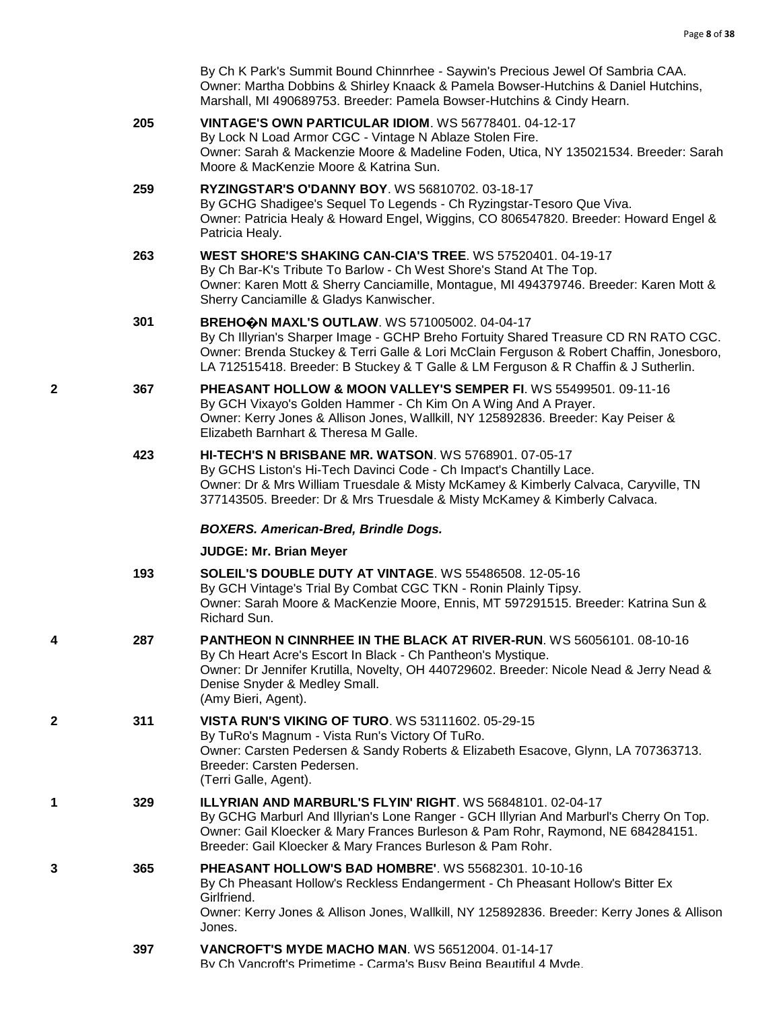|   |     | By Ch K Park's Summit Bound Chinnrhee - Saywin's Precious Jewel Of Sambria CAA.<br>Owner: Martha Dobbins & Shirley Knaack & Pamela Bowser-Hutchins & Daniel Hutchins,<br>Marshall, MI 490689753. Breeder: Pamela Bowser-Hutchins & Cindy Hearn.                                                                          |
|---|-----|--------------------------------------------------------------------------------------------------------------------------------------------------------------------------------------------------------------------------------------------------------------------------------------------------------------------------|
|   | 205 | VINTAGE'S OWN PARTICULAR IDIOM. WS 56778401. 04-12-17<br>By Lock N Load Armor CGC - Vintage N Ablaze Stolen Fire.<br>Owner: Sarah & Mackenzie Moore & Madeline Foden, Utica, NY 135021534. Breeder: Sarah<br>Moore & MacKenzie Moore & Katrina Sun.                                                                      |
|   | 259 | RYZINGSTAR'S O'DANNY BOY. WS 56810702. 03-18-17<br>By GCHG Shadigee's Sequel To Legends - Ch Ryzingstar-Tesoro Que Viva.<br>Owner: Patricia Healy & Howard Engel, Wiggins, CO 806547820. Breeder: Howard Engel &<br>Patricia Healy.                                                                                      |
|   | 263 | WEST SHORE'S SHAKING CAN-CIA'S TREE. WS 57520401. 04-19-17<br>By Ch Bar-K's Tribute To Barlow - Ch West Shore's Stand At The Top.<br>Owner: Karen Mott & Sherry Canciamille, Montague, MI 494379746. Breeder: Karen Mott &<br>Sherry Canciamille & Gladys Kanwischer.                                                    |
|   | 301 | BREHOON MAXL'S OUTLAW. WS 571005002. 04-04-17<br>By Ch Illyrian's Sharper Image - GCHP Breho Fortuity Shared Treasure CD RN RATO CGC.<br>Owner: Brenda Stuckey & Terri Galle & Lori McClain Ferguson & Robert Chaffin, Jonesboro,<br>LA 712515418. Breeder: B Stuckey & T Galle & LM Ferguson & R Chaffin & J Sutherlin. |
| 2 | 367 | PHEASANT HOLLOW & MOON VALLEY'S SEMPER FI. WS 55499501. 09-11-16<br>By GCH Vixayo's Golden Hammer - Ch Kim On A Wing And A Prayer.<br>Owner: Kerry Jones & Allison Jones, Wallkill, NY 125892836. Breeder: Kay Peiser &<br>Elizabeth Barnhart & Theresa M Galle.                                                         |
|   | 423 | <b>HI-TECH'S N BRISBANE MR. WATSON. WS 5768901. 07-05-17</b><br>By GCHS Liston's Hi-Tech Davinci Code - Ch Impact's Chantilly Lace.<br>Owner: Dr & Mrs William Truesdale & Misty McKamey & Kimberly Calvaca, Caryville, TN<br>377143505. Breeder: Dr & Mrs Truesdale & Misty McKamey & Kimberly Calvaca.                 |
|   |     | <b>BOXERS. American-Bred, Brindle Dogs.</b>                                                                                                                                                                                                                                                                              |
|   |     | <b>JUDGE: Mr. Brian Meyer</b>                                                                                                                                                                                                                                                                                            |
|   | 193 | SOLEIL'S DOUBLE DUTY AT VINTAGE. WS 55486508. 12-05-16<br>By GCH Vintage's Trial By Combat CGC TKN - Ronin Plainly Tipsy.<br>Owner: Sarah Moore & MacKenzie Moore, Ennis, MT 597291515. Breeder: Katrina Sun &<br>Richard Sun.                                                                                           |
| 4 | 287 | PANTHEON N CINNRHEE IN THE BLACK AT RIVER-RUN. WS 56056101. 08-10-16<br>By Ch Heart Acre's Escort In Black - Ch Pantheon's Mystique.<br>Owner: Dr Jennifer Krutilla, Novelty, OH 440729602. Breeder: Nicole Nead & Jerry Nead &<br>Denise Snyder & Medley Small.<br>(Amy Bieri, Agent).                                  |
| 2 | 311 | <b>VISTA RUN'S VIKING OF TURO. WS 53111602. 05-29-15</b><br>By TuRo's Magnum - Vista Run's Victory Of TuRo.<br>Owner: Carsten Pedersen & Sandy Roberts & Elizabeth Esacove, Glynn, LA 707363713.<br>Breeder: Carsten Pedersen.<br>(Terri Galle, Agent).                                                                  |
| 1 | 329 | <b>ILLYRIAN AND MARBURL'S FLYIN' RIGHT.</b> WS 56848101, 02-04-17<br>By GCHG Marburl And Illyrian's Lone Ranger - GCH Illyrian And Marburl's Cherry On Top.<br>Owner: Gail Kloecker & Mary Frances Burleson & Pam Rohr, Raymond, NE 684284151.<br>Breeder: Gail Kloecker & Mary Frances Burleson & Pam Rohr.             |
| 3 | 365 | <b>PHEASANT HOLLOW'S BAD HOMBRE'. WS 55682301. 10-10-16</b><br>By Ch Pheasant Hollow's Reckless Endangerment - Ch Pheasant Hollow's Bitter Ex<br>Girlfriend.<br>Owner: Kerry Jones & Allison Jones, Wallkill, NY 125892836. Breeder: Kerry Jones & Allison<br>Jones.                                                     |
|   |     |                                                                                                                                                                                                                                                                                                                          |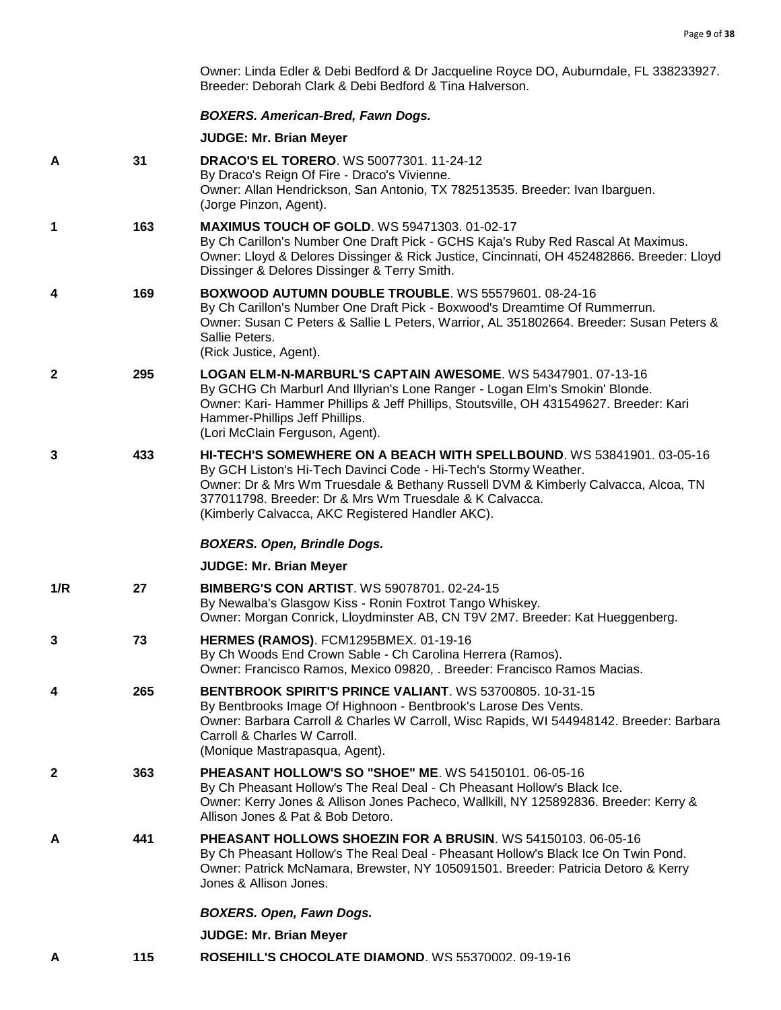Owner: Linda Edler & Debi Bedford & Dr Jacqueline Royce DO, Auburndale, FL 338233927. Breeder: Deborah Clark & Debi Bedford & Tina Halverson.

## *BOXERS. American-Bred, Fawn Dogs.*

| A            | 31  | <b>DRACO'S EL TORERO. WS 50077301. 11-24-12</b><br>By Draco's Reign Of Fire - Draco's Vivienne.<br>Owner: Allan Hendrickson, San Antonio, TX 782513535. Breeder: Ivan Ibarguen.<br>(Jorge Pinzon, Agent).                                                                                                                                     |
|--------------|-----|-----------------------------------------------------------------------------------------------------------------------------------------------------------------------------------------------------------------------------------------------------------------------------------------------------------------------------------------------|
| 1            | 163 | <b>MAXIMUS TOUCH OF GOLD. WS 59471303. 01-02-17</b><br>By Ch Carillon's Number One Draft Pick - GCHS Kaja's Ruby Red Rascal At Maximus.<br>Owner: Lloyd & Delores Dissinger & Rick Justice, Cincinnati, OH 452482866. Breeder: Lloyd<br>Dissinger & Delores Dissinger & Terry Smith.                                                          |
| 4            | 169 | BOXWOOD AUTUMN DOUBLE TROUBLE. WS 55579601. 08-24-16<br>By Ch Carillon's Number One Draft Pick - Boxwood's Dreamtime Of Rummerrun.<br>Owner: Susan C Peters & Sallie L Peters, Warrior, AL 351802664. Breeder: Susan Peters &<br>Sallie Peters.<br>(Rick Justice, Agent).                                                                     |
| $\mathbf{2}$ | 295 | LOGAN ELM-N-MARBURL'S CAPTAIN AWESOME. WS 54347901. 07-13-16<br>By GCHG Ch Marburl And Illyrian's Lone Ranger - Logan Elm's Smokin' Blonde.<br>Owner: Kari- Hammer Phillips & Jeff Phillips, Stoutsville, OH 431549627. Breeder: Kari<br>Hammer-Phillips Jeff Phillips.<br>(Lori McClain Ferguson, Agent).                                    |
| 3            | 433 | HI-TECH'S SOMEWHERE ON A BEACH WITH SPELLBOUND. WS 53841901. 03-05-16<br>By GCH Liston's Hi-Tech Davinci Code - Hi-Tech's Stormy Weather.<br>Owner: Dr & Mrs Wm Truesdale & Bethany Russell DVM & Kimberly Calvacca, Alcoa, TN<br>377011798. Breeder: Dr & Mrs Wm Truesdale & K Calvacca.<br>(Kimberly Calvacca, AKC Registered Handler AKC). |
|              |     | <b>BOXERS. Open, Brindle Dogs.</b>                                                                                                                                                                                                                                                                                                            |
|              |     |                                                                                                                                                                                                                                                                                                                                               |
|              |     | <b>JUDGE: Mr. Brian Meyer</b>                                                                                                                                                                                                                                                                                                                 |
| 1/R          | 27  | <b>BIMBERG'S CON ARTIST. WS 59078701, 02-24-15</b><br>By Newalba's Glasgow Kiss - Ronin Foxtrot Tango Whiskey.<br>Owner: Morgan Conrick, Lloydminster AB, CN T9V 2M7. Breeder: Kat Hueggenberg.                                                                                                                                               |
| 3            | 73  | <b>HERMES (RAMOS). FCM1295BMEX. 01-19-16</b><br>By Ch Woods End Crown Sable - Ch Carolina Herrera (Ramos).<br>Owner: Francisco Ramos, Mexico 09820, . Breeder: Francisco Ramos Macias.                                                                                                                                                        |
| 4            | 265 | BENTBROOK SPIRIT'S PRINCE VALIANT. WS 53700805. 10-31-15<br>By Bentbrooks Image Of Highnoon - Bentbrook's Larose Des Vents.<br>Owner: Barbara Carroll & Charles W Carroll, Wisc Rapids, WI 544948142. Breeder: Barbara<br>Carroll & Charles W Carroll.<br>(Monique Mastrapasqua, Agent).                                                      |
| 2            | 363 | <b>PHEASANT HOLLOW'S SO "SHOE" ME. WS 54150101. 06-05-16</b><br>By Ch Pheasant Hollow's The Real Deal - Ch Pheasant Hollow's Black Ice.<br>Owner: Kerry Jones & Allison Jones Pacheco, Wallkill, NY 125892836. Breeder: Kerry &<br>Allison Jones & Pat & Bob Detoro.                                                                          |
| A            | 441 | <b>PHEASANT HOLLOWS SHOEZIN FOR A BRUSIN. WS 54150103. 06-05-16</b><br>By Ch Pheasant Hollow's The Real Deal - Pheasant Hollow's Black Ice On Twin Pond.<br>Owner: Patrick McNamara, Brewster, NY 105091501. Breeder: Patricia Detoro & Kerry<br>Jones & Allison Jones.                                                                       |
|              |     | <b>BOXERS. Open, Fawn Dogs.</b>                                                                                                                                                                                                                                                                                                               |
|              |     | <b>JUDGE: Mr. Brian Meyer</b>                                                                                                                                                                                                                                                                                                                 |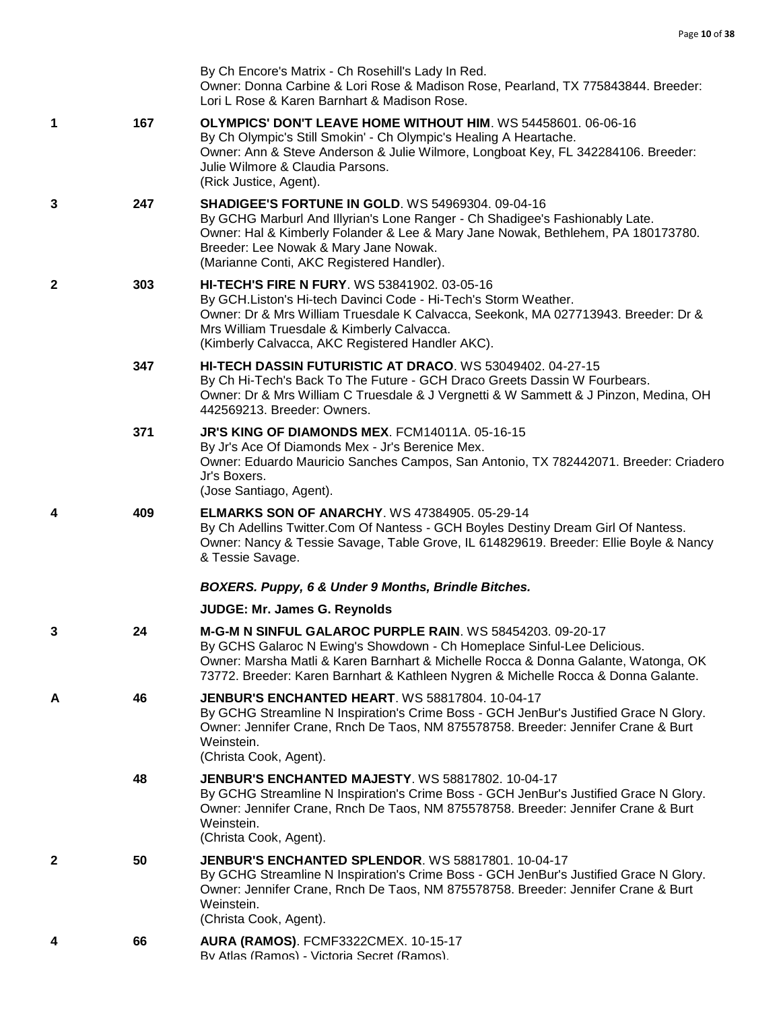|              |     | By Ch Encore's Matrix - Ch Rosehill's Lady In Red.<br>Owner: Donna Carbine & Lori Rose & Madison Rose, Pearland, TX 775843844. Breeder:<br>Lori L Rose & Karen Barnhart & Madison Rose.                                                                                                                            |
|--------------|-----|--------------------------------------------------------------------------------------------------------------------------------------------------------------------------------------------------------------------------------------------------------------------------------------------------------------------|
| 1            | 167 | <b>OLYMPICS' DON'T LEAVE HOME WITHOUT HIM. WS 54458601. 06-06-16</b><br>By Ch Olympic's Still Smokin' - Ch Olympic's Healing A Heartache.<br>Owner: Ann & Steve Anderson & Julie Wilmore, Longboat Key, FL 342284106. Breeder:<br>Julie Wilmore & Claudia Parsons.<br>(Rick Justice, Agent).                       |
| 3            | 247 | <b>SHADIGEE'S FORTUNE IN GOLD. WS 54969304, 09-04-16</b><br>By GCHG Marburl And Illyrian's Lone Ranger - Ch Shadigee's Fashionably Late.<br>Owner: Hal & Kimberly Folander & Lee & Mary Jane Nowak, Bethlehem, PA 180173780.<br>Breeder: Lee Nowak & Mary Jane Nowak.<br>(Marianne Conti, AKC Registered Handler). |
| $\mathbf{2}$ | 303 | <b>HI-TECH'S FIRE N FURY. WS 53841902. 03-05-16</b><br>By GCH.Liston's Hi-tech Davinci Code - Hi-Tech's Storm Weather.<br>Owner: Dr & Mrs William Truesdale K Calvacca, Seekonk, MA 027713943. Breeder: Dr &<br>Mrs William Truesdale & Kimberly Calvacca.<br>(Kimberly Calvacca, AKC Registered Handler AKC).     |
|              | 347 | HI-TECH DASSIN FUTURISTIC AT DRACO. WS 53049402. 04-27-15<br>By Ch Hi-Tech's Back To The Future - GCH Draco Greets Dassin W Fourbears.<br>Owner: Dr & Mrs William C Truesdale & J Vergnetti & W Sammett & J Pinzon, Medina, OH<br>442569213. Breeder: Owners.                                                      |
|              | 371 | JR'S KING OF DIAMONDS MEX. FCM14011A. 05-16-15<br>By Jr's Ace Of Diamonds Mex - Jr's Berenice Mex.<br>Owner: Eduardo Mauricio Sanches Campos, San Antonio, TX 782442071. Breeder: Criadero<br>Jr's Boxers.<br>(Jose Santiago, Agent).                                                                              |
| 4            | 409 | <b>ELMARKS SON OF ANARCHY. WS 47384905. 05-29-14</b><br>By Ch Adellins Twitter.Com Of Nantess - GCH Boyles Destiny Dream Girl Of Nantess.<br>Owner: Nancy & Tessie Savage, Table Grove, IL 614829619. Breeder: Ellie Boyle & Nancy<br>& Tessie Savage.                                                             |
|              |     | BOXERS. Puppy, 6 & Under 9 Months, Brindle Bitches.                                                                                                                                                                                                                                                                |
|              |     | <b>JUDGE: Mr. James G. Reynolds</b>                                                                                                                                                                                                                                                                                |
| 3            | 24  | M-G-M N SINFUL GALAROC PURPLE RAIN. WS 58454203, 09-20-17<br>By GCHS Galaroc N Ewing's Showdown - Ch Homeplace Sinful-Lee Delicious.<br>Owner: Marsha Matli & Karen Barnhart & Michelle Rocca & Donna Galante, Watonga, OK<br>73772. Breeder: Karen Barnhart & Kathleen Nygren & Michelle Rocca & Donna Galante.   |
| A            | 46  | <b>JENBUR'S ENCHANTED HEART. WS 58817804, 10-04-17</b><br>By GCHG Streamline N Inspiration's Crime Boss - GCH JenBur's Justified Grace N Glory.<br>Owner: Jennifer Crane, Rnch De Taos, NM 875578758. Breeder: Jennifer Crane & Burt<br>Weinstein.<br>(Christa Cook, Agent).                                       |
|              | 48  | <b>JENBUR'S ENCHANTED MAJESTY.</b> WS 58817802, 10-04-17<br>By GCHG Streamline N Inspiration's Crime Boss - GCH JenBur's Justified Grace N Glory.<br>Owner: Jennifer Crane, Rnch De Taos, NM 875578758. Breeder: Jennifer Crane & Burt<br>Weinstein.<br>(Christa Cook, Agent).                                     |
| $\mathbf{2}$ | 50  | JENBUR'S ENCHANTED SPLENDOR. WS 58817801. 10-04-17<br>By GCHG Streamline N Inspiration's Crime Boss - GCH JenBur's Justified Grace N Glory.<br>Owner: Jennifer Crane, Rnch De Taos, NM 875578758. Breeder: Jennifer Crane & Burt<br>Weinstein.<br>(Christa Cook, Agent).                                           |
| 4            | 66  | AURA (RAMOS). FCMF3322CMEX. 10-15-17<br>Rv Atlas (Ramos) - Victoria Secret (Ramos)                                                                                                                                                                                                                                 |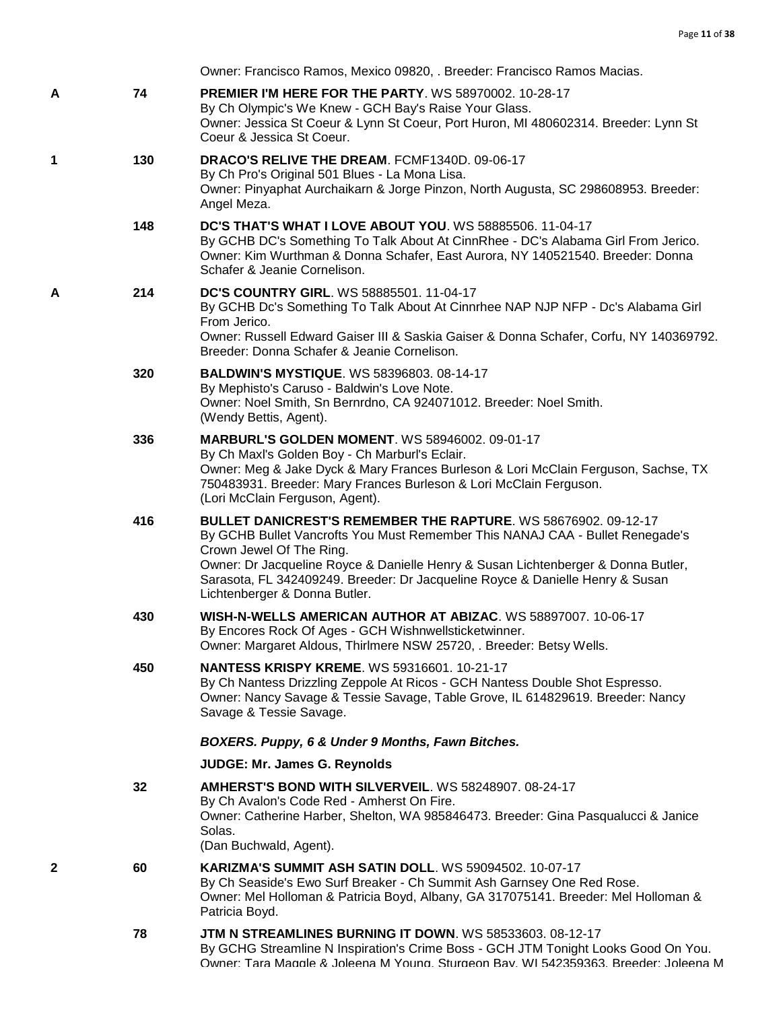Owner: Francisco Ramos, Mexico 09820, . Breeder: Francisco Ramos Macias.

- **A 74 [PREMIER I'M HERE FOR THE PARTY](http://infodog.com/my/drlookup2.htm?makc=WS%2058970002&mdog=Premier+I%27m+Here+For+The+Party&wins=all)**. WS 58970002. 10-28-17 By Ch Olympic's We Knew - GCH Bay's Raise Your Glass. Owner: Jessica St Coeur & Lynn St Coeur, Port Huron, MI 480602314. Breeder: Lynn St Coeur & Jessica St Coeur.
- **1 130 [DRACO'S RELIVE THE DREAM](http://infodog.com/my/drlookup2.htm?makc=FCMF1340D&mdog=Draco%27s+Relive+The+Dream&wins=all)**. FCMF1340D. 09-06-17 By Ch Pro's Original 501 Blues - La Mona Lisa. Owner: Pinyaphat Aurchaikarn & Jorge Pinzon, North Augusta, SC 298608953. Breeder: Angel Meza.
	- **148 [DC'S THAT'S WHAT I LOVE ABOUT YOU](http://infodog.com/my/drlookup2.htm?makc=WS%2058885506&mdog=DC%27s+That%27s+What+I+Love+About+You&wins=all)**. WS 58885506. 11-04-17 By GCHB DC's Something To Talk About At CinnRhee - DC's Alabama Girl From Jerico. Owner: Kim Wurthman & Donna Schafer, East Aurora, NY 140521540. Breeder: Donna Schafer & Jeanie Cornelison.
- **A 214 [DC'S COUNTRY GIRL](http://infodog.com/my/drlookup2.htm?makc=WS%2058885501&mdog=Dc%27s+Country+Girl&wins=all)**. WS 58885501. 11-04-17 By GCHB Dc's Something To Talk About At Cinnrhee NAP NJP NFP - Dc's Alabama Girl From Jerico.
	- Owner: Russell Edward Gaiser III & Saskia Gaiser & Donna Schafer, Corfu, NY 140369792. Breeder: Donna Schafer & Jeanie Cornelison.
	- **320 [BALDWIN'S MYSTIQUE](http://infodog.com/my/drlookup2.htm?makc=WS%2058396803&mdog=Baldwin%27s+Mystique&wins=all)**. WS 58396803. 08-14-17 By Mephisto's Caruso - Baldwin's Love Note. Owner: Noel Smith, Sn Bernrdno, CA 924071012. Breeder: Noel Smith. (Wendy Bettis, Agent).
	- **336 [MARBURL'S GOLDEN MOMENT](http://infodog.com/my/drlookup2.htm?makc=WS%2058946002&mdog=Marburl%27s+Golden+Moment&wins=all)**. WS 58946002. 09-01-17 By Ch Maxl's Golden Boy - Ch Marburl's Eclair. Owner: Meg & Jake Dyck & Mary Frances Burleson & Lori McClain Ferguson, Sachse, TX 750483931. Breeder: Mary Frances Burleson & Lori McClain Ferguson. (Lori McClain Ferguson, Agent).
	- **416 [BULLET DANICREST'S REMEMBER THE RAPTURE](http://infodog.com/my/drlookup2.htm?makc=WS%2058676902&mdog=Bullet+Danicrest%27s+Remember+The+Rapture&wins=all)**. WS 58676902. 09-12-17 By GCHB Bullet Vancrofts You Must Remember This NANAJ CAA - Bullet Renegade's Crown Jewel Of The Ring. Owner: Dr Jacqueline Royce & Danielle Henry & Susan Lichtenberger & Donna Butler, Sarasota, FL 342409249. Breeder: Dr Jacqueline Royce & Danielle Henry & Susan Lichtenberger & Donna Butler.
	- **430 [WISH-N-WELLS AMERICAN AUTHOR AT ABIZAC](http://infodog.com/my/drlookup2.htm?makc=WS%2058897007&mdog=Wish-N-Wells+American+Author+At+Abizac&wins=all)**. WS 58897007. 10-06-17 By Encores Rock Of Ages - GCH Wishnwellsticketwinner. Owner: Margaret Aldous, Thirlmere NSW 25720, . Breeder: Betsy Wells.
	- **450 [NANTESS KRISPY KREME](http://infodog.com/my/drlookup2.htm?makc=WS%2059316601&mdog=Nantess+Krispy+Kreme&wins=all)**. WS 59316601. 10-21-17 By Ch Nantess Drizzling Zeppole At Ricos - GCH Nantess Double Shot Espresso. Owner: Nancy Savage & Tessie Savage, Table Grove, IL 614829619. Breeder: Nancy Savage & Tessie Savage.

#### *BOXERS. Puppy, 6 & Under 9 Months, Fawn Bitches.*

#### **JUDGE: [Mr. James G. Reynolds](http://infodog.com/show/judge/jdgprofile.htm?jn=3353)**

**32 [AMHERST'S BOND WITH SILVERVEIL](http://infodog.com/my/drlookup2.htm?makc=WS%2058248907&mdog=Amherst%27s+Bond+With+Silverveil&wins=all)**. WS 58248907. 08-24-17 By Ch Avalon's Code Red - Amherst On Fire. Owner: Catherine Harber, Shelton, WA 985846473. Breeder: Gina Pasqualucci & Janice Solas.

(Dan Buchwald, Agent).

- **2 60 [KARIZMA'S SUMMIT ASH SATIN DOLL](http://infodog.com/my/drlookup2.htm?makc=WS%2059094502&mdog=Karizma%27s+Summit+Ash+Satin+Doll&wins=all)**. WS 59094502. 10-07-17 By Ch Seaside's Ewo Surf Breaker - Ch Summit Ash Garnsey One Red Rose. Owner: Mel Holloman & Patricia Boyd, Albany, GA 317075141. Breeder: Mel Holloman & Patricia Boyd.
	- **78 [JTM N STREAMLINES BURNING IT DOWN](http://infodog.com/my/drlookup2.htm?makc=WS%2058533603&mdog=JTM+N+Streamlines+Burning+It+Down&wins=all)**. WS 58533603. 08-12-17 By GCHG Streamline N Inspiration's Crime Boss - GCH JTM Tonight Looks Good On You. Owner: Tara Maggle & Joleena M Young, Sturgeon Bay, WI 542359363. Breeder: Joleena M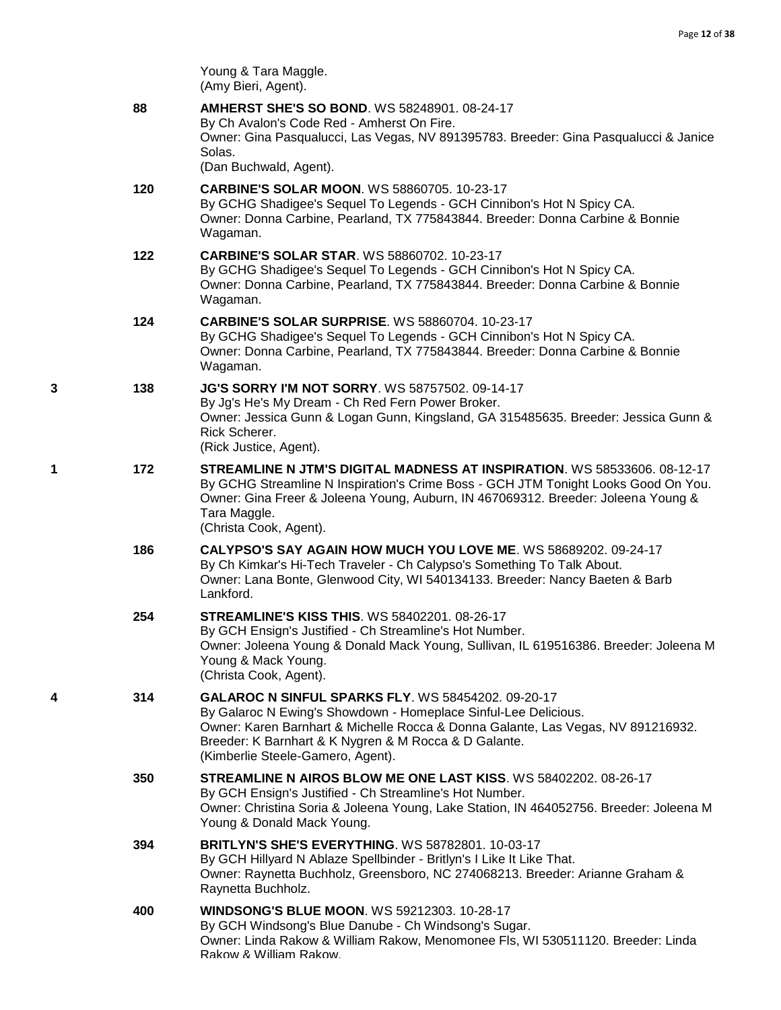|   |     | Young & Tara Maggle.<br>(Amy Bieri, Agent).                                                                                                                                                                                                                                                                    |
|---|-----|----------------------------------------------------------------------------------------------------------------------------------------------------------------------------------------------------------------------------------------------------------------------------------------------------------------|
|   | 88  | <b>AMHERST SHE'S SO BOND. WS 58248901. 08-24-17</b><br>By Ch Avalon's Code Red - Amherst On Fire.<br>Owner: Gina Pasqualucci, Las Vegas, NV 891395783. Breeder: Gina Pasqualucci & Janice<br>Solas.                                                                                                            |
|   |     | (Dan Buchwald, Agent).                                                                                                                                                                                                                                                                                         |
|   | 120 | <b>CARBINE'S SOLAR MOON. WS 58860705. 10-23-17</b><br>By GCHG Shadigee's Sequel To Legends - GCH Cinnibon's Hot N Spicy CA.<br>Owner: Donna Carbine, Pearland, TX 775843844. Breeder: Donna Carbine & Bonnie<br>Wagaman.                                                                                       |
|   | 122 | <b>CARBINE'S SOLAR STAR. WS 58860702. 10-23-17</b><br>By GCHG Shadigee's Sequel To Legends - GCH Cinnibon's Hot N Spicy CA.<br>Owner: Donna Carbine, Pearland, TX 775843844. Breeder: Donna Carbine & Bonnie<br>Wagaman.                                                                                       |
|   | 124 | <b>CARBINE'S SOLAR SURPRISE. WS 58860704. 10-23-17</b><br>By GCHG Shadigee's Sequel To Legends - GCH Cinnibon's Hot N Spicy CA.<br>Owner: Donna Carbine, Pearland, TX 775843844. Breeder: Donna Carbine & Bonnie<br>Wagaman.                                                                                   |
| 3 | 138 | <b>JG'S SORRY I'M NOT SORRY.</b> WS 58757502. 09-14-17<br>By Jg's He's My Dream - Ch Red Fern Power Broker.<br>Owner: Jessica Gunn & Logan Gunn, Kingsland, GA 315485635. Breeder: Jessica Gunn &<br>Rick Scherer.<br>(Rick Justice, Agent).                                                                   |
| 1 | 172 | <b>STREAMLINE N JTM'S DIGITAL MADNESS AT INSPIRATION.</b> WS 58533606, 08-12-17<br>By GCHG Streamline N Inspiration's Crime Boss - GCH JTM Tonight Looks Good On You.<br>Owner: Gina Freer & Joleena Young, Auburn, IN 467069312. Breeder: Joleena Young &<br>Tara Maggle.<br>(Christa Cook, Agent).           |
|   | 186 | CALYPSO'S SAY AGAIN HOW MUCH YOU LOVE ME. WS 58689202. 09-24-17<br>By Ch Kimkar's Hi-Tech Traveler - Ch Calypso's Something To Talk About.<br>Owner: Lana Bonte, Glenwood City, WI 540134133. Breeder: Nancy Baeten & Barb<br>Lankford.                                                                        |
|   | 254 | <b>STREAMLINE'S KISS THIS. WS 58402201. 08-26-17</b><br>By GCH Ensign's Justified - Ch Streamline's Hot Number.<br>Owner: Joleena Young & Donald Mack Young, Sullivan, IL 619516386. Breeder: Joleena M<br>Young & Mack Young.<br>(Christa Cook, Agent).                                                       |
| 4 | 314 | <b>GALAROC N SINFUL SPARKS FLY. WS 58454202. 09-20-17</b><br>By Galaroc N Ewing's Showdown - Homeplace Sinful-Lee Delicious.<br>Owner: Karen Barnhart & Michelle Rocca & Donna Galante, Las Vegas, NV 891216932.<br>Breeder: K Barnhart & K Nygren & M Rocca & D Galante.<br>(Kimberlie Steele-Gamero, Agent). |
|   | 350 | STREAMLINE N AIROS BLOW ME ONE LAST KISS. WS 58402202. 08-26-17<br>By GCH Ensign's Justified - Ch Streamline's Hot Number.<br>Owner: Christina Soria & Joleena Young, Lake Station, IN 464052756. Breeder: Joleena M<br>Young & Donald Mack Young.                                                             |
|   | 394 | <b>BRITLYN'S SHE'S EVERYTHING. WS 58782801. 10-03-17</b><br>By GCH Hillyard N Ablaze Spellbinder - Britlyn's I Like It Like That.<br>Owner: Raynetta Buchholz, Greensboro, NC 274068213. Breeder: Arianne Graham &<br>Raynetta Buchholz.                                                                       |
|   | 400 | <b>WINDSONG'S BLUE MOON. WS 59212303. 10-28-17</b><br>By GCH Windsong's Blue Danube - Ch Windsong's Sugar.<br>Owner: Linda Rakow & William Rakow, Menomonee Fls, WI 530511120. Breeder: Linda<br>Rakow & William Rakow.                                                                                        |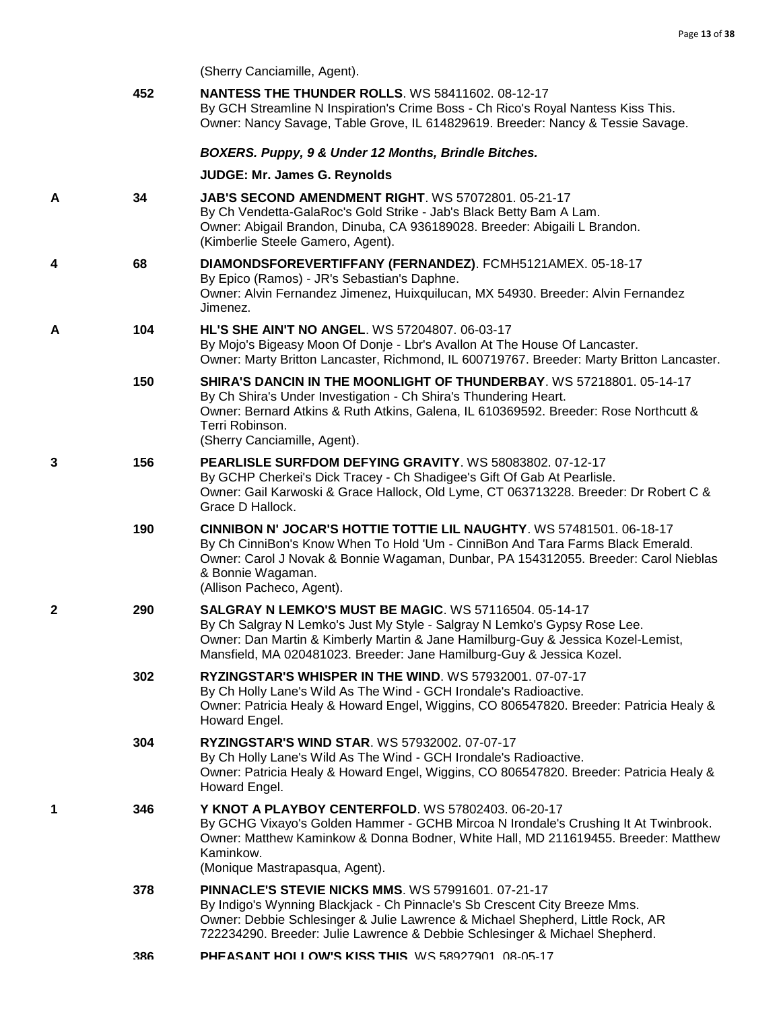(Sherry Canciamille, Agent).

|   | 452 | <b>NANTESS THE THUNDER ROLLS.</b> WS 58411602. 08-12-17<br>By GCH Streamline N Inspiration's Crime Boss - Ch Rico's Royal Nantess Kiss This.<br>Owner: Nancy Savage, Table Grove, IL 614829619. Breeder: Nancy & Tessie Savage.                                                                          |
|---|-----|----------------------------------------------------------------------------------------------------------------------------------------------------------------------------------------------------------------------------------------------------------------------------------------------------------|
|   |     | BOXERS. Puppy, 9 & Under 12 Months, Brindle Bitches.                                                                                                                                                                                                                                                     |
|   |     | <b>JUDGE: Mr. James G. Reynolds</b>                                                                                                                                                                                                                                                                      |
| Α | 34  | <b>JAB'S SECOND AMENDMENT RIGHT. WS 57072801. 05-21-17</b><br>By Ch Vendetta-GalaRoc's Gold Strike - Jab's Black Betty Bam A Lam.<br>Owner: Abigail Brandon, Dinuba, CA 936189028. Breeder: Abigaili L Brandon.<br>(Kimberlie Steele Gamero, Agent).                                                     |
| 4 | 68  | DIAMONDSFOREVERTIFFANY (FERNANDEZ). FCMH5121AMEX. 05-18-17<br>By Epico (Ramos) - JR's Sebastian's Daphne.<br>Owner: Alvin Fernandez Jimenez, Huixquilucan, MX 54930. Breeder: Alvin Fernandez<br>Jimenez.                                                                                                |
| Α | 104 | <b>HL'S SHE AIN'T NO ANGEL. WS 57204807. 06-03-17</b><br>By Mojo's Bigeasy Moon Of Donje - Lbr's Avallon At The House Of Lancaster.<br>Owner: Marty Britton Lancaster, Richmond, IL 600719767. Breeder: Marty Britton Lancaster.                                                                         |
|   | 150 | <b>SHIRA'S DANCIN IN THE MOONLIGHT OF THUNDERBAY.</b> WS 57218801. 05-14-17<br>By Ch Shira's Under Investigation - Ch Shira's Thundering Heart.<br>Owner: Bernard Atkins & Ruth Atkins, Galena, IL 610369592. Breeder: Rose Northcutt &<br>Terri Robinson.<br>(Sherry Canciamille, Agent).               |
| 3 | 156 | PEARLISLE SURFDOM DEFYING GRAVITY. WS 58083802. 07-12-17<br>By GCHP Cherkei's Dick Tracey - Ch Shadigee's Gift Of Gab At Pearlisle.<br>Owner: Gail Karwoski & Grace Hallock, Old Lyme, CT 063713228. Breeder: Dr Robert C &<br>Grace D Hallock.                                                          |
|   | 190 | <b>CINNIBON N' JOCAR'S HOTTIE TOTTIE LIL NAUGHTY.</b> WS 57481501, 06-18-17<br>By Ch CinniBon's Know When To Hold 'Um - CinniBon And Tara Farms Black Emerald.<br>Owner: Carol J Novak & Bonnie Wagaman, Dunbar, PA 154312055. Breeder: Carol Nieblas<br>& Bonnie Wagaman.<br>(Allison Pacheco, Agent).  |
| 2 | 290 | <b>SALGRAY N LEMKO'S MUST BE MAGIC. WS 57116504. 05-14-17</b><br>By Ch Salgray N Lemko's Just My Style - Salgray N Lemko's Gypsy Rose Lee.<br>Owner: Dan Martin & Kimberly Martin & Jane Hamilburg-Guy & Jessica Kozel-Lemist,<br>Mansfield, MA 020481023. Breeder: Jane Hamilburg-Guy & Jessica Kozel.  |
|   | 302 | RYZINGSTAR'S WHISPER IN THE WIND. WS 57932001. 07-07-17<br>By Ch Holly Lane's Wild As The Wind - GCH Irondale's Radioactive.<br>Owner: Patricia Healy & Howard Engel, Wiggins, CO 806547820. Breeder: Patricia Healy &<br>Howard Engel.                                                                  |
|   | 304 | <b>RYZINGSTAR'S WIND STAR. WS 57932002. 07-07-17</b><br>By Ch Holly Lane's Wild As The Wind - GCH Irondale's Radioactive.<br>Owner: Patricia Healy & Howard Engel, Wiggins, CO 806547820. Breeder: Patricia Healy &<br>Howard Engel.                                                                     |
| 1 | 346 | Y KNOT A PLAYBOY CENTERFOLD. WS 57802403. 06-20-17<br>By GCHG Vixayo's Golden Hammer - GCHB Mircoa N Irondale's Crushing It At Twinbrook.<br>Owner: Matthew Kaminkow & Donna Bodner, White Hall, MD 211619455. Breeder: Matthew<br>Kaminkow.<br>(Monique Mastrapasqua, Agent).                           |
|   | 378 | <b>PINNACLE'S STEVIE NICKS MMS. WS 57991601. 07-21-17</b><br>By Indigo's Wynning Blackjack - Ch Pinnacle's Sb Crescent City Breeze Mms.<br>Owner: Debbie Schlesinger & Julie Lawrence & Michael Shepherd, Little Rock, AR<br>722234290. Breeder: Julie Lawrence & Debbie Schlesinger & Michael Shepherd. |
|   | 386 | PHEASANT HOLLOW'S KISS THIS. WS 58927901. 08-05-17                                                                                                                                                                                                                                                       |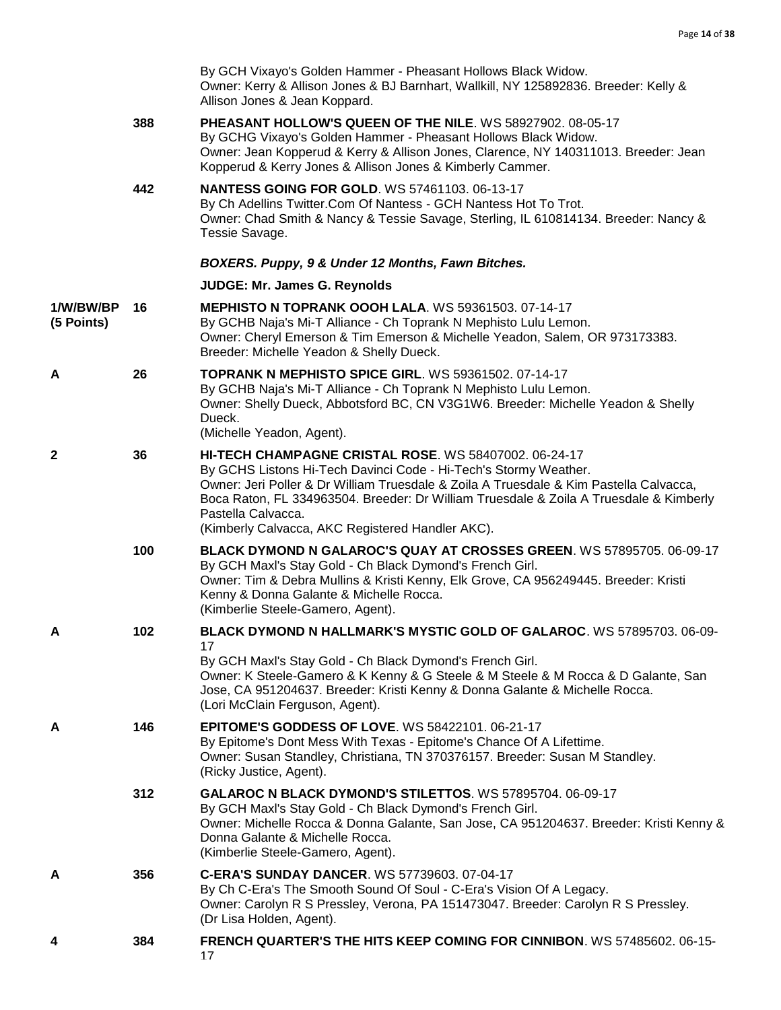|                         |     | By GCH Vixayo's Golden Hammer - Pheasant Hollows Black Widow.<br>Owner: Kerry & Allison Jones & BJ Barnhart, Wallkill, NY 125892836. Breeder: Kelly &<br>Allison Jones & Jean Koppard.                                                                                                                                                                                                  |
|-------------------------|-----|-----------------------------------------------------------------------------------------------------------------------------------------------------------------------------------------------------------------------------------------------------------------------------------------------------------------------------------------------------------------------------------------|
|                         | 388 | PHEASANT HOLLOW'S QUEEN OF THE NILE. WS 58927902. 08-05-17<br>By GCHG Vixayo's Golden Hammer - Pheasant Hollows Black Widow.<br>Owner: Jean Kopperud & Kerry & Allison Jones, Clarence, NY 140311013. Breeder: Jean<br>Kopperud & Kerry Jones & Allison Jones & Kimberly Cammer.                                                                                                        |
|                         | 442 | <b>NANTESS GOING FOR GOLD. WS 57461103. 06-13-17</b><br>By Ch Adellins Twitter.Com Of Nantess - GCH Nantess Hot To Trot.<br>Owner: Chad Smith & Nancy & Tessie Savage, Sterling, IL 610814134. Breeder: Nancy &<br>Tessie Savage.                                                                                                                                                       |
|                         |     | BOXERS. Puppy, 9 & Under 12 Months, Fawn Bitches.                                                                                                                                                                                                                                                                                                                                       |
|                         |     | JUDGE: Mr. James G. Reynolds                                                                                                                                                                                                                                                                                                                                                            |
| 1/W/BW/BP<br>(5 Points) | 16  | <b>MEPHISTO N TOPRANK OOOH LALA. WS 59361503. 07-14-17</b><br>By GCHB Naja's Mi-T Alliance - Ch Toprank N Mephisto Lulu Lemon.<br>Owner: Cheryl Emerson & Tim Emerson & Michelle Yeadon, Salem, OR 973173383.<br>Breeder: Michelle Yeadon & Shelly Dueck.                                                                                                                               |
| A                       | 26  | <b>TOPRANK N MEPHISTO SPICE GIRL. WS 59361502. 07-14-17</b><br>By GCHB Naja's Mi-T Alliance - Ch Toprank N Mephisto Lulu Lemon.<br>Owner: Shelly Dueck, Abbotsford BC, CN V3G1W6. Breeder: Michelle Yeadon & Shelly<br>Dueck.<br>(Michelle Yeadon, Agent).                                                                                                                              |
| 2                       | 36  | HI-TECH CHAMPAGNE CRISTAL ROSE. WS 58407002. 06-24-17<br>By GCHS Listons Hi-Tech Davinci Code - Hi-Tech's Stormy Weather.<br>Owner: Jeri Poller & Dr William Truesdale & Zoila A Truesdale & Kim Pastella Calvacca,<br>Boca Raton, FL 334963504. Breeder: Dr William Truesdale & Zoila A Truesdale & Kimberly<br>Pastella Calvacca.<br>(Kimberly Calvacca, AKC Registered Handler AKC). |
|                         | 100 | BLACK DYMOND N GALAROC'S QUAY AT CROSSES GREEN. WS 57895705. 06-09-17<br>By GCH Maxl's Stay Gold - Ch Black Dymond's French Girl.<br>Owner: Tim & Debra Mullins & Kristi Kenny, Elk Grove, CA 956249445. Breeder: Kristi<br>Kenny & Donna Galante & Michelle Rocca.<br>(Kimberlie Steele-Gamero, Agent).                                                                                |
| А                       | 102 | BLACK DYMOND N HALLMARK'S MYSTIC GOLD OF GALAROC. WS 57895703. 06-09-                                                                                                                                                                                                                                                                                                                   |
|                         |     | 17<br>By GCH Maxl's Stay Gold - Ch Black Dymond's French Girl.<br>Owner: K Steele-Gamero & K Kenny & G Steele & M Steele & M Rocca & D Galante, San<br>Jose, CA 951204637. Breeder: Kristi Kenny & Donna Galante & Michelle Rocca.<br>(Lori McClain Ferguson, Agent).                                                                                                                   |
| A                       | 146 | EPITOME'S GODDESS OF LOVE. WS 58422101. 06-21-17<br>By Epitome's Dont Mess With Texas - Epitome's Chance Of A Lifettime.<br>Owner: Susan Standley, Christiana, TN 370376157. Breeder: Susan M Standley.<br>(Ricky Justice, Agent).                                                                                                                                                      |
|                         | 312 | GALAROC N BLACK DYMOND'S STILETTOS. WS 57895704. 06-09-17<br>By GCH Maxl's Stay Gold - Ch Black Dymond's French Girl.<br>Owner: Michelle Rocca & Donna Galante, San Jose, CA 951204637. Breeder: Kristi Kenny &<br>Donna Galante & Michelle Rocca.<br>(Kimberlie Steele-Gamero, Agent).                                                                                                 |
| A                       | 356 | C-ERA'S SUNDAY DANCER. WS 57739603. 07-04-17<br>By Ch C-Era's The Smooth Sound Of Soul - C-Era's Vision Of A Legacy.<br>Owner: Carolyn R S Pressley, Verona, PA 151473047. Breeder: Carolyn R S Pressley.<br>(Dr Lisa Holden, Agent).                                                                                                                                                   |
| 4                       | 384 | FRENCH QUARTER'S THE HITS KEEP COMING FOR CINNIBON. WS 57485602. 06-15-<br>17                                                                                                                                                                                                                                                                                                           |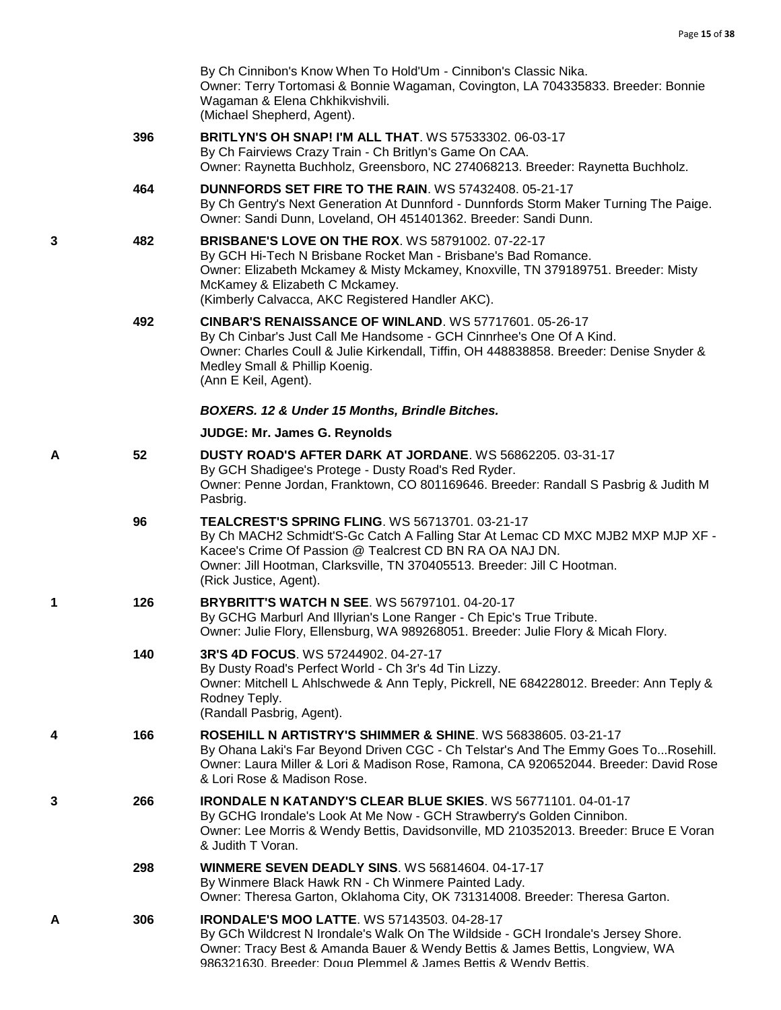|   |     | By Ch Cinnibon's Know When To Hold'Um - Cinnibon's Classic Nika.<br>Owner: Terry Tortomasi & Bonnie Wagaman, Covington, LA 704335833. Breeder: Bonnie<br>Wagaman & Elena Chkhikvishvili.<br>(Michael Shepherd, Agent).                                                                                      |
|---|-----|-------------------------------------------------------------------------------------------------------------------------------------------------------------------------------------------------------------------------------------------------------------------------------------------------------------|
|   | 396 | <b>BRITLYN'S OH SNAP! I'M ALL THAT. WS 57533302. 06-03-17</b><br>By Ch Fairviews Crazy Train - Ch Britlyn's Game On CAA.<br>Owner: Raynetta Buchholz, Greensboro, NC 274068213. Breeder: Raynetta Buchholz.                                                                                                 |
|   | 464 | <b>DUNNFORDS SET FIRE TO THE RAIN. WS 57432408. 05-21-17</b><br>By Ch Gentry's Next Generation At Dunnford - Dunnfords Storm Maker Turning The Paige.<br>Owner: Sandi Dunn, Loveland, OH 451401362. Breeder: Sandi Dunn.                                                                                    |
| 3 | 482 | <b>BRISBANE'S LOVE ON THE ROX. WS 58791002. 07-22-17</b><br>By GCH Hi-Tech N Brisbane Rocket Man - Brisbane's Bad Romance.<br>Owner: Elizabeth Mckamey & Misty Mckamey, Knoxville, TN 379189751. Breeder: Misty<br>McKamey & Elizabeth C Mckamey.<br>(Kimberly Calvacca, AKC Registered Handler AKC).       |
|   | 492 | CINBAR'S RENAISSANCE OF WINLAND. WS 57717601. 05-26-17<br>By Ch Cinbar's Just Call Me Handsome - GCH Cinnrhee's One Of A Kind.<br>Owner: Charles Coull & Julie Kirkendall, Tiffin, OH 448838858. Breeder: Denise Snyder &<br>Medley Small & Phillip Koenig.<br>(Ann E Keil, Agent).                         |
|   |     | <b>BOXERS. 12 &amp; Under 15 Months, Brindle Bitches.</b>                                                                                                                                                                                                                                                   |
|   |     | JUDGE: Mr. James G. Reynolds                                                                                                                                                                                                                                                                                |
| Α | 52  | DUSTY ROAD'S AFTER DARK AT JORDANE. WS 56862205. 03-31-17<br>By GCH Shadigee's Protege - Dusty Road's Red Ryder.<br>Owner: Penne Jordan, Franktown, CO 801169646. Breeder: Randall S Pasbrig & Judith M<br>Pasbrig.                                                                                         |
|   | 96  | <b>TEALCREST'S SPRING FLING. WS 56713701. 03-21-17</b><br>By Ch MACH2 Schmidt'S-Gc Catch A Falling Star At Lemac CD MXC MJB2 MXP MJP XF -<br>Kacee's Crime Of Passion @ Tealcrest CD BN RA OA NAJ DN.<br>Owner: Jill Hootman, Clarksville, TN 370405513. Breeder: Jill C Hootman.<br>(Rick Justice, Agent). |
| 1 | 126 | <b>BRYBRITT'S WATCH N SEE. WS 56797101.04-20-17</b><br>By GCHG Marburl And Illyrian's Lone Ranger - Ch Epic's True Tribute.<br>Owner: Julie Flory, Ellensburg, WA 989268051. Breeder: Julie Flory & Micah Flory.                                                                                            |
|   | 140 | 3R'S 4D FOCUS. WS 57244902. 04-27-17<br>By Dusty Road's Perfect World - Ch 3r's 4d Tin Lizzy.<br>Owner: Mitchell L Ahlschwede & Ann Teply, Pickrell, NE 684228012. Breeder: Ann Teply &<br>Rodney Teply.<br>(Randall Pasbrig, Agent).                                                                       |
| 4 | 166 | ROSEHILL N ARTISTRY'S SHIMMER & SHINE. WS 56838605. 03-21-17<br>By Ohana Laki's Far Beyond Driven CGC - Ch Telstar's And The Emmy Goes ToRosehill.<br>Owner: Laura Miller & Lori & Madison Rose, Ramona, CA 920652044. Breeder: David Rose<br>& Lori Rose & Madison Rose.                                   |
| 3 | 266 | IRONDALE N KATANDY'S CLEAR BLUE SKIES. WS 56771101. 04-01-17<br>By GCHG Irondale's Look At Me Now - GCH Strawberry's Golden Cinnibon.<br>Owner: Lee Morris & Wendy Bettis, Davidsonville, MD 210352013. Breeder: Bruce E Voran<br>& Judith T Voran.                                                         |
|   | 298 | <b>WINMERE SEVEN DEADLY SINS. WS 56814604, 04-17-17</b><br>By Winmere Black Hawk RN - Ch Winmere Painted Lady.<br>Owner: Theresa Garton, Oklahoma City, OK 731314008. Breeder: Theresa Garton.                                                                                                              |
| А | 306 | <b>IRONDALE'S MOO LATTE. WS 57143503. 04-28-17</b><br>By GCh Wildcrest N Irondale's Walk On The Wildside - GCH Irondale's Jersey Shore.<br>Owner: Tracy Best & Amanda Bauer & Wendy Bettis & James Bettis, Longview, WA<br>986321630 Breeder: Doug Plemmel & James Bettis & Wendy Bettis                    |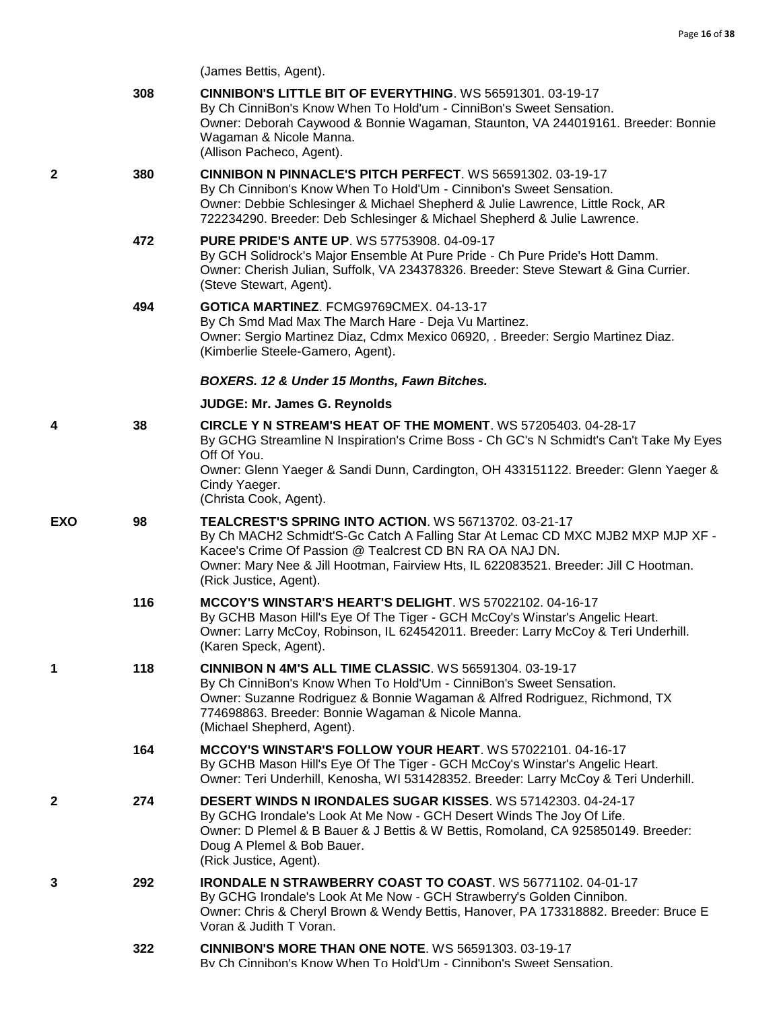(James Bettis, Agent).

|            | 308 | <b>CINNIBON'S LITTLE BIT OF EVERYTHING. WS 56591301. 03-19-17</b><br>By Ch CinniBon's Know When To Hold'um - CinniBon's Sweet Sensation.<br>Owner: Deborah Caywood & Bonnie Wagaman, Staunton, VA 244019161. Breeder: Bonnie<br>Wagaman & Nicole Manna.<br>(Allison Pacheco, Agent).                                   |
|------------|-----|------------------------------------------------------------------------------------------------------------------------------------------------------------------------------------------------------------------------------------------------------------------------------------------------------------------------|
| 2          | 380 | CINNIBON N PINNACLE'S PITCH PERFECT. WS 56591302. 03-19-17<br>By Ch Cinnibon's Know When To Hold'Um - Cinnibon's Sweet Sensation.<br>Owner: Debbie Schlesinger & Michael Shepherd & Julie Lawrence, Little Rock, AR<br>722234290. Breeder: Deb Schlesinger & Michael Shepherd & Julie Lawrence.                        |
|            | 472 | <b>PURE PRIDE'S ANTE UP. WS 57753908. 04-09-17</b><br>By GCH Solidrock's Major Ensemble At Pure Pride - Ch Pure Pride's Hott Damm.<br>Owner: Cherish Julian, Suffolk, VA 234378326. Breeder: Steve Stewart & Gina Currier.<br>(Steve Stewart, Agent).                                                                  |
|            | 494 | GOTICA MARTINEZ. FCMG9769CMEX. 04-13-17<br>By Ch Smd Mad Max The March Hare - Deja Vu Martinez.<br>Owner: Sergio Martinez Diaz, Cdmx Mexico 06920, . Breeder: Sergio Martinez Diaz.<br>(Kimberlie Steele-Gamero, Agent).                                                                                               |
|            |     | BOXERS. 12 & Under 15 Months, Fawn Bitches.                                                                                                                                                                                                                                                                            |
|            |     | JUDGE: Mr. James G. Reynolds                                                                                                                                                                                                                                                                                           |
| 4          | 38  | <b>CIRCLE Y N STREAM'S HEAT OF THE MOMENT.</b> WS 57205403. 04-28-17<br>By GCHG Streamline N Inspiration's Crime Boss - Ch GC's N Schmidt's Can't Take My Eyes<br>Off Of You.                                                                                                                                          |
|            |     | Owner: Glenn Yaeger & Sandi Dunn, Cardington, OH 433151122. Breeder: Glenn Yaeger &<br>Cindy Yaeger.<br>(Christa Cook, Agent).                                                                                                                                                                                         |
| <b>EXO</b> | 98  | TEALCREST'S SPRING INTO ACTION. WS 56713702. 03-21-17<br>By Ch MACH2 Schmidt'S-Gc Catch A Falling Star At Lemac CD MXC MJB2 MXP MJP XF -<br>Kacee's Crime Of Passion @ Tealcrest CD BN RA OA NAJ DN.<br>Owner: Mary Nee & Jill Hootman, Fairview Hts, IL 622083521. Breeder: Jill C Hootman.<br>(Rick Justice, Agent). |
|            | 116 | MCCOY'S WINSTAR'S HEART'S DELIGHT. WS 57022102. 04-16-17<br>By GCHB Mason Hill's Eye Of The Tiger - GCH McCoy's Winstar's Angelic Heart.<br>Owner: Larry McCoy, Robinson, IL 624542011. Breeder: Larry McCoy & Teri Underhill.<br>(Karen Speck, Agent).                                                                |
| 1          | 118 | <b>CINNIBON N 4M'S ALL TIME CLASSIC. WS 56591304. 03-19-17</b><br>By Ch CinniBon's Know When To Hold'Um - CinniBon's Sweet Sensation.<br>Owner: Suzanne Rodriguez & Bonnie Wagaman & Alfred Rodriguez, Richmond, TX<br>774698863. Breeder: Bonnie Wagaman & Nicole Manna.<br>(Michael Shepherd, Agent).                |
|            | 164 | <b>MCCOY'S WINSTAR'S FOLLOW YOUR HEART. WS 57022101.04-16-17</b><br>By GCHB Mason Hill's Eye Of The Tiger - GCH McCoy's Winstar's Angelic Heart.<br>Owner: Teri Underhill, Kenosha, WI 531428352. Breeder: Larry McCoy & Teri Underhill.                                                                               |
| 2          | 274 | DESERT WINDS N IRONDALES SUGAR KISSES. WS 57142303. 04-24-17<br>By GCHG Irondale's Look At Me Now - GCH Desert Winds The Joy Of Life.<br>Owner: D Plemel & B Bauer & J Bettis & W Bettis, Romoland, CA 925850149. Breeder:<br>Doug A Plemel & Bob Bauer.<br>(Rick Justice, Agent).                                     |
| 3          | 292 | IRONDALE N STRAWBERRY COAST TO COAST. WS 56771102. 04-01-17<br>By GCHG Irondale's Look At Me Now - GCH Strawberry's Golden Cinnibon.<br>Owner: Chris & Cheryl Brown & Wendy Bettis, Hanover, PA 173318882. Breeder: Bruce E<br>Voran & Judith T Voran.                                                                 |
|            | 322 | <b>CINNIBON'S MORE THAN ONE NOTE.</b> WS 56591303, 03-19-17<br>By Ch Cinnibon's Know When To Hold'I Im - Cinnibon's Sweet Sensation                                                                                                                                                                                    |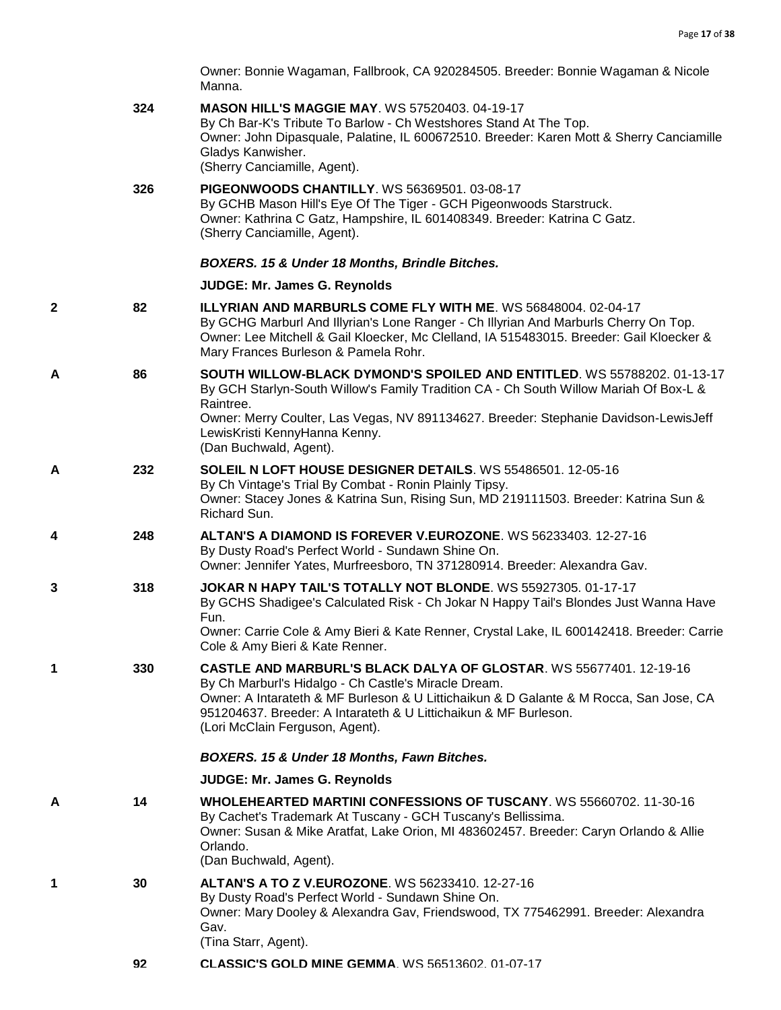Owner: Bonnie Wagaman, Fallbrook, CA 920284505. Breeder: Bonnie Wagaman & Nicole Manna.

|   | 324 | <b>MASON HILL'S MAGGIE MAY. WS 57520403. 04-19-17</b><br>By Ch Bar-K's Tribute To Barlow - Ch Westshores Stand At The Top.<br>Owner: John Dipasquale, Palatine, IL 600672510. Breeder: Karen Mott & Sherry Canciamille<br>Gladys Kanwisher.<br>(Sherry Canciamille, Agent).                                                 |
|---|-----|-----------------------------------------------------------------------------------------------------------------------------------------------------------------------------------------------------------------------------------------------------------------------------------------------------------------------------|
|   | 326 | <b>PIGEONWOODS CHANTILLY. WS 56369501. 03-08-17</b><br>By GCHB Mason Hill's Eye Of The Tiger - GCH Pigeonwoods Starstruck.<br>Owner: Kathrina C Gatz, Hampshire, IL 601408349. Breeder: Katrina C Gatz.<br>(Sherry Canciamille, Agent).                                                                                     |
|   |     | BOXERS. 15 & Under 18 Months, Brindle Bitches.                                                                                                                                                                                                                                                                              |
|   |     | <b>JUDGE: Mr. James G. Reynolds</b>                                                                                                                                                                                                                                                                                         |
| 2 | 82  | <b>ILLYRIAN AND MARBURLS COME FLY WITH ME. WS 56848004, 02-04-17</b><br>By GCHG Marburl And Illyrian's Lone Ranger - Ch Illyrian And Marburls Cherry On Top.<br>Owner: Lee Mitchell & Gail Kloecker, Mc Clelland, IA 515483015. Breeder: Gail Kloecker &<br>Mary Frances Burleson & Pamela Rohr.                            |
| Α | 86  | SOUTH WILLOW-BLACK DYMOND'S SPOILED AND ENTITLED. WS 55788202, 01-13-17<br>By GCH Starlyn-South Willow's Family Tradition CA - Ch South Willow Mariah Of Box-L &<br>Raintree.                                                                                                                                               |
|   |     | Owner: Merry Coulter, Las Vegas, NV 891134627. Breeder: Stephanie Davidson-LewisJeff<br>LewisKristi KennyHanna Kenny.<br>(Dan Buchwald, Agent).                                                                                                                                                                             |
| А | 232 | SOLEIL N LOFT HOUSE DESIGNER DETAILS. WS 55486501. 12-05-16<br>By Ch Vintage's Trial By Combat - Ronin Plainly Tipsy.<br>Owner: Stacey Jones & Katrina Sun, Rising Sun, MD 219111503. Breeder: Katrina Sun &<br>Richard Sun.                                                                                                |
| 4 | 248 | ALTAN'S A DIAMOND IS FOREVER V.EUROZONE. WS 56233403. 12-27-16<br>By Dusty Road's Perfect World - Sundawn Shine On.<br>Owner: Jennifer Yates, Murfreesboro, TN 371280914. Breeder: Alexandra Gav.                                                                                                                           |
| 3 | 318 | JOKAR N HAPY TAIL'S TOTALLY NOT BLONDE. WS 55927305. 01-17-17<br>By GCHS Shadigee's Calculated Risk - Ch Jokar N Happy Tail's Blondes Just Wanna Have<br>Fun.<br>Owner: Carrie Cole & Amy Bieri & Kate Renner, Crystal Lake, IL 600142418. Breeder: Carrie<br>Cole & Amy Bieri & Kate Renner.                               |
|   | 330 | CASTLE AND MARBURL'S BLACK DALYA OF GLOSTAR. WS 55677401. 12-19-16<br>By Ch Marburl's Hidalgo - Ch Castle's Miracle Dream.<br>Owner: A Intarateth & MF Burleson & U Littichaikun & D Galante & M Rocca, San Jose, CA<br>951204637. Breeder: A Intarateth & U Littichaikun & MF Burleson.<br>(Lori McClain Ferguson, Agent). |
|   |     | BOXERS. 15 & Under 18 Months, Fawn Bitches.                                                                                                                                                                                                                                                                                 |
|   |     | <b>JUDGE: Mr. James G. Reynolds</b>                                                                                                                                                                                                                                                                                         |
| А | 14  | WHOLEHEARTED MARTINI CONFESSIONS OF TUSCANY. WS 55660702. 11-30-16<br>By Cachet's Trademark At Tuscany - GCH Tuscany's Bellissima.<br>Owner: Susan & Mike Aratfat, Lake Orion, MI 483602457. Breeder: Caryn Orlando & Allie<br>Orlando.<br>(Dan Buchwald, Agent).                                                           |
| 1 | 30  | <b>ALTAN'S A TO Z V.EUROZONE. WS 56233410. 12-27-16</b><br>By Dusty Road's Perfect World - Sundawn Shine On.<br>Owner: Mary Dooley & Alexandra Gav, Friendswood, TX 775462991. Breeder: Alexandra<br>Gav.<br>(Tina Starr, Agent).                                                                                           |
|   | 92  | <b>CLASSIC'S GOLD MINE GEMMA. WS 56513602. 01-07-17</b>                                                                                                                                                                                                                                                                     |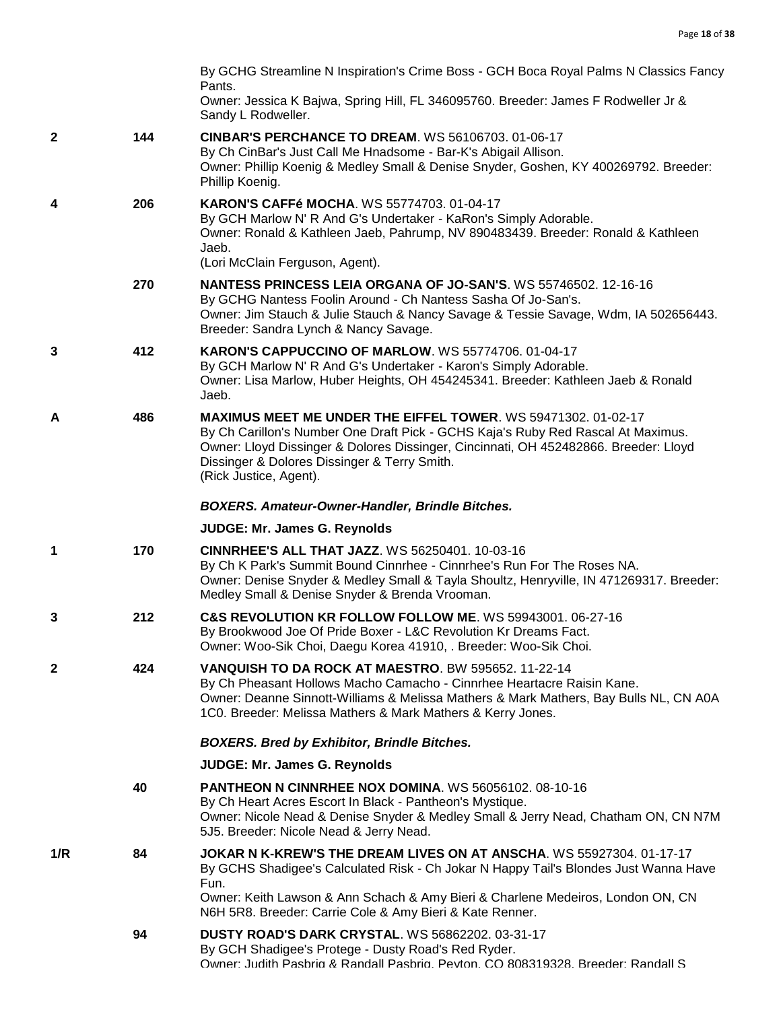|     |     | By GCHG Streamline N Inspiration's Crime Boss - GCH Boca Royal Palms N Classics Fancy                                                                                                                                                                                                                                      |
|-----|-----|----------------------------------------------------------------------------------------------------------------------------------------------------------------------------------------------------------------------------------------------------------------------------------------------------------------------------|
|     |     | Pants.<br>Owner: Jessica K Bajwa, Spring Hill, FL 346095760. Breeder: James F Rodweller Jr &<br>Sandy L Rodweller.                                                                                                                                                                                                         |
| 2   | 144 | <b>CINBAR'S PERCHANCE TO DREAM. WS 56106703. 01-06-17</b><br>By Ch CinBar's Just Call Me Hnadsome - Bar-K's Abigail Allison.<br>Owner: Phillip Koenig & Medley Small & Denise Snyder, Goshen, KY 400269792. Breeder:<br>Phillip Koenig.                                                                                    |
| 4   | 206 | <b>KARON'S CAFFé MOCHA. WS 55774703. 01-04-17</b><br>By GCH Marlow N' R And G's Undertaker - KaRon's Simply Adorable.<br>Owner: Ronald & Kathleen Jaeb, Pahrump, NV 890483439. Breeder: Ronald & Kathleen<br>Jaeb.<br>(Lori McClain Ferguson, Agent).                                                                      |
|     | 270 | NANTESS PRINCESS LEIA ORGANA OF JO-SAN'S. WS 55746502. 12-16-16<br>By GCHG Nantess Foolin Around - Ch Nantess Sasha Of Jo-San's.<br>Owner: Jim Stauch & Julie Stauch & Nancy Savage & Tessie Savage, Wdm, IA 502656443.<br>Breeder: Sandra Lynch & Nancy Savage.                                                           |
| 3   | 412 | KARON'S CAPPUCCINO OF MARLOW. WS 55774706. 01-04-17<br>By GCH Marlow N' R And G's Undertaker - Karon's Simply Adorable.<br>Owner: Lisa Marlow, Huber Heights, OH 454245341. Breeder: Kathleen Jaeb & Ronald<br>Jaeb.                                                                                                       |
| А   | 486 | <b>MAXIMUS MEET ME UNDER THE EIFFEL TOWER. WS 59471302. 01-02-17</b><br>By Ch Carillon's Number One Draft Pick - GCHS Kaja's Ruby Red Rascal At Maximus.<br>Owner: Lloyd Dissinger & Dolores Dissinger, Cincinnati, OH 452482866. Breeder: Lloyd<br>Dissinger & Dolores Dissinger & Terry Smith.<br>(Rick Justice, Agent). |
|     |     | <b>BOXERS. Amateur-Owner-Handler, Brindle Bitches.</b>                                                                                                                                                                                                                                                                     |
|     |     | JUDGE: Mr. James G. Reynolds                                                                                                                                                                                                                                                                                               |
| 1   | 170 | <b>CINNRHEE'S ALL THAT JAZZ. WS 56250401. 10-03-16</b><br>By Ch K Park's Summit Bound Cinnrhee - Cinnrhee's Run For The Roses NA.<br>Owner: Denise Snyder & Medley Small & Tayla Shoultz, Henryville, IN 471269317. Breeder:<br>Medley Small & Denise Snyder & Brenda Vrooman.                                             |
| 3   | 212 | C&S REVOLUTION KR FOLLOW FOLLOW ME. WS 59943001. 06-27-16<br>By Brookwood Joe Of Pride Boxer - L&C Revolution Kr Dreams Fact.<br>Owner: Woo-Sik Choi, Daegu Korea 41910, . Breeder: Woo-Sik Choi.                                                                                                                          |
| 2   | 424 | VANQUISH TO DA ROCK AT MAESTRO. BW 595652. 11-22-14<br>By Ch Pheasant Hollows Macho Camacho - Cinnrhee Heartacre Raisin Kane.<br>Owner: Deanne Sinnott-Williams & Melissa Mathers & Mark Mathers, Bay Bulls NL, CN A0A<br>1C0. Breeder: Melissa Mathers & Mark Mathers & Kerry Jones.                                      |
|     |     | <b>BOXERS. Bred by Exhibitor, Brindle Bitches.</b>                                                                                                                                                                                                                                                                         |
|     |     | JUDGE: Mr. James G. Reynolds                                                                                                                                                                                                                                                                                               |
|     | 40  | <b>PANTHEON N CINNRHEE NOX DOMINA. WS 56056102. 08-10-16</b><br>By Ch Heart Acres Escort In Black - Pantheon's Mystique.<br>Owner: Nicole Nead & Denise Snyder & Medley Small & Jerry Nead, Chatham ON, CN N7M<br>5J5. Breeder: Nicole Nead & Jerry Nead.                                                                  |
| 1/R | 84  | JOKAR N K-KREW'S THE DREAM LIVES ON AT ANSCHA. WS 55927304. 01-17-17<br>By GCHS Shadigee's Calculated Risk - Ch Jokar N Happy Tail's Blondes Just Wanna Have<br>Fun.<br>Owner: Keith Lawson & Ann Schach & Amy Bieri & Charlene Medeiros, London ON, CN<br>N6H 5R8. Breeder: Carrie Cole & Amy Bieri & Kate Renner.        |
|     | 94  | <b>DUSTY ROAD'S DARK CRYSTAL. WS 56862202. 03-31-17</b><br>By GCH Shadigee's Protege - Dusty Road's Red Ryder.<br>Owner: Judith Pashrig & Randall Pashrig, Peyton, CO 808319328, Breeder: Randall S                                                                                                                        |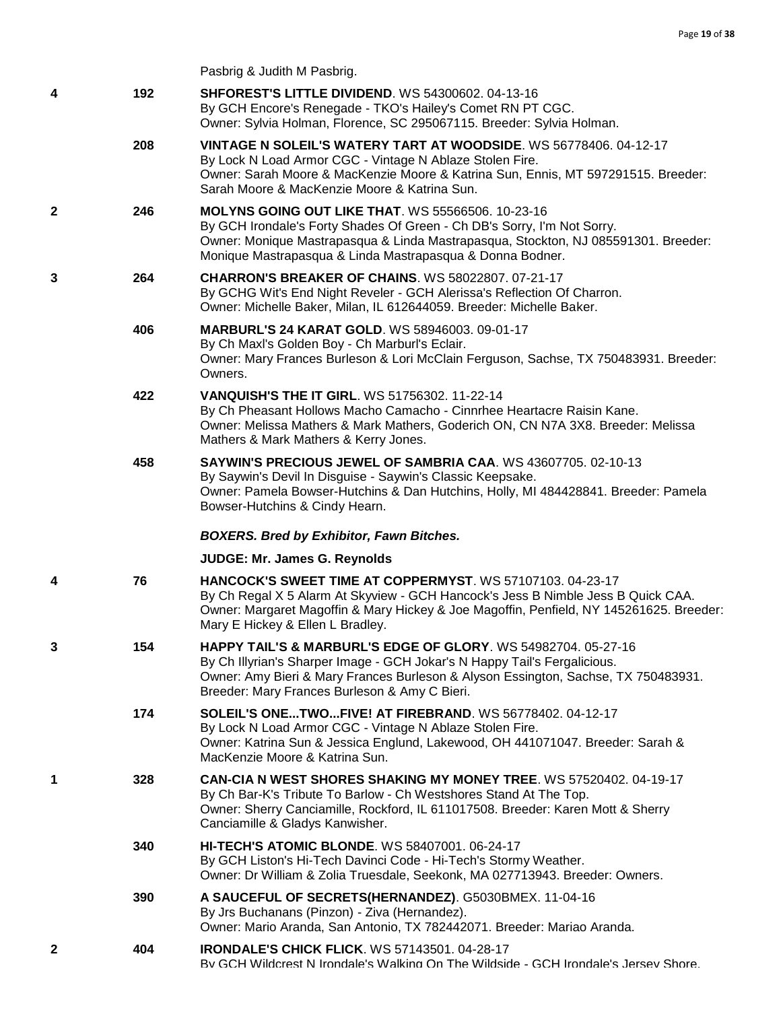|   |     | Pasbrig & Judith M Pasbrig.                                                                                                                                                                                                                                                                  |
|---|-----|----------------------------------------------------------------------------------------------------------------------------------------------------------------------------------------------------------------------------------------------------------------------------------------------|
| 4 | 192 | <b>SHFOREST'S LITTLE DIVIDEND. WS 54300602. 04-13-16</b><br>By GCH Encore's Renegade - TKO's Hailey's Comet RN PT CGC.<br>Owner: Sylvia Holman, Florence, SC 295067115. Breeder: Sylvia Holman.                                                                                              |
|   | 208 | VINTAGE N SOLEIL'S WATERY TART AT WOODSIDE. WS 56778406. 04-12-17<br>By Lock N Load Armor CGC - Vintage N Ablaze Stolen Fire.<br>Owner: Sarah Moore & MacKenzie Moore & Katrina Sun, Ennis, MT 597291515. Breeder:<br>Sarah Moore & MacKenzie Moore & Katrina Sun.                           |
| 2 | 246 | <b>MOLYNS GOING OUT LIKE THAT. WS 55566506. 10-23-16</b><br>By GCH Irondale's Forty Shades Of Green - Ch DB's Sorry, I'm Not Sorry.<br>Owner: Monique Mastrapasqua & Linda Mastrapasqua, Stockton, NJ 085591301. Breeder:<br>Monique Mastrapasqua & Linda Mastrapasqua & Donna Bodner.       |
| 3 | 264 | <b>CHARRON'S BREAKER OF CHAINS. WS 58022807. 07-21-17</b><br>By GCHG Wit's End Night Reveler - GCH Alerissa's Reflection Of Charron.<br>Owner: Michelle Baker, Milan, IL 612644059. Breeder: Michelle Baker.                                                                                 |
|   | 406 | <b>MARBURL'S 24 KARAT GOLD. WS 58946003. 09-01-17</b><br>By Ch Maxl's Golden Boy - Ch Marburl's Eclair.<br>Owner: Mary Frances Burleson & Lori McClain Ferguson, Sachse, TX 750483931. Breeder:<br>Owners.                                                                                   |
|   | 422 | <b>VANQUISH'S THE IT GIRL. WS 51756302. 11-22-14</b><br>By Ch Pheasant Hollows Macho Camacho - Cinnrhee Heartacre Raisin Kane.<br>Owner: Melissa Mathers & Mark Mathers, Goderich ON, CN N7A 3X8. Breeder: Melissa<br>Mathers & Mark Mathers & Kerry Jones.                                  |
|   | 458 | SAYWIN'S PRECIOUS JEWEL OF SAMBRIA CAA. WS 43607705. 02-10-13<br>By Saywin's Devil In Disguise - Saywin's Classic Keepsake.<br>Owner: Pamela Bowser-Hutchins & Dan Hutchins, Holly, MI 484428841. Breeder: Pamela<br>Bowser-Hutchins & Cindy Hearn.                                          |
|   |     | <b>BOXERS. Bred by Exhibitor, Fawn Bitches.</b>                                                                                                                                                                                                                                              |
|   |     | JUDGE: Mr. James G. Reynolds                                                                                                                                                                                                                                                                 |
| 4 | 76  | <b>HANCOCK'S SWEET TIME AT COPPERMYST. WS 57107103, 04-23-17</b><br>By Ch Regal X 5 Alarm At Skyview - GCH Hancock's Jess B Nimble Jess B Quick CAA.<br>Owner: Margaret Magoffin & Mary Hickey & Joe Magoffin, Penfield, NY 145261625. Breeder:<br>Mary E Hickey & Ellen L Bradley.          |
| 3 | 154 | <b>HAPPY TAIL'S &amp; MARBURL'S EDGE OF GLORY.</b> WS 54982704. 05-27-16<br>By Ch Illyrian's Sharper Image - GCH Jokar's N Happy Tail's Fergalicious.<br>Owner: Amy Bieri & Mary Frances Burleson & Alyson Essington, Sachse, TX 750483931.<br>Breeder: Mary Frances Burleson & Amy C Bieri. |
|   | 174 | <b>SOLEIL'S ONETWOFIVE! AT FIREBRAND. WS 56778402. 04-12-17</b><br>By Lock N Load Armor CGC - Vintage N Ablaze Stolen Fire.<br>Owner: Katrina Sun & Jessica Englund, Lakewood, OH 441071047. Breeder: Sarah &<br>MacKenzie Moore & Katrina Sun.                                              |
|   |     |                                                                                                                                                                                                                                                                                              |

**1 328 [CAN-CIA N WEST SHORES SHAKING MY MONEY TREE](http://infodog.com/my/drlookup2.htm?makc=WS%2057520402&mdog=Can-Cia+N+West+Shores+Shaking+My+Money+Tree&wins=all)**. WS 57520402. 04-19-17 By Ch Bar-K's Tribute To Barlow - Ch Westshores Stand At The Top. Owner: Sherry Canciamille, Rockford, IL 611017508. Breeder: Karen Mott & Sherry Canciamille & Gladys Kanwisher.

# **340 [HI-TECH'S ATOMIC BLONDE](http://infodog.com/my/drlookup2.htm?makc=WS%2058407001&mdog=Hi-Tech%27s+Atomic+Blonde&wins=all)**. WS 58407001. 06-24-17 By GCH Liston's Hi-Tech Davinci Code - Hi-Tech's Stormy Weather. Owner: Dr William & Zolia Truesdale, Seekonk, MA 027713943. Breeder: Owners.

- **390 [A SAUCEFUL OF SECRETS\(HERNANDEZ\)](http://infodog.com/my/drlookup2.htm?makc=G5030BMEX&mdog=A+Sauceful+Of+Secrets(Hernandez)&wins=all)**. G5030BMEX. 11-04-16 By Jrs Buchanans (Pinzon) - Ziva (Hernandez). Owner: Mario Aranda, San Antonio, TX 782442071. Breeder: Mariao Aranda.
- **2 404 [IRONDALE'S CHICK FLICK](http://infodog.com/my/drlookup2.htm?makc=WS%2057143501&mdog=Irondale%27s+Chick+Flick&wins=all)**. WS 57143501. 04-28-17 By GCH Wildcrest N Irondale's Walking On The Wildside - GCH Irondale's Jersey Shore.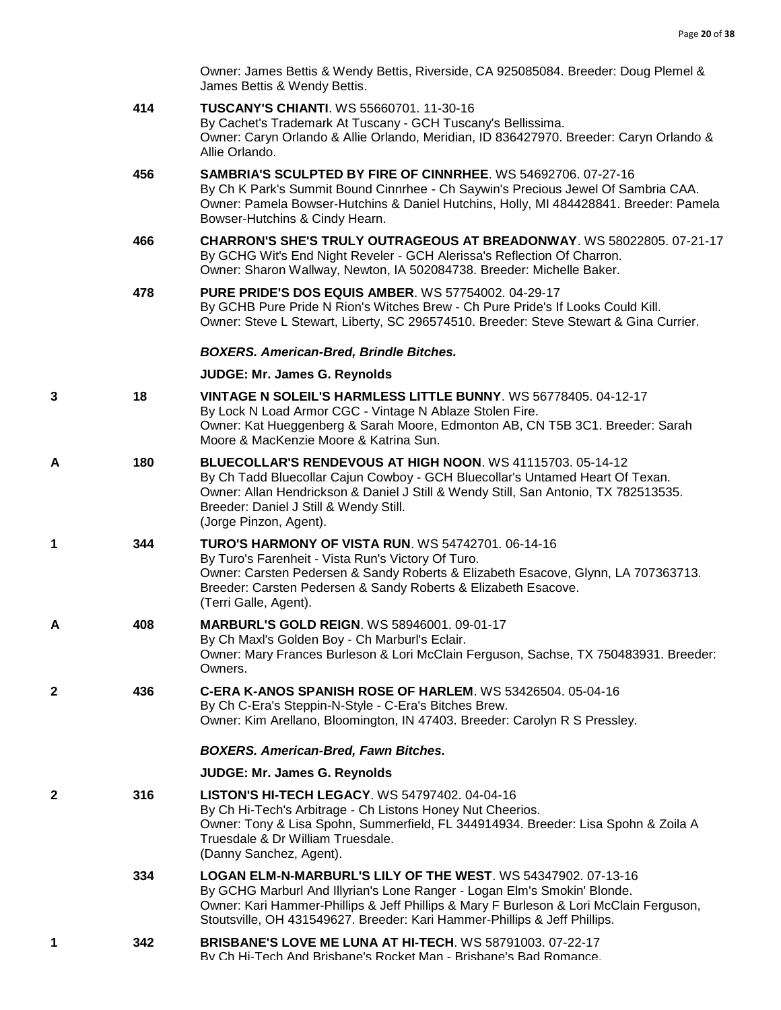Owner: James Bettis & Wendy Bettis, Riverside, CA 925085084. Breeder: Doug Plemel & James Bettis & Wendy Bettis.

|   | 414 | <b>TUSCANY'S CHIANTI. WS 55660701, 11-30-16</b><br>By Cachet's Trademark At Tuscany - GCH Tuscany's Bellissima.<br>Owner: Caryn Orlando & Allie Orlando, Meridian, ID 836427970. Breeder: Caryn Orlando &<br>Allie Orlando.                                                                                      |
|---|-----|------------------------------------------------------------------------------------------------------------------------------------------------------------------------------------------------------------------------------------------------------------------------------------------------------------------|
|   | 456 | <b>SAMBRIA'S SCULPTED BY FIRE OF CINNRHEE. WS 54692706. 07-27-16</b><br>By Ch K Park's Summit Bound Cinnrhee - Ch Saywin's Precious Jewel Of Sambria CAA.<br>Owner: Pamela Bowser-Hutchins & Daniel Hutchins, Holly, MI 484428841. Breeder: Pamela<br>Bowser-Hutchins & Cindy Hearn.                             |
|   | 466 | <b>CHARRON'S SHE'S TRULY OUTRAGEOUS AT BREADONWAY. WS 58022805. 07-21-17</b><br>By GCHG Wit's End Night Reveler - GCH Alerissa's Reflection Of Charron.<br>Owner: Sharon Wallway, Newton, IA 502084738. Breeder: Michelle Baker.                                                                                 |
|   | 478 | <b>PURE PRIDE'S DOS EQUIS AMBER. WS 57754002. 04-29-17</b><br>By GCHB Pure Pride N Rion's Witches Brew - Ch Pure Pride's If Looks Could Kill.<br>Owner: Steve L Stewart, Liberty, SC 296574510. Breeder: Steve Stewart & Gina Currier.                                                                           |
|   |     | <b>BOXERS. American-Bred, Brindle Bitches.</b>                                                                                                                                                                                                                                                                   |
|   |     | JUDGE: Mr. James G. Reynolds                                                                                                                                                                                                                                                                                     |
| 3 | 18  | VINTAGE N SOLEIL'S HARMLESS LITTLE BUNNY. WS 56778405. 04-12-17<br>By Lock N Load Armor CGC - Vintage N Ablaze Stolen Fire.<br>Owner: Kat Hueggenberg & Sarah Moore, Edmonton AB, CN T5B 3C1. Breeder: Sarah<br>Moore & MacKenzie Moore & Katrina Sun.                                                           |
| A | 180 | BLUECOLLAR'S RENDEVOUS AT HIGH NOON. WS 41115703. 05-14-12<br>By Ch Tadd Bluecollar Cajun Cowboy - GCH Bluecollar's Untamed Heart Of Texan.<br>Owner: Allan Hendrickson & Daniel J Still & Wendy Still, San Antonio, TX 782513535.<br>Breeder: Daniel J Still & Wendy Still.<br>(Jorge Pinzon, Agent).           |
| 1 | 344 | <b>TURO'S HARMONY OF VISTA RUN. WS 54742701. 06-14-16</b><br>By Turo's Farenheit - Vista Run's Victory Of Turo.<br>Owner: Carsten Pedersen & Sandy Roberts & Elizabeth Esacove, Glynn, LA 707363713.<br>Breeder: Carsten Pedersen & Sandy Roberts & Elizabeth Esacove.<br>(Terri Galle, Agent).                  |
| A | 408 | <b>MARBURL'S GOLD REIGN. WS 58946001. 09-01-17</b><br>By Ch Maxl's Golden Boy - Ch Marburl's Eclair.<br>Owner: Mary Frances Burleson & Lori McClain Ferguson, Sachse, TX 750483931. Breeder:<br>Owners.                                                                                                          |
| 2 | 436 | C-ERA K-ANOS SPANISH ROSE OF HARLEM. WS 53426504, 05-04-16<br>By Ch C-Era's Steppin-N-Style - C-Era's Bitches Brew.<br>Owner: Kim Arellano, Bloomington, IN 47403. Breeder: Carolyn R S Pressley.                                                                                                                |
|   |     | <b>BOXERS. American-Bred, Fawn Bitches.</b>                                                                                                                                                                                                                                                                      |
|   |     | JUDGE: Mr. James G. Reynolds                                                                                                                                                                                                                                                                                     |
| 2 | 316 | <b>LISTON'S HI-TECH LEGACY.</b> WS 54797402. 04-04-16<br>By Ch Hi-Tech's Arbitrage - Ch Listons Honey Nut Cheerios.<br>Owner: Tony & Lisa Spohn, Summerfield, FL 344914934. Breeder: Lisa Spohn & Zoila A<br>Truesdale & Dr William Truesdale.<br>(Danny Sanchez, Agent).                                        |
|   | 334 | LOGAN ELM-N-MARBURL'S LILY OF THE WEST. WS 54347902. 07-13-16<br>By GCHG Marburl And Illyrian's Lone Ranger - Logan Elm's Smokin' Blonde.<br>Owner: Kari Hammer-Phillips & Jeff Phillips & Mary F Burleson & Lori McClain Ferguson,<br>Stoutsville, OH 431549627. Breeder: Kari Hammer-Phillips & Jeff Phillips. |
| 1 | 342 | <b>BRISBANE'S LOVE ME LUNA AT HI-TECH. WS 58791003. 07-22-17</b><br>By Ch Hi-Tech And Brisbane's Rocket Man - Brisbane's Bad Romance.                                                                                                                                                                            |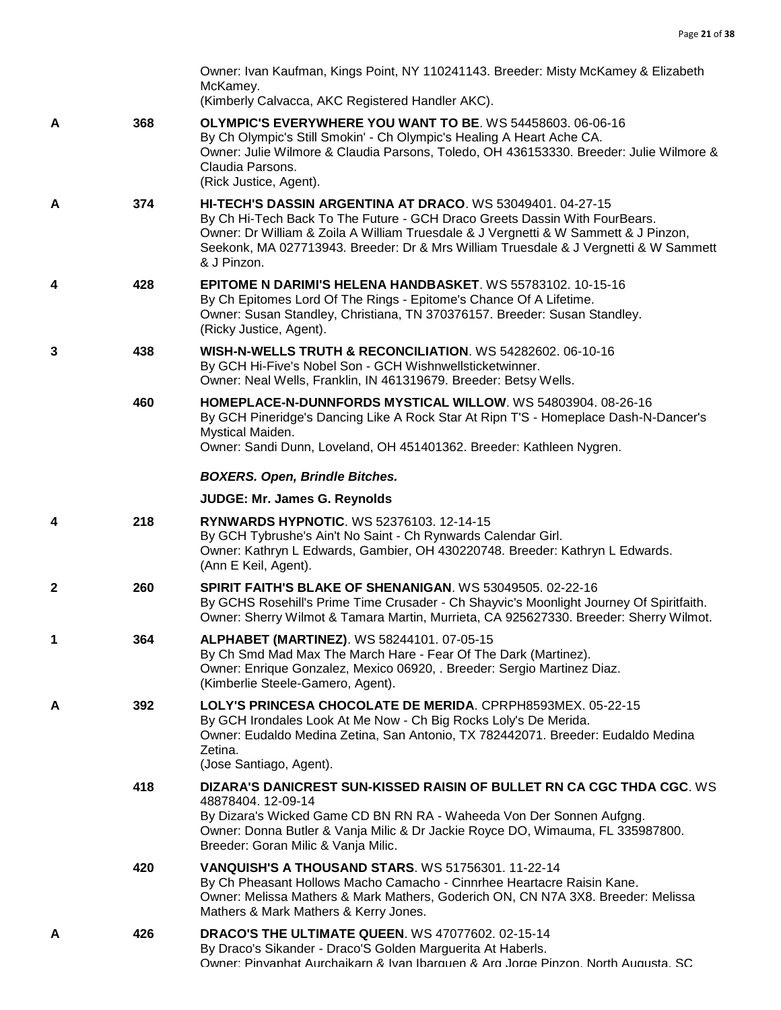|   |     | Owner: Ivan Kaufman, Kings Point, NY 110241143. Breeder: Misty McKamey & Elizabeth<br>McKamey.<br>(Kimberly Calvacca, AKC Registered Handler AKC).                                                                                                                                                                                     |
|---|-----|----------------------------------------------------------------------------------------------------------------------------------------------------------------------------------------------------------------------------------------------------------------------------------------------------------------------------------------|
| A | 368 | <b>OLYMPIC'S EVERYWHERE YOU WANT TO BE. WS 54458603. 06-06-16</b><br>By Ch Olympic's Still Smokin' - Ch Olympic's Healing A Heart Ache CA.<br>Owner: Julie Wilmore & Claudia Parsons, Toledo, OH 436153330. Breeder: Julie Wilmore &<br>Claudia Parsons.<br>(Rick Justice, Agent).                                                     |
| А | 374 | HI-TECH'S DASSIN ARGENTINA AT DRACO. WS 53049401. 04-27-15<br>By Ch Hi-Tech Back To The Future - GCH Draco Greets Dassin With FourBears.<br>Owner: Dr William & Zoila A William Truesdale & J Vergnetti & W Sammett & J Pinzon,<br>Seekonk, MA 027713943. Breeder: Dr & Mrs William Truesdale & J Vergnetti & W Sammett<br>& J Pinzon. |
| 4 | 428 | <b>EPITOME N DARIMI'S HELENA HANDBASKET. WS 55783102. 10-15-16</b><br>By Ch Epitomes Lord Of The Rings - Epitome's Chance Of A Lifetime.<br>Owner: Susan Standley, Christiana, TN 370376157. Breeder: Susan Standley.<br>(Ricky Justice, Agent).                                                                                       |
| 3 | 438 | WISH-N-WELLS TRUTH & RECONCILIATION, WS 54282602, 06-10-16<br>By GCH Hi-Five's Nobel Son - GCH Wishnwellsticketwinner.<br>Owner: Neal Wells, Franklin, IN 461319679. Breeder: Betsy Wells.                                                                                                                                             |
|   | 460 | HOMEPLACE-N-DUNNFORDS MYSTICAL WILLOW. WS 54803904. 08-26-16<br>By GCH Pineridge's Dancing Like A Rock Star At Ripn T'S - Homeplace Dash-N-Dancer's<br>Mystical Maiden.<br>Owner: Sandi Dunn, Loveland, OH 451401362. Breeder: Kathleen Nygren.                                                                                        |
|   |     | <b>BOXERS. Open, Brindle Bitches.</b>                                                                                                                                                                                                                                                                                                  |
|   |     | JUDGE: Mr. James G. Reynolds                                                                                                                                                                                                                                                                                                           |
| 4 | 218 | RYNWARDS HYPNOTIC. WS 52376103. 12-14-15<br>By GCH Tybrushe's Ain't No Saint - Ch Rynwards Calendar Girl.<br>Owner: Kathryn L Edwards, Gambier, OH 430220748. Breeder: Kathryn L Edwards.<br>(Ann E Keil, Agent).                                                                                                                      |
| 2 | 260 | SPIRIT FAITH'S BLAKE OF SHENANIGAN. WS 53049505. 02-22-16<br>By GCHS Rosehill's Prime Time Crusader - Ch Shayvic's Moonlight Journey Of Spiritfaith.<br>Owner: Sherry Wilmot & Tamara Martin, Murrieta, CA 925627330. Breeder: Sherry Wilmot.                                                                                          |
| 1 | 364 | ALPHABET (MARTINEZ). WS 58244101. 07-05-15<br>By Ch Smd Mad Max The March Hare - Fear Of The Dark (Martinez).<br>Owner: Enrique Gonzalez, Mexico 06920, . Breeder: Sergio Martinez Diaz.<br>(Kimberlie Steele-Gamero, Agent).                                                                                                          |
| A | 392 | LOLY'S PRINCESA CHOCOLATE DE MERIDA. CPRPH8593MEX. 05-22-15<br>By GCH Irondales Look At Me Now - Ch Big Rocks Loly's De Merida.<br>Owner: Eudaldo Medina Zetina, San Antonio, TX 782442071. Breeder: Eudaldo Medina<br>Zetina.<br>(Jose Santiago, Agent).                                                                              |
|   | 418 | DIZARA'S DANICREST SUN-KISSED RAISIN OF BULLET RN CA CGC THDA CGC. WS<br>48878404.12-09-14<br>By Dizara's Wicked Game CD BN RN RA - Waheeda Von Der Sonnen Aufgng.<br>Owner: Donna Butler & Vanja Milic & Dr Jackie Royce DO, Wimauma, FL 335987800.<br>Breeder: Goran Milic & Vanja Milic.                                            |
|   | 420 | <b>VANQUISH'S A THOUSAND STARS.</b> WS 51756301. 11-22-14<br>By Ch Pheasant Hollows Macho Camacho - Cinnrhee Heartacre Raisin Kane.<br>Owner: Melissa Mathers & Mark Mathers, Goderich ON, CN N7A 3X8. Breeder: Melissa<br>Mathers & Mark Mathers & Kerry Jones.                                                                       |
| A | 426 | <b>DRACO'S THE ULTIMATE QUEEN.</b> WS 47077602. 02-15-14<br>By Draco's Sikander - Draco'S Golden Marguerita At Haberls.<br>Owner: Pinvanhat Aurchaikarn & Ivan Iharquen & Arq Jorge Pinzon, North Augusta, SC                                                                                                                          |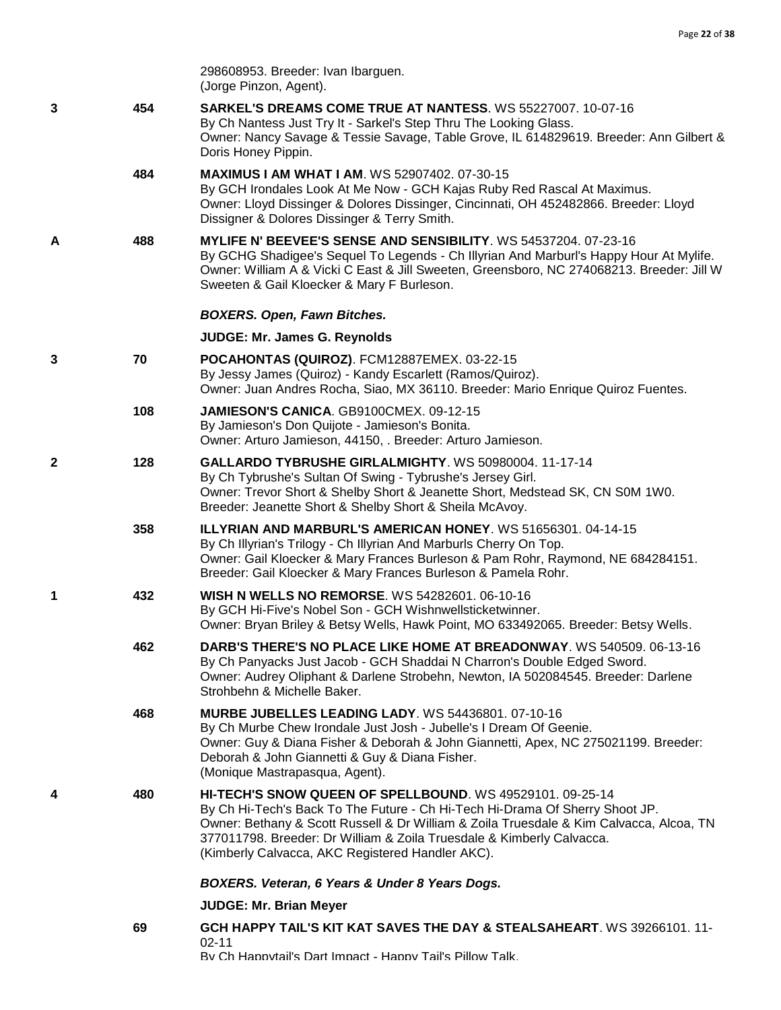|   |     | 298608953. Breeder: Ivan Ibarguen.<br>(Jorge Pinzon, Agent).                                                                                                                                                                                                                                                                                                      |
|---|-----|-------------------------------------------------------------------------------------------------------------------------------------------------------------------------------------------------------------------------------------------------------------------------------------------------------------------------------------------------------------------|
| 3 | 454 | SARKEL'S DREAMS COME TRUE AT NANTESS. WS 55227007. 10-07-16<br>By Ch Nantess Just Try It - Sarkel's Step Thru The Looking Glass.<br>Owner: Nancy Savage & Tessie Savage, Table Grove, IL 614829619. Breeder: Ann Gilbert &<br>Doris Honey Pippin.                                                                                                                 |
|   | 484 | <b>MAXIMUS I AM WHAT I AM. WS 52907402. 07-30-15</b><br>By GCH Irondales Look At Me Now - GCH Kajas Ruby Red Rascal At Maximus.<br>Owner: Lloyd Dissinger & Dolores Dissinger, Cincinnati, OH 452482866. Breeder: Lloyd<br>Dissigner & Dolores Dissinger & Terry Smith.                                                                                           |
| A | 488 | MYLIFE N' BEEVEE'S SENSE AND SENSIBILITY. WS 54537204. 07-23-16<br>By GCHG Shadigee's Sequel To Legends - Ch Illyrian And Marburl's Happy Hour At Mylife.<br>Owner: William A & Vicki C East & Jill Sweeten, Greensboro, NC 274068213. Breeder: Jill W<br>Sweeten & Gail Kloecker & Mary F Burleson.                                                              |
|   |     | <b>BOXERS. Open, Fawn Bitches.</b>                                                                                                                                                                                                                                                                                                                                |
|   |     | JUDGE: Mr. James G. Reynolds                                                                                                                                                                                                                                                                                                                                      |
| 3 | 70  | POCAHONTAS (QUIROZ). FCM12887EMEX. 03-22-15<br>By Jessy James (Quiroz) - Kandy Escarlett (Ramos/Quiroz).<br>Owner: Juan Andres Rocha, Siao, MX 36110. Breeder: Mario Enrique Quiroz Fuentes.                                                                                                                                                                      |
|   | 108 | JAMIESON'S CANICA. GB9100CMEX. 09-12-15<br>By Jamieson's Don Quijote - Jamieson's Bonita.<br>Owner: Arturo Jamieson, 44150, . Breeder: Arturo Jamieson.                                                                                                                                                                                                           |
| 2 | 128 | GALLARDO TYBRUSHE GIRLALMIGHTY. WS 50980004. 11-17-14<br>By Ch Tybrushe's Sultan Of Swing - Tybrushe's Jersey Girl.<br>Owner: Trevor Short & Shelby Short & Jeanette Short, Medstead SK, CN S0M 1W0.<br>Breeder: Jeanette Short & Shelby Short & Sheila McAvoy.                                                                                                   |
|   | 358 | <b>ILLYRIAN AND MARBURL'S AMERICAN HONEY.</b> WS 51656301. 04-14-15<br>By Ch Illyrian's Trilogy - Ch Illyrian And Marburls Cherry On Top.<br>Owner: Gail Kloecker & Mary Frances Burleson & Pam Rohr, Raymond, NE 684284151.<br>Breeder: Gail Kloecker & Mary Frances Burleson & Pamela Rohr.                                                                     |
| 1 | 432 | <b>WISH N WELLS NO REMORSE.</b> WS 54282601, 06-10-16<br>By GCH Hi-Five's Nobel Son - GCH Wishnwellsticketwinner.<br>Owner: Bryan Briley & Betsy Wells, Hawk Point, MO 633492065. Breeder: Betsy Wells.                                                                                                                                                           |
|   | 462 | DARB'S THERE'S NO PLACE LIKE HOME AT BREADONWAY. WS 540509. 06-13-16<br>By Ch Panyacks Just Jacob - GCH Shaddai N Charron's Double Edged Sword.<br>Owner: Audrey Oliphant & Darlene Strobehn, Newton, IA 502084545. Breeder: Darlene<br>Strohbehn & Michelle Baker.                                                                                               |
|   | 468 | <b>MURBE JUBELLES LEADING LADY.</b> WS 54436801. 07-10-16<br>By Ch Murbe Chew Irondale Just Josh - Jubelle's I Dream Of Geenie.<br>Owner: Guy & Diana Fisher & Deborah & John Giannetti, Apex, NC 275021199. Breeder:<br>Deborah & John Giannetti & Guy & Diana Fisher.<br>(Monique Mastrapasqua, Agent).                                                         |
| 4 | 480 | HI-TECH'S SNOW QUEEN OF SPELLBOUND. WS 49529101. 09-25-14<br>By Ch Hi-Tech's Back To The Future - Ch Hi-Tech Hi-Drama Of Sherry Shoot JP.<br>Owner: Bethany & Scott Russell & Dr William & Zoila Truesdale & Kim Calvacca, Alcoa, TN<br>377011798. Breeder: Dr William & Zoila Truesdale & Kimberly Calvacca.<br>(Kimberly Calvacca, AKC Registered Handler AKC). |
|   |     | BOXERS. Veteran, 6 Years & Under 8 Years Dogs.                                                                                                                                                                                                                                                                                                                    |
|   |     | <b>JUDGE: Mr. Brian Meyer</b>                                                                                                                                                                                                                                                                                                                                     |
|   | 69  | GCH HAPPY TAIL'S KIT KAT SAVES THE DAY & STEALSAHEART. WS 39266101. 11-<br>$02 - 11$                                                                                                                                                                                                                                                                              |

By Ch Happytail's Dart Impact - Happy Tail's Pillow Talk.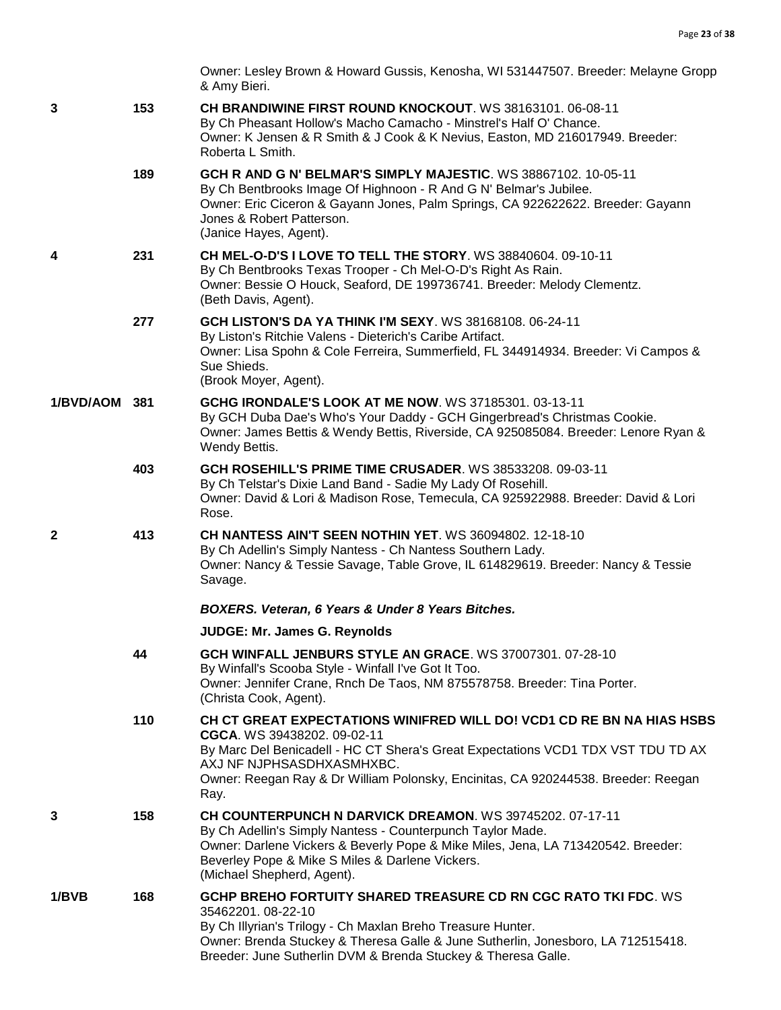|               |     | Owner: Lesley Brown & Howard Gussis, Kenosha, WI 531447507. Breeder: Melayne Gropp<br>& Amy Bieri.                                                                                                                                                                                                                 |
|---------------|-----|--------------------------------------------------------------------------------------------------------------------------------------------------------------------------------------------------------------------------------------------------------------------------------------------------------------------|
| 3             | 153 | <b>CH BRANDIWINE FIRST ROUND KNOCKOUT. WS 38163101, 06-08-11</b><br>By Ch Pheasant Hollow's Macho Camacho - Minstrel's Half O' Chance.<br>Owner: K Jensen & R Smith & J Cook & K Nevius, Easton, MD 216017949. Breeder:<br>Roberta L Smith.                                                                        |
|               | 189 | GCH R AND G N' BELMAR'S SIMPLY MAJESTIC. WS 38867102. 10-05-11<br>By Ch Bentbrooks Image Of Highnoon - R And G N' Belmar's Jubilee.<br>Owner: Eric Ciceron & Gayann Jones, Palm Springs, CA 922622622. Breeder: Gayann<br>Jones & Robert Patterson.<br>(Janice Hayes, Agent).                                      |
| 4             | 231 | CH MEL-O-D'S I LOVE TO TELL THE STORY. WS 38840604. 09-10-11<br>By Ch Bentbrooks Texas Trooper - Ch Mel-O-D's Right As Rain.<br>Owner: Bessie O Houck, Seaford, DE 199736741. Breeder: Melody Clementz.<br>(Beth Davis, Agent).                                                                                    |
|               | 277 | <b>GCH LISTON'S DA YA THINK I'M SEXY. WS 38168108. 06-24-11</b><br>By Liston's Ritchie Valens - Dieterich's Caribe Artifact.<br>Owner: Lisa Spohn & Cole Ferreira, Summerfield, FL 344914934. Breeder: Vi Campos &<br>Sue Shieds.<br>(Brook Moyer, Agent).                                                         |
| 1/BVD/AOM 381 |     | <b>GCHG IRONDALE'S LOOK AT ME NOW. WS 37185301. 03-13-11</b><br>By GCH Duba Dae's Who's Your Daddy - GCH Gingerbread's Christmas Cookie.<br>Owner: James Bettis & Wendy Bettis, Riverside, CA 925085084. Breeder: Lenore Ryan &<br>Wendy Bettis.                                                                   |
|               | 403 | GCH ROSEHILL'S PRIME TIME CRUSADER. WS 38533208. 09-03-11<br>By Ch Telstar's Dixie Land Band - Sadie My Lady Of Rosehill.<br>Owner: David & Lori & Madison Rose, Temecula, CA 925922988. Breeder: David & Lori<br>Rose.                                                                                            |
| $\mathbf{2}$  | 413 | CH NANTESS AIN'T SEEN NOTHIN YET. WS 36094802. 12-18-10<br>By Ch Adellin's Simply Nantess - Ch Nantess Southern Lady.<br>Owner: Nancy & Tessie Savage, Table Grove, IL 614829619. Breeder: Nancy & Tessie<br>Savage.                                                                                               |
|               |     | BOXERS. Veteran, 6 Years & Under 8 Years Bitches.                                                                                                                                                                                                                                                                  |
|               |     | JUDGE: Mr. James G. Reynolds                                                                                                                                                                                                                                                                                       |
|               | 44  | GCH WINFALL JENBURS STYLE AN GRACE. WS 37007301. 07-28-10<br>By Winfall's Scooba Style - Winfall I've Got It Too.<br>Owner: Jennifer Crane, Rnch De Taos, NM 875578758. Breeder: Tina Porter.<br>(Christa Cook, Agent).                                                                                            |
|               | 110 | CH CT GREAT EXPECTATIONS WINIFRED WILL DO! VCD1 CD RE BN NA HIAS HSBS<br>CGCA. WS 39438202. 09-02-11<br>By Marc Del Benicadell - HC CT Shera's Great Expectations VCD1 TDX VST TDU TD AX<br>AXJ NF NJPHSASDHXASMHXBC.<br>Owner: Reegan Ray & Dr William Polonsky, Encinitas, CA 920244538. Breeder: Reegan<br>Ray. |
| 3             | 158 | CH COUNTERPUNCH N DARVICK DREAMON. WS 39745202. 07-17-11<br>By Ch Adellin's Simply Nantess - Counterpunch Taylor Made.<br>Owner: Darlene Vickers & Beverly Pope & Mike Miles, Jena, LA 713420542. Breeder:<br>Beverley Pope & Mike S Miles & Darlene Vickers.<br>(Michael Shepherd, Agent).                        |
| 1/BVB         | 168 | GCHP BREHO FORTUITY SHARED TREASURE CD RN CGC RATO TKI FDC. WS<br>35462201.08-22-10<br>By Ch Illyrian's Trilogy - Ch Maxlan Breho Treasure Hunter.<br>Owner: Brenda Stuckey & Theresa Galle & June Sutherlin, Jonesboro, LA 712515418.<br>Breeder: June Sutherlin DVM & Brenda Stuckey & Theresa Galle.            |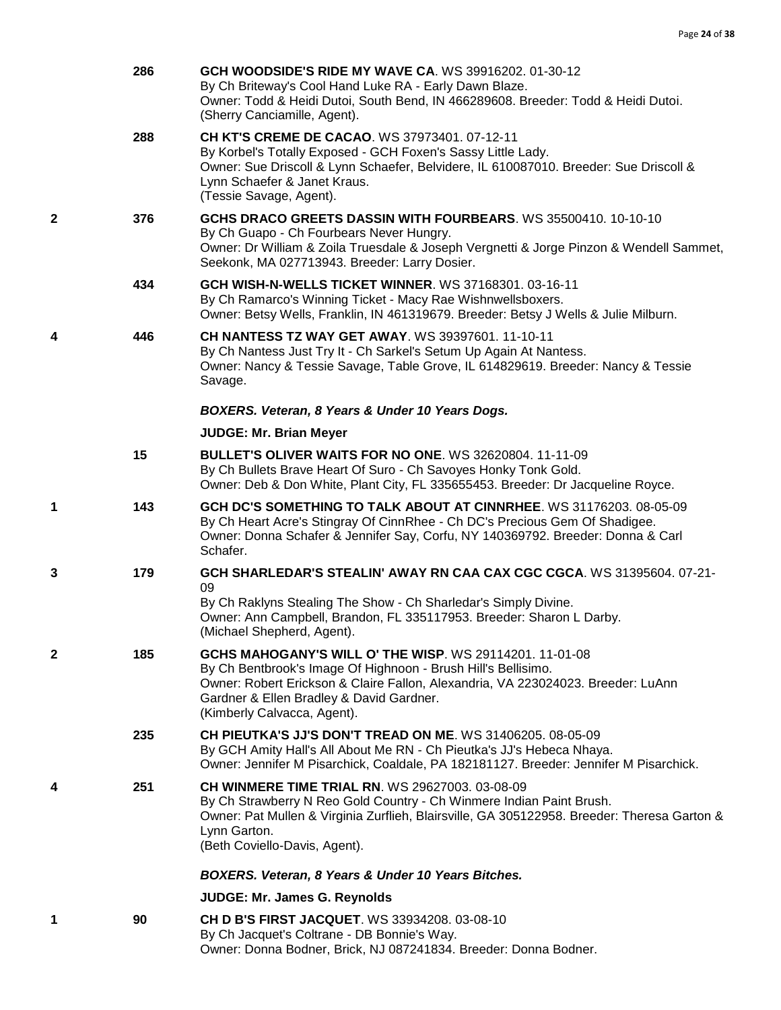|   | 286 | <b>GCH WOODSIDE'S RIDE MY WAVE CA. WS 39916202, 01-30-12</b><br>By Ch Briteway's Cool Hand Luke RA - Early Dawn Blaze.<br>Owner: Todd & Heidi Dutoi, South Bend, IN 466289608. Breeder: Todd & Heidi Dutoi.<br>(Sherry Canciamille, Agent).                                                    |
|---|-----|------------------------------------------------------------------------------------------------------------------------------------------------------------------------------------------------------------------------------------------------------------------------------------------------|
|   | 288 | CH KT'S CREME DE CACAO. WS 37973401. 07-12-11<br>By Korbel's Totally Exposed - GCH Foxen's Sassy Little Lady.<br>Owner: Sue Driscoll & Lynn Schaefer, Belvidere, IL 610087010. Breeder: Sue Driscoll &<br>Lynn Schaefer & Janet Kraus.<br>(Tessie Savage, Agent).                              |
| 2 | 376 | GCHS DRACO GREETS DASSIN WITH FOURBEARS. WS 35500410. 10-10-10<br>By Ch Guapo - Ch Fourbears Never Hungry.<br>Owner: Dr William & Zoila Truesdale & Joseph Vergnetti & Jorge Pinzon & Wendell Sammet,<br>Seekonk, MA 027713943. Breeder: Larry Dosier.                                         |
|   | 434 | <b>GCH WISH-N-WELLS TICKET WINNER. WS 37168301. 03-16-11</b><br>By Ch Ramarco's Winning Ticket - Macy Rae Wishnwellsboxers.<br>Owner: Betsy Wells, Franklin, IN 461319679. Breeder: Betsy J Wells & Julie Milburn.                                                                             |
| 4 | 446 | <b>CH NANTESS TZ WAY GET AWAY. WS 39397601. 11-10-11</b><br>By Ch Nantess Just Try It - Ch Sarkel's Setum Up Again At Nantess.<br>Owner: Nancy & Tessie Savage, Table Grove, IL 614829619. Breeder: Nancy & Tessie<br>Savage.                                                                  |
|   |     | BOXERS. Veteran, 8 Years & Under 10 Years Dogs.                                                                                                                                                                                                                                                |
|   |     | <b>JUDGE: Mr. Brian Meyer</b>                                                                                                                                                                                                                                                                  |
|   | 15  | <b>BULLET'S OLIVER WAITS FOR NO ONE. WS 32620804. 11-11-09</b><br>By Ch Bullets Brave Heart Of Suro - Ch Savoyes Honky Tonk Gold.<br>Owner: Deb & Don White, Plant City, FL 335655453. Breeder: Dr Jacqueline Royce.                                                                           |
| 1 | 143 | GCH DC'S SOMETHING TO TALK ABOUT AT CINNRHEE. WS 31176203. 08-05-09<br>By Ch Heart Acre's Stingray Of CinnRhee - Ch DC's Precious Gem Of Shadigee.<br>Owner: Donna Schafer & Jennifer Say, Corfu, NY 140369792. Breeder: Donna & Carl<br>Schafer.                                              |
| 3 | 179 | GCH SHARLEDAR'S STEALIN' AWAY RN CAA CAX CGC CGCA. WS 31395604. 07-21-<br>09<br>By Ch Raklyns Stealing The Show - Ch Sharledar's Simply Divine.<br>Owner: Ann Campbell, Brandon, FL 335117953. Breeder: Sharon L Darby.<br>(Michael Shepherd, Agent).                                          |
| 2 | 185 | <b>GCHS MAHOGANY'S WILL O' THE WISP. WS 29114201, 11-01-08</b><br>By Ch Bentbrook's Image Of Highnoon - Brush Hill's Bellisimo.<br>Owner: Robert Erickson & Claire Fallon, Alexandria, VA 223024023. Breeder: LuAnn<br>Gardner & Ellen Bradley & David Gardner.<br>(Kimberly Calvacca, Agent). |
|   | 235 | CH PIEUTKA'S JJ'S DON'T TREAD ON ME. WS 31406205. 08-05-09<br>By GCH Amity Hall's All About Me RN - Ch Pieutka's JJ's Hebeca Nhaya.<br>Owner: Jennifer M Pisarchick, Coaldale, PA 182181127. Breeder: Jennifer M Pisarchick.                                                                   |
| 4 | 251 | <b>CH WINMERE TIME TRIAL RN. WS 29627003, 03-08-09</b><br>By Ch Strawberry N Reo Gold Country - Ch Winmere Indian Paint Brush.<br>Owner: Pat Mullen & Virginia Zurflieh, Blairsville, GA 305122958. Breeder: Theresa Garton &<br>Lynn Garton.<br>(Beth Coviello-Davis, Agent).                 |
|   |     | BOXERS. Veteran, 8 Years & Under 10 Years Bitches.                                                                                                                                                                                                                                             |
|   |     | <b>JUDGE: Mr. James G. Reynolds</b>                                                                                                                                                                                                                                                            |
| 1 | 90  | <b>CH D B'S FIRST JACQUET. WS 33934208. 03-08-10</b><br>By Ch Jacquet's Coltrane - DB Bonnie's Way.                                                                                                                                                                                            |

Owner: Donna Bodner, Brick, NJ 087241834. Breeder: Donna Bodner.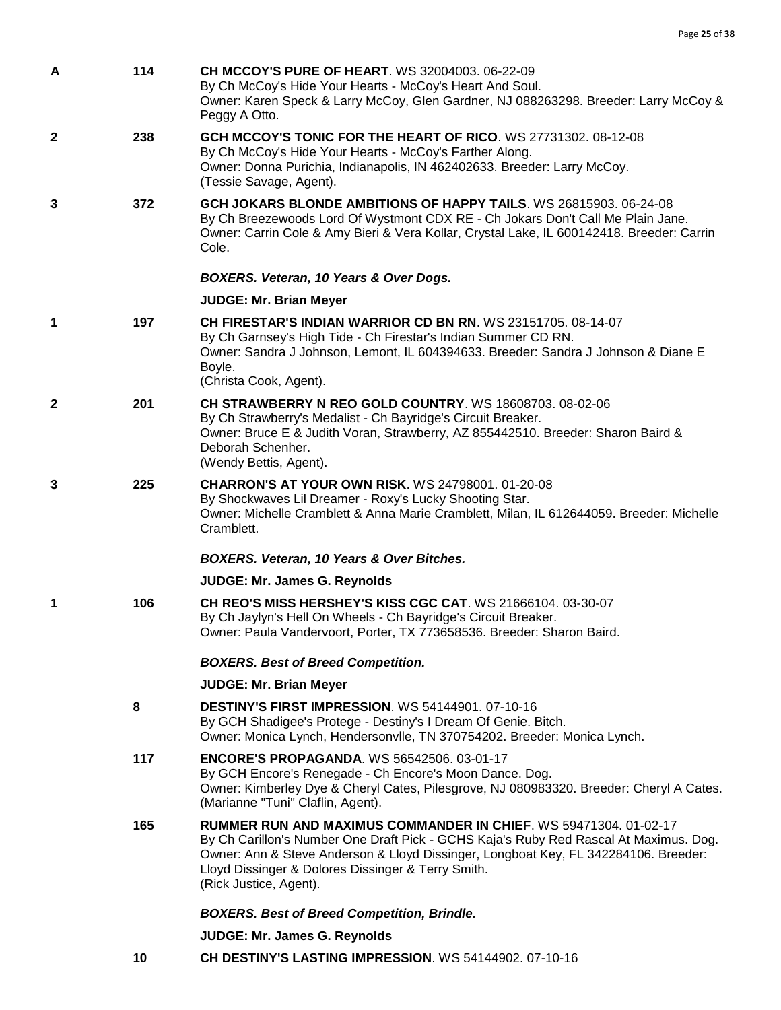| A            | 114 | <b>CH MCCOY'S PURE OF HEART. WS 32004003. 06-22-09</b><br>By Ch McCoy's Hide Your Hearts - McCoy's Heart And Soul.<br>Owner: Karen Speck & Larry McCoy, Glen Gardner, NJ 088263298. Breeder: Larry McCoy &<br>Peggy A Otto.                                                                                                             |
|--------------|-----|-----------------------------------------------------------------------------------------------------------------------------------------------------------------------------------------------------------------------------------------------------------------------------------------------------------------------------------------|
| $\mathbf{2}$ | 238 | GCH MCCOY'S TONIC FOR THE HEART OF RICO. WS 27731302. 08-12-08<br>By Ch McCoy's Hide Your Hearts - McCoy's Farther Along.<br>Owner: Donna Purichia, Indianapolis, IN 462402633. Breeder: Larry McCoy.<br>(Tessie Savage, Agent).                                                                                                        |
| 3            | 372 | GCH JOKARS BLONDE AMBITIONS OF HAPPY TAILS. WS 26815903. 06-24-08<br>By Ch Breezewoods Lord Of Wystmont CDX RE - Ch Jokars Don't Call Me Plain Jane.<br>Owner: Carrin Cole & Amy Bieri & Vera Kollar, Crystal Lake, IL 600142418. Breeder: Carrin<br>Cole.                                                                              |
|              |     | <b>BOXERS. Veteran, 10 Years &amp; Over Dogs.</b>                                                                                                                                                                                                                                                                                       |
|              |     | <b>JUDGE: Mr. Brian Meyer</b>                                                                                                                                                                                                                                                                                                           |
| 1            | 197 | CH FIRESTAR'S INDIAN WARRIOR CD BN RN. WS 23151705, 08-14-07<br>By Ch Garnsey's High Tide - Ch Firestar's Indian Summer CD RN.<br>Owner: Sandra J Johnson, Lemont, IL 604394633. Breeder: Sandra J Johnson & Diane E<br>Boyle.<br>(Christa Cook, Agent).                                                                                |
| 2            | 201 | CH STRAWBERRY N REO GOLD COUNTRY. WS 18608703. 08-02-06<br>By Ch Strawberry's Medalist - Ch Bayridge's Circuit Breaker.<br>Owner: Bruce E & Judith Voran, Strawberry, AZ 855442510. Breeder: Sharon Baird &<br>Deborah Schenher.<br>(Wendy Bettis, Agent).                                                                              |
| 3            | 225 | <b>CHARRON'S AT YOUR OWN RISK.</b> WS 24798001. 01-20-08<br>By Shockwaves Lil Dreamer - Roxy's Lucky Shooting Star.<br>Owner: Michelle Cramblett & Anna Marie Cramblett, Milan, IL 612644059. Breeder: Michelle<br>Cramblett.                                                                                                           |
|              |     | BOXERS. Veteran, 10 Years & Over Bitches.                                                                                                                                                                                                                                                                                               |
|              |     | <b>JUDGE: Mr. James G. Reynolds</b>                                                                                                                                                                                                                                                                                                     |
| 1            | 106 | CH REO'S MISS HERSHEY'S KISS CGC CAT. WS 21666104. 03-30-07<br>By Ch Jaylyn's Hell On Wheels - Ch Bayridge's Circuit Breaker.<br>Owner: Paula Vandervoort, Porter, TX 773658536. Breeder: Sharon Baird.                                                                                                                                 |
|              |     | <b>BOXERS. Best of Breed Competition.</b>                                                                                                                                                                                                                                                                                               |
|              |     | <b>JUDGE: Mr. Brian Meyer</b>                                                                                                                                                                                                                                                                                                           |
|              | 8   | <b>DESTINY'S FIRST IMPRESSION.</b> WS 54144901. 07-10-16<br>By GCH Shadigee's Protege - Destiny's I Dream Of Genie. Bitch.<br>Owner: Monica Lynch, Hendersonvlle, TN 370754202. Breeder: Monica Lynch.                                                                                                                                  |
|              | 117 | <b>ENCORE'S PROPAGANDA.</b> WS 56542506. 03-01-17<br>By GCH Encore's Renegade - Ch Encore's Moon Dance. Dog.<br>Owner: Kimberley Dye & Cheryl Cates, Pilesgrove, NJ 080983320. Breeder: Cheryl A Cates.<br>(Marianne "Tuni" Claflin, Agent).                                                                                            |
|              | 165 | <b>RUMMER RUN AND MAXIMUS COMMANDER IN CHIEF. WS 59471304. 01-02-17</b><br>By Ch Carillon's Number One Draft Pick - GCHS Kaja's Ruby Red Rascal At Maximus. Dog.<br>Owner: Ann & Steve Anderson & Lloyd Dissinger, Longboat Key, FL 342284106. Breeder:<br>Lloyd Dissinger & Dolores Dissinger & Terry Smith.<br>(Rick Justice, Agent). |
|              |     | <b>BOXERS. Best of Breed Competition, Brindle.</b>                                                                                                                                                                                                                                                                                      |
|              |     | <b>JUDGE: Mr. James G. Reynolds</b>                                                                                                                                                                                                                                                                                                     |

**10 [CH DESTINY'S LASTING IMPRESSION](http://infodog.com/my/drlookup2.htm?makc=WS%2054144902&mdog=Ch+Destiny%27s+Lasting+Impression&wins=all)**. WS 54144902. 07-10-16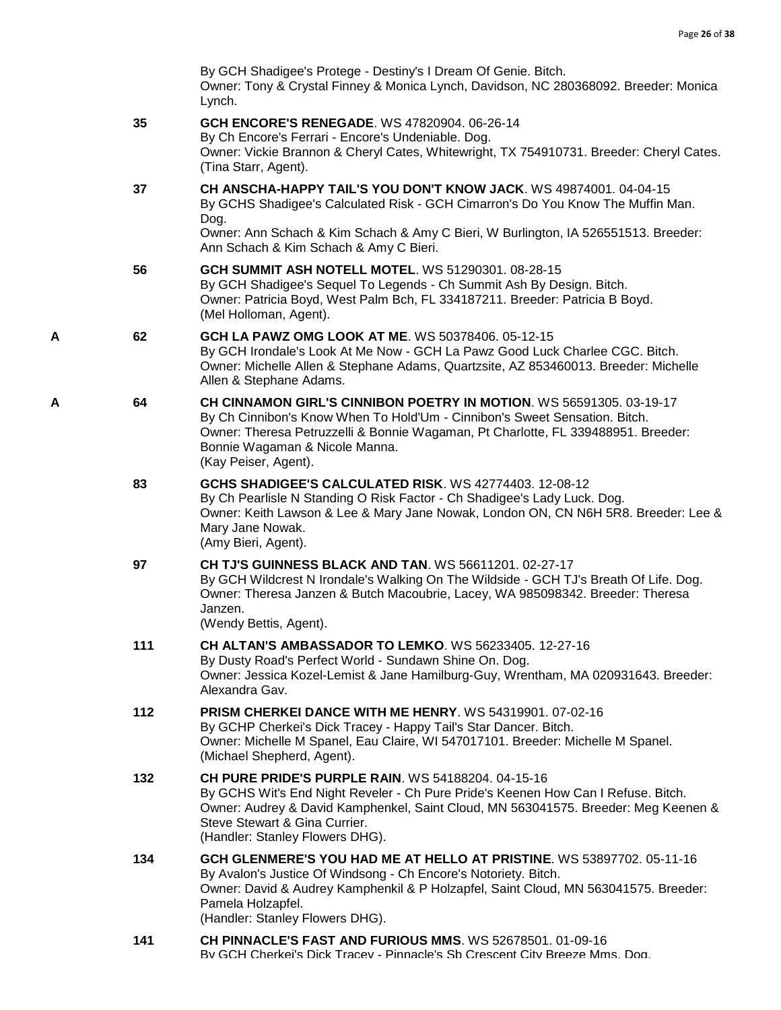|   |     | By GCH Shadigee's Protege - Destiny's I Dream Of Genie. Bitch.<br>Owner: Tony & Crystal Finney & Monica Lynch, Davidson, NC 280368092. Breeder: Monica<br>Lynch.                                                                                                                                         |
|---|-----|----------------------------------------------------------------------------------------------------------------------------------------------------------------------------------------------------------------------------------------------------------------------------------------------------------|
|   | 35  | <b>GCH ENCORE'S RENEGADE.</b> WS 47820904. 06-26-14<br>By Ch Encore's Ferrari - Encore's Undeniable. Dog.<br>Owner: Vickie Brannon & Cheryl Cates, Whitewright, TX 754910731. Breeder: Cheryl Cates.<br>(Tina Starr, Agent).                                                                             |
|   | 37  | CH ANSCHA-HAPPY TAIL'S YOU DON'T KNOW JACK. WS 49874001. 04-04-15<br>By GCHS Shadigee's Calculated Risk - GCH Cimarron's Do You Know The Muffin Man.<br>Dog.<br>Owner: Ann Schach & Kim Schach & Amy C Bieri, W Burlington, IA 526551513. Breeder:<br>Ann Schach & Kim Schach & Amy C Bieri.             |
|   | 56  | <b>GCH SUMMIT ASH NOTELL MOTEL. WS 51290301. 08-28-15</b><br>By GCH Shadigee's Sequel To Legends - Ch Summit Ash By Design. Bitch.<br>Owner: Patricia Boyd, West Palm Bch, FL 334187211. Breeder: Patricia B Boyd.<br>(Mel Holloman, Agent).                                                             |
| Α | 62  | GCH LA PAWZ OMG LOOK AT ME. WS 50378406. 05-12-15<br>By GCH Irondale's Look At Me Now - GCH La Pawz Good Luck Charlee CGC. Bitch.<br>Owner: Michelle Allen & Stephane Adams, Quartzsite, AZ 853460013. Breeder: Michelle<br>Allen & Stephane Adams.                                                      |
| A | 64  | CH CINNAMON GIRL'S CINNIBON POETRY IN MOTION. WS 56591305. 03-19-17<br>By Ch Cinnibon's Know When To Hold'Um - Cinnibon's Sweet Sensation. Bitch.<br>Owner: Theresa Petruzzelli & Bonnie Wagaman, Pt Charlotte, FL 339488951. Breeder:<br>Bonnie Wagaman & Nicole Manna.<br>(Kay Peiser, Agent).         |
|   | 83  | GCHS SHADIGEE'S CALCULATED RISK. WS 42774403. 12-08-12<br>By Ch Pearlisle N Standing O Risk Factor - Ch Shadigee's Lady Luck. Dog.<br>Owner: Keith Lawson & Lee & Mary Jane Nowak, London ON, CN N6H 5R8. Breeder: Lee &<br>Mary Jane Nowak.<br>(Amy Bieri, Agent).                                      |
|   | 97  | <b>CH TJ'S GUINNESS BLACK AND TAN. WS 56611201. 02-27-17</b><br>By GCH Wildcrest N Irondale's Walking On The Wildside - GCH TJ's Breath Of Life. Dog.<br>Owner: Theresa Janzen & Butch Macoubrie, Lacey, WA 985098342. Breeder: Theresa<br>Janzen.<br>(Wendy Bettis, Agent).                             |
|   | 111 | <b>CH ALTAN'S AMBASSADOR TO LEMKO. WS 56233405. 12-27-16</b><br>By Dusty Road's Perfect World - Sundawn Shine On. Dog.<br>Owner: Jessica Kozel-Lemist & Jane Hamilburg-Guy, Wrentham, MA 020931643. Breeder:<br>Alexandra Gav.                                                                           |
|   | 112 | <b>PRISM CHERKEI DANCE WITH ME HENRY. WS 54319901. 07-02-16</b><br>By GCHP Cherkei's Dick Tracey - Happy Tail's Star Dancer. Bitch.<br>Owner: Michelle M Spanel, Eau Claire, WI 547017101. Breeder: Michelle M Spanel.<br>(Michael Shepherd, Agent).                                                     |
|   | 132 | <b>CH PURE PRIDE'S PURPLE RAIN. WS 54188204. 04-15-16</b><br>By GCHS Wit's End Night Reveler - Ch Pure Pride's Keenen How Can I Refuse. Bitch.<br>Owner: Audrey & David Kamphenkel, Saint Cloud, MN 563041575. Breeder: Meg Keenen &<br>Steve Stewart & Gina Currier.<br>(Handler: Stanley Flowers DHG). |
|   | 134 | GCH GLENMERE'S YOU HAD ME AT HELLO AT PRISTINE, WS 53897702, 05-11-16<br>By Avalon's Justice Of Windsong - Ch Encore's Notoriety. Bitch.<br>Owner: David & Audrey Kamphenkil & P Holzapfel, Saint Cloud, MN 563041575. Breeder:<br>Pamela Holzapfel.<br>(Handler: Stanley Flowers DHG).                  |
|   | 141 | CH PINNACLE'S FAST AND FURIOUS MMS. WS 52678501. 01-09-16                                                                                                                                                                                                                                                |

By GCH Cherkei's Dick Tracey - Pinnacle's Sb Crescent City Breeze Mms. Dog.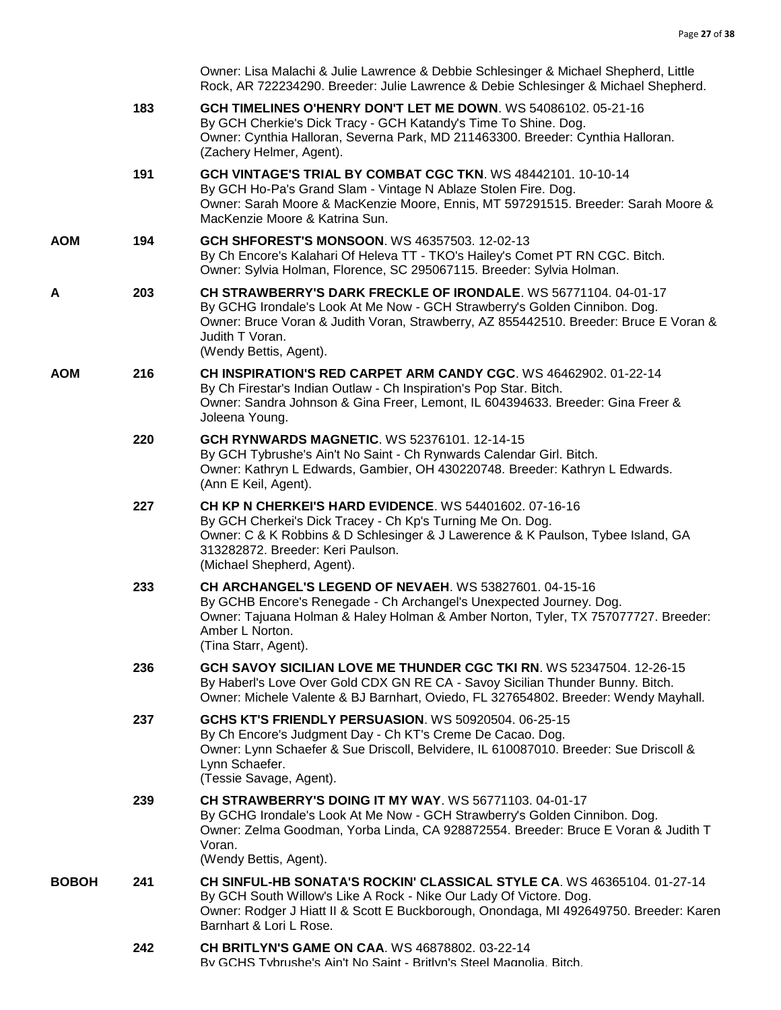|              |     | Owner: Lisa Malachi & Julie Lawrence & Debbie Schlesinger & Michael Shepherd, Little<br>Rock, AR 722234290. Breeder: Julie Lawrence & Debie Schlesinger & Michael Shepherd.                                                                                                         |
|--------------|-----|-------------------------------------------------------------------------------------------------------------------------------------------------------------------------------------------------------------------------------------------------------------------------------------|
|              | 183 | GCH TIMELINES O'HENRY DON'T LET ME DOWN. WS 54086102. 05-21-16<br>By GCH Cherkie's Dick Tracy - GCH Katandy's Time To Shine. Dog.<br>Owner: Cynthia Halloran, Severna Park, MD 211463300. Breeder: Cynthia Halloran.<br>(Zachery Helmer, Agent).                                    |
|              | 191 | GCH VINTAGE'S TRIAL BY COMBAT CGC TKN. WS 48442101. 10-10-14<br>By GCH Ho-Pa's Grand Slam - Vintage N Ablaze Stolen Fire. Dog.<br>Owner: Sarah Moore & MacKenzie Moore, Ennis, MT 597291515. Breeder: Sarah Moore &<br>MacKenzie Moore & Katrina Sun.                               |
| AOM          | 194 | <b>GCH SHFOREST'S MONSOON. WS 46357503. 12-02-13</b><br>By Ch Encore's Kalahari Of Heleva TT - TKO's Hailey's Comet PT RN CGC. Bitch.<br>Owner: Sylvia Holman, Florence, SC 295067115. Breeder: Sylvia Holman.                                                                      |
| А            | 203 | CH STRAWBERRY'S DARK FRECKLE OF IRONDALE. WS 56771104. 04-01-17<br>By GCHG Irondale's Look At Me Now - GCH Strawberry's Golden Cinnibon. Dog.<br>Owner: Bruce Voran & Judith Voran, Strawberry, AZ 855442510. Breeder: Bruce E Voran &<br>Judith T Voran.<br>(Wendy Bettis, Agent). |
| AOM          | 216 | CH INSPIRATION'S RED CARPET ARM CANDY CGC. WS 46462902. 01-22-14<br>By Ch Firestar's Indian Outlaw - Ch Inspiration's Pop Star. Bitch.<br>Owner: Sandra Johnson & Gina Freer, Lemont, IL 604394633. Breeder: Gina Freer &<br>Joleena Young.                                         |
|              | 220 | <b>GCH RYNWARDS MAGNETIC. WS 52376101. 12-14-15</b><br>By GCH Tybrushe's Ain't No Saint - Ch Rynwards Calendar Girl. Bitch.<br>Owner: Kathryn L Edwards, Gambier, OH 430220748. Breeder: Kathryn L Edwards.<br>(Ann E Keil, Agent).                                                 |
|              | 227 | <b>CH KP N CHERKEI'S HARD EVIDENCE.</b> WS 54401602, 07-16-16<br>By GCH Cherkei's Dick Tracey - Ch Kp's Turning Me On. Dog.<br>Owner: C & K Robbins & D Schlesinger & J Lawerence & K Paulson, Tybee Island, GA<br>313282872. Breeder: Keri Paulson.<br>(Michael Shepherd, Agent).  |
|              | 233 | CH ARCHANGEL'S LEGEND OF NEVAEH. WS 53827601. 04-15-16<br>By GCHB Encore's Renegade - Ch Archangel's Unexpected Journey. Dog.<br>Owner: Tajuana Holman & Haley Holman & Amber Norton, Tyler, TX 757077727. Breeder:<br>Amber L Norton.<br>(Tina Starr, Agent).                      |
|              | 236 | GCH SAVOY SICILIAN LOVE ME THUNDER CGC TKI RN. WS 52347504. 12-26-15<br>By Haberl's Love Over Gold CDX GN RE CA - Savoy Sicilian Thunder Bunny. Bitch.<br>Owner: Michele Valente & BJ Barnhart, Oviedo, FL 327654802. Breeder: Wendy Mayhall.                                       |
|              | 237 | GCHS KT'S FRIENDLY PERSUASION. WS 50920504. 06-25-15<br>By Ch Encore's Judgment Day - Ch KT's Creme De Cacao. Dog.<br>Owner: Lynn Schaefer & Sue Driscoll, Belvidere, IL 610087010. Breeder: Sue Driscoll &<br>Lynn Schaefer.<br>(Tessie Savage, Agent).                            |
|              | 239 | <b>CH STRAWBERRY'S DOING IT MY WAY. WS 56771103. 04-01-17</b><br>By GCHG Irondale's Look At Me Now - GCH Strawberry's Golden Cinnibon. Dog.<br>Owner: Zelma Goodman, Yorba Linda, CA 928872554. Breeder: Bruce E Voran & Judith T<br>Voran.<br>(Wendy Bettis, Agent).               |
| <b>BOBOH</b> | 241 | CH SINFUL-HB SONATA'S ROCKIN' CLASSICAL STYLE CA. WS 46365104. 01-27-14<br>By GCH South Willow's Like A Rock - Nike Our Lady Of Victore. Dog.<br>Owner: Rodger J Hiatt II & Scott E Buckborough, Onondaga, MI 492649750. Breeder: Karen<br>Barnhart & Lori L Rose.                  |
|              | 242 | <b>CH BRITLYN'S GAME ON CAA. WS 46878802. 03-22-14</b><br>By GCHS Tybrushe's Ain't No Saint - Britlyn's Steel Magnolia. Bitch.                                                                                                                                                      |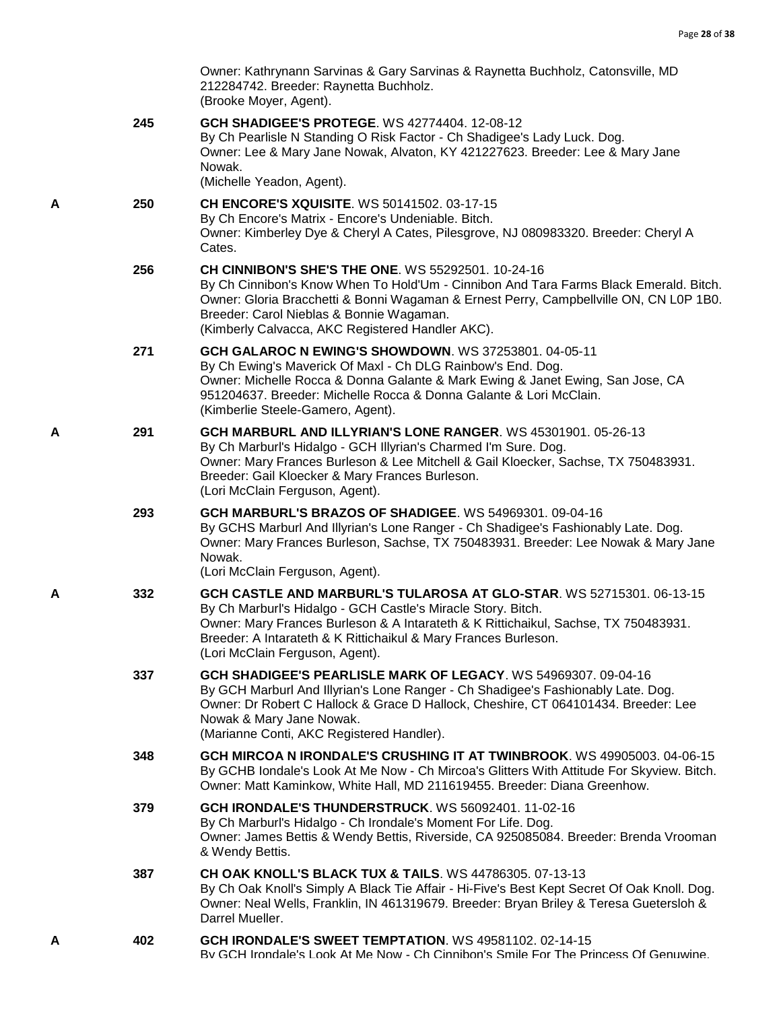|   |     | Owner: Kathrynann Sarvinas & Gary Sarvinas & Raynetta Buchholz, Catonsville, MD<br>212284742. Breeder: Raynetta Buchholz.<br>(Brooke Moyer, Agent).                                                                                                                                                                                   |
|---|-----|---------------------------------------------------------------------------------------------------------------------------------------------------------------------------------------------------------------------------------------------------------------------------------------------------------------------------------------|
|   | 245 | <b>GCH SHADIGEE'S PROTEGE. WS 42774404. 12-08-12</b><br>By Ch Pearlisle N Standing O Risk Factor - Ch Shadigee's Lady Luck. Dog.<br>Owner: Lee & Mary Jane Nowak, Alvaton, KY 421227623. Breeder: Lee & Mary Jane<br>Nowak.<br>(Michelle Yeadon, Agent).                                                                              |
| Α | 250 | <b>CH ENCORE'S XQUISITE. WS 50141502. 03-17-15</b><br>By Ch Encore's Matrix - Encore's Undeniable. Bitch.<br>Owner: Kimberley Dye & Cheryl A Cates, Pilesgrove, NJ 080983320. Breeder: Cheryl A<br>Cates.                                                                                                                             |
|   | 256 | CH CINNIBON'S SHE'S THE ONE. WS 55292501. 10-24-16<br>By Ch Cinnibon's Know When To Hold'Um - Cinnibon And Tara Farms Black Emerald. Bitch.<br>Owner: Gloria Bracchetti & Bonni Wagaman & Ernest Perry, Campbellville ON, CN L0P 1B0.<br>Breeder: Carol Nieblas & Bonnie Wagaman.<br>(Kimberly Calvacca, AKC Registered Handler AKC). |
|   | 271 | <b>GCH GALAROC N EWING'S SHOWDOWN.</b> WS 37253801. 04-05-11<br>By Ch Ewing's Maverick Of Maxl - Ch DLG Rainbow's End. Dog.<br>Owner: Michelle Rocca & Donna Galante & Mark Ewing & Janet Ewing, San Jose, CA<br>951204637. Breeder: Michelle Rocca & Donna Galante & Lori McClain.<br>(Kimberlie Steele-Gamero, Agent).              |
| A | 291 | GCH MARBURL AND ILLYRIAN'S LONE RANGER. WS 45301901. 05-26-13<br>By Ch Marburl's Hidalgo - GCH Illyrian's Charmed I'm Sure. Dog.<br>Owner: Mary Frances Burleson & Lee Mitchell & Gail Kloecker, Sachse, TX 750483931.<br>Breeder: Gail Kloecker & Mary Frances Burleson.<br>(Lori McClain Ferguson, Agent).                          |
|   | 293 | GCH MARBURL'S BRAZOS OF SHADIGEE. WS 54969301. 09-04-16<br>By GCHS Marburl And Illyrian's Lone Ranger - Ch Shadigee's Fashionably Late. Dog.<br>Owner: Mary Frances Burleson, Sachse, TX 750483931. Breeder: Lee Nowak & Mary Jane<br>Nowak.<br>(Lori McClain Ferguson, Agent).                                                       |
| A | 332 | GCH CASTLE AND MARBURL'S TULAROSA AT GLO-STAR. WS 52715301. 06-13-15<br>By Ch Marburl's Hidalgo - GCH Castle's Miracle Story. Bitch.<br>Owner: Mary Frances Burleson & A Intarateth & K Rittichaikul, Sachse, TX 750483931.<br>Breeder: A Intarateth & K Rittichaikul & Mary Frances Burleson.<br>(Lori McClain Ferguson, Agent).     |
|   | 337 | GCH SHADIGEE'S PEARLISLE MARK OF LEGACY. WS 54969307. 09-04-16<br>By GCH Marburl And Illyrian's Lone Ranger - Ch Shadigee's Fashionably Late. Dog.<br>Owner: Dr Robert C Hallock & Grace D Hallock, Cheshire, CT 064101434. Breeder: Lee<br>Nowak & Mary Jane Nowak.<br>(Marianne Conti, AKC Registered Handler).                     |
|   | 348 | GCH MIRCOA N IRONDALE'S CRUSHING IT AT TWINBROOK, WS 49905003, 04-06-15<br>By GCHB Iondale's Look At Me Now - Ch Mircoa's Glitters With Attitude For Skyview. Bitch.<br>Owner: Matt Kaminkow, White Hall, MD 211619455. Breeder: Diana Greenhow.                                                                                      |
|   | 379 | GCH IRONDALE'S THUNDERSTRUCK. WS 56092401. 11-02-16<br>By Ch Marburl's Hidalgo - Ch Irondale's Moment For Life. Dog.<br>Owner: James Bettis & Wendy Bettis, Riverside, CA 925085084. Breeder: Brenda Vrooman<br>& Wendy Bettis.                                                                                                       |
|   | 387 | <b>CH OAK KNOLL'S BLACK TUX &amp; TAILS. WS 44786305. 07-13-13</b><br>By Ch Oak Knoll's Simply A Black Tie Affair - Hi-Five's Best Kept Secret Of Oak Knoll. Dog.<br>Owner: Neal Wells, Franklin, IN 461319679. Breeder: Bryan Briley & Teresa Guetersloh &<br>Darrel Mueller.                                                        |
| А | 402 | GCH IRONDALE'S SWEET TEMPTATION. WS 49581102. 02-14-15<br>By GCH Irondale's Look At Me Now - Ch Cinnibon's Smile For The Princess Of Genuwine.                                                                                                                                                                                        |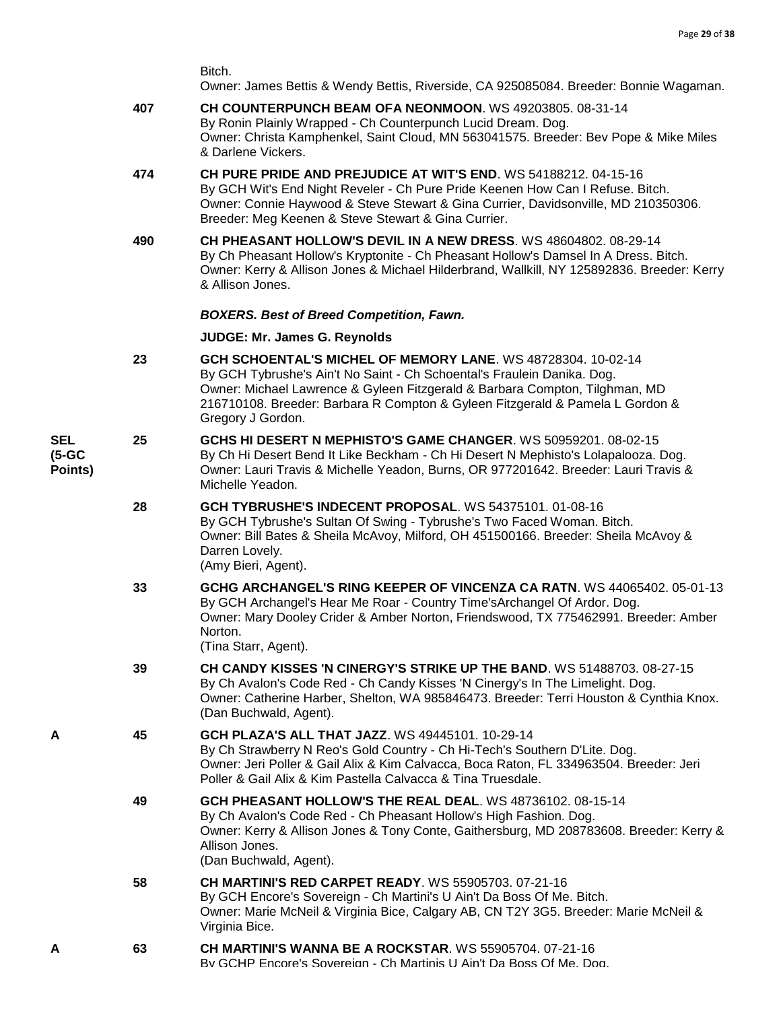Owner: James Bettis & Wendy Bettis, Riverside, CA 925085084. Breeder: Bonnie Wagaman.

- **407 [CH COUNTERPUNCH BEAM OFA NEONMOON](http://infodog.com/my/drlookup2.htm?makc=WS%2049203805&mdog=Ch+Counterpunch+Beam+OFA+NeonMoon&wins=all)**. WS 49203805. 08-31-14 By Ronin Plainly Wrapped - Ch Counterpunch Lucid Dream. Dog. Owner: Christa Kamphenkel, Saint Cloud, MN 563041575. Breeder: Bev Pope & Mike Miles & Darlene Vickers.
- **474 [CH PURE PRIDE AND PREJUDICE AT WIT'S END](http://infodog.com/my/drlookup2.htm?makc=WS%2054188212&mdog=Ch+Pure+Pride+And+Prejudice+At+Wit%27s+End&wins=all)**. WS 54188212. 04-15-16 By GCH Wit's End Night Reveler - Ch Pure Pride Keenen How Can I Refuse. Bitch. Owner: Connie Haywood & Steve Stewart & Gina Currier, Davidsonville, MD 210350306. Breeder: Meg Keenen & Steve Stewart & Gina Currier.
- **490 [CH PHEASANT HOLLOW'S DEVIL IN A NEW DRESS](http://infodog.com/my/drlookup2.htm?makc=WS%2048604802&mdog=Ch+Pheasant+Hollow%27s+Devil+In+A+New+Dress&wins=all)**. WS 48604802. 08-29-14 By Ch Pheasant Hollow's Kryptonite - Ch Pheasant Hollow's Damsel In A Dress. Bitch. Owner: Kerry & Allison Jones & Michael Hilderbrand, Wallkill, NY 125892836. Breeder: Kerry & Allison Jones.

#### *BOXERS. Best of Breed Competition, Fawn.*

#### **JUDGE: [Mr. James G. Reynolds](http://infodog.com/show/judge/jdgprofile.htm?jn=3353)**

- **23 [GCH SCHOENTAL'S MICHEL OF MEMORY LANE](http://infodog.com/my/drlookup2.htm?makc=WS%2048728304&mdog=GCH+Schoental%27s+Michel+Of+Memory+Lane&wins=all)**. WS 48728304. 10-02-14 By GCH Tybrushe's Ain't No Saint - Ch Schoental's Fraulein Danika. Dog. Owner: Michael Lawrence & Gyleen Fitzgerald & Barbara Compton, Tilghman, MD 216710108. Breeder: Barbara R Compton & Gyleen Fitzgerald & Pamela L Gordon & Gregory J Gordon.
- **SEL (5-GC Points) 25 [GCHS HI DESERT N MEPHISTO'S GAME CHANGER](http://infodog.com/my/drlookup2.htm?makc=WS%2050959201&mdog=GCHS+Hi+Desert+N+Mephisto%27s+Game+Changer&wins=all)**. WS 50959201. 08-02-15 By Ch Hi Desert Bend It Like Beckham - Ch Hi Desert N Mephisto's Lolapalooza. Dog. Owner: Lauri Travis & Michelle Yeadon, Burns, OR 977201642. Breeder: Lauri Travis & Michelle Yeadon.
	- **28 [GCH TYBRUSHE'S INDECENT PROPOSAL](http://infodog.com/my/drlookup2.htm?makc=WS%2054375101&mdog=GCH+Tybrushe%27s+Indecent+Proposal&wins=all)**. WS 54375101. 01-08-16 By GCH Tybrushe's Sultan Of Swing - Tybrushe's Two Faced Woman. Bitch. Owner: Bill Bates & Sheila McAvoy, Milford, OH 451500166. Breeder: Sheila McAvoy & Darren Lovely. (Amy Bieri, Agent).
	- **33 GCHG ARCHANGEL'S [RING KEEPER OF VINCENZA CA RATN](http://infodog.com/my/drlookup2.htm?makc=WS%2044065402&mdog=GCHG+Archangel%27s+Ring+Keeper+Of+Vincenza+CA+RATN&wins=all)**. WS 44065402. 05-01-13 By GCH Archangel's Hear Me Roar - Country Time'sArchangel Of Ardor. Dog. Owner: Mary Dooley Crider & Amber Norton, Friendswood, TX 775462991. Breeder: Amber Norton.

(Tina Starr, Agent).

- **39 [CH CANDY KISSES 'N CINERGY'S STRIKE UP THE BAND](http://infodog.com/my/drlookup2.htm?makc=WS%2051488703&mdog=Ch+Candy+Kisses+%27N+Cinergy%27s+Strike+Up+The+Band&wins=all)**. WS 51488703. 08-27-15 By Ch Avalon's Code Red - Ch Candy Kisses 'N Cinergy's In The Limelight. Dog. Owner: Catherine Harber, Shelton, WA 985846473. Breeder: Terri Houston & Cynthia Knox. (Dan Buchwald, Agent).
- **A 45 [GCH PLAZA'S ALL THAT JAZZ](http://infodog.com/my/drlookup2.htm?makc=WS%2049445101&mdog=GCH+Plaza%27s+All+That+Jazz&wins=all)**. WS 49445101. 10-29-14 By Ch Strawberry N Reo's Gold Country - Ch Hi-Tech's Southern D'Lite. Dog. Owner: Jeri Poller & Gail Alix & Kim Calvacca, Boca Raton, FL 334963504. Breeder: Jeri Poller & Gail Alix & Kim Pastella Calvacca & Tina Truesdale.
	- **49 [GCH PHEASANT HOLLOW'S THE REAL DEAL](http://infodog.com/my/drlookup2.htm?makc=WS%2048736102&mdog=GCH+Pheasant+Hollow%27s+The+Real+Deal&wins=all)**. WS 48736102. 08-15-14 By Ch Avalon's Code Red - Ch Pheasant Hollow's High Fashion. Dog. Owner: Kerry & Allison Jones & Tony Conte, Gaithersburg, MD 208783608. Breeder: Kerry & Allison Jones. (Dan Buchwald, Agent).
	- **58 [CH MARTINI'S RED CARPET READY](http://infodog.com/my/drlookup2.htm?makc=WS%2055905703&mdog=Ch+Martini%27s+Red+Carpet+Ready&wins=all)**. WS 55905703. 07-21-16 By GCH Encore's Sovereign - Ch Martini's U Ain't Da Boss Of Me. Bitch. Owner: Marie McNeil & Virginia Bice, Calgary AB, CN T2Y 3G5. Breeder: Marie McNeil & Virginia Bice.
- **A 63 [CH MARTINI'S WANNA BE A ROCKSTAR](http://infodog.com/my/drlookup2.htm?makc=WS%2055905704&mdog=Ch+Martini%27s+Wanna+Be+A+Rockstar&wins=all)**. WS 55905704. 07-21-16 By GCHP Encore's Sovereign - Ch Martinis U Ain't Da Boss Of Me. Dog.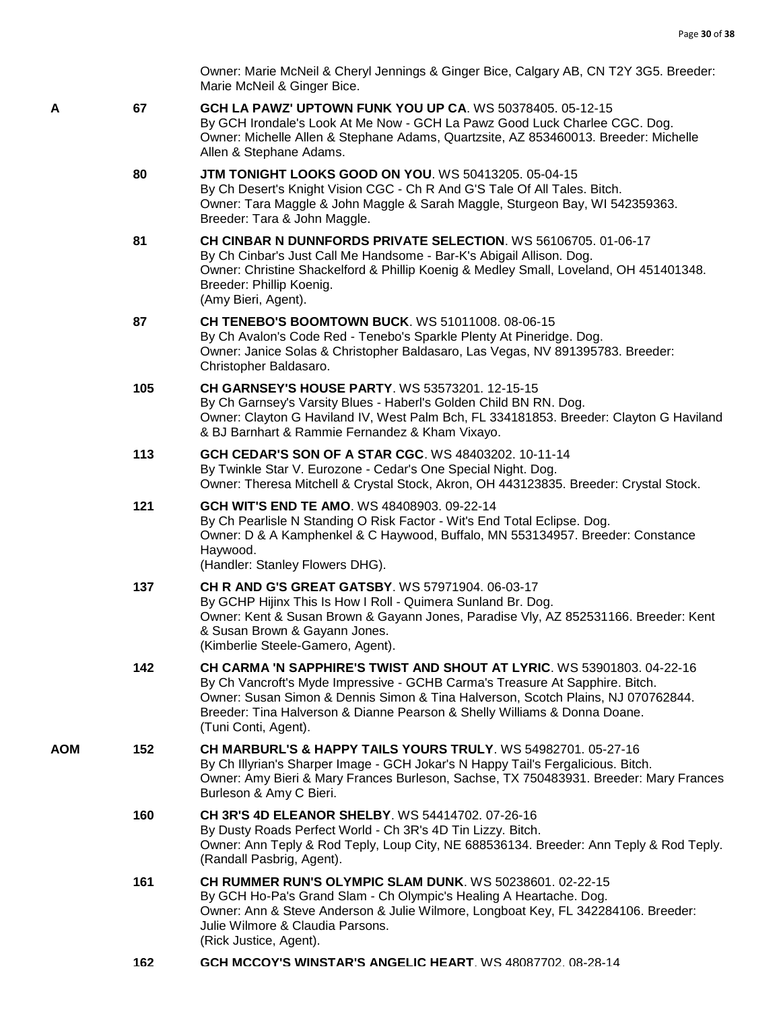Owner: Marie McNeil & Cheryl Jennings & Ginger Bice, Calgary AB, CN T2Y 3G5. Breeder: Marie McNeil & Ginger Bice.

- **A 67 [GCH LA PAWZ' UPTOWN FUNK YOU UP CA](http://infodog.com/my/drlookup2.htm?makc=WS%2050378405&mdog=GCH+La+Pawz%27+Uptown+Funk+You+Up+CA&wins=all)**. WS 50378405. 05-12-15 By GCH Irondale's Look At Me Now - GCH La Pawz Good Luck Charlee CGC. Dog. Owner: Michelle Allen & Stephane Adams, Quartzsite, AZ 853460013. Breeder: Michelle Allen & Stephane Adams.
	- **80 [JTM TONIGHT LOOKS GOOD ON YOU](http://infodog.com/my/drlookup2.htm?makc=WS%2050413205&mdog=JTM+Tonight+Looks+Good+On+You&wins=all)**. WS 50413205. 05-04-15 By Ch Desert's Knight Vision CGC - Ch R And G'S Tale Of All Tales. Bitch. Owner: Tara Maggle & John Maggle & Sarah Maggle, Sturgeon Bay, WI 542359363. Breeder: Tara & John Maggle.
	- **81 [CH CINBAR N DUNNFORDS PRIVATE SELECTION](http://infodog.com/my/drlookup2.htm?makc=WS%2056106705&mdog=Ch+Cinbar+N+Dunnfords+Private+Selection&wins=all)**. WS 56106705. 01-06-17 By Ch Cinbar's Just Call Me Handsome - Bar-K's Abigail Allison. Dog. Owner: Christine Shackelford & Phillip Koenig & Medley Small, Loveland, OH 451401348. Breeder: Phillip Koenig. (Amy Bieri, Agent).
	- **87 [CH TENEBO'S BOOMTOWN BUCK](http://infodog.com/my/drlookup2.htm?makc=WS%2051011008&mdog=Ch+Tenebo%27s+Boomtown+Buck&wins=all)**. WS 51011008. 08-06-15 By Ch Avalon's Code Red - Tenebo's Sparkle Plenty At Pineridge. Dog. Owner: Janice Solas & Christopher Baldasaro, Las Vegas, NV 891395783. Breeder: Christopher Baldasaro.
	- **105 [CH GARNSEY'S HOUSE PARTY](http://infodog.com/my/drlookup2.htm?makc=WS%2053573201&mdog=Ch+Garnsey%27s+House+Party&wins=all)**. WS 53573201. 12-15-15 By Ch Garnsey's Varsity Blues - Haberl's Golden Child BN RN. Dog. Owner: Clayton G Haviland IV, West Palm Bch, FL 334181853. Breeder: Clayton G Haviland & BJ Barnhart & Rammie Fernandez & Kham Vixayo.
	- **113 [GCH CEDAR'S SON OF A STAR CGC](http://infodog.com/my/drlookup2.htm?makc=WS%2048403202&mdog=GCH+Cedar%27s+Son+Of+A+Star+CGC&wins=all)**. WS 48403202. 10-11-14 By Twinkle Star V. Eurozone - Cedar's One Special Night. Dog. Owner: Theresa Mitchell & Crystal Stock, Akron, OH 443123835. Breeder: Crystal Stock.
	- **121 [GCH WIT'S END TE AMO](http://infodog.com/my/drlookup2.htm?makc=WS%2048408903&mdog=GCH+Wit%27s+End+Te+Amo&wins=all)**. WS 48408903. 09-22-14 By Ch Pearlisle N Standing O Risk Factor - Wit's End Total Eclipse. Dog. Owner: D & A Kamphenkel & C Haywood, Buffalo, MN 553134957. Breeder: Constance Haywood. (Handler: Stanley Flowers DHG).
	- **137 [CH R AND G'S GREAT GATSBY](http://infodog.com/my/drlookup2.htm?makc=WS%2057971904&mdog=Ch+R+And+G%27s+Great+Gatsby&wins=all)**. WS 57971904. 06-03-17 By GCHP Hijinx This Is How I Roll - Quimera Sunland Br. Dog. Owner: Kent & Susan Brown & Gayann Jones, Paradise Vly, AZ 852531166. Breeder: Kent & Susan Brown & Gayann Jones. (Kimberlie Steele-Gamero, Agent).
	- **142 [CH CARMA 'N SAPPHIRE'S TWIST AND SHOUT AT LYRIC](http://infodog.com/my/drlookup2.htm?makc=WS%2053901803&mdog=Ch+Carma+%27N+Sapphire%27s+Twist+And+Shout+At+Lyric&wins=all)**. WS 53901803. 04-22-16 By Ch Vancroft's Myde Impressive - GCHB Carma's Treasure At Sapphire. Bitch. Owner: Susan Simon & Dennis Simon & Tina Halverson, Scotch Plains, NJ 070762844. Breeder: Tina Halverson & Dianne Pearson & Shelly Williams & Donna Doane. (Tuni Conti, Agent).
- **AOM 152 [CH MARBURL'S & HAPPY TAILS YOURS TRULY](http://infodog.com/my/drlookup2.htm?makc=WS%2054982701&mdog=Ch+Marburl%27s+&+Happy+Tails+Yours+Truly&wins=all)**. WS 54982701. 05-27-16 By Ch Illyrian's Sharper Image - GCH Jokar's N Happy Tail's Fergalicious. Bitch. Owner: Amy Bieri & Mary Frances Burleson, Sachse, TX 750483931. Breeder: Mary Frances Burleson & Amy C Bieri.
	- **160 [CH 3R'S 4D ELEANOR SHELBY](http://infodog.com/my/drlookup2.htm?makc=WS%2054414702&mdog=Ch+3R%27s+4D+Eleanor+Shelby&wins=all)**. WS 54414702. 07-26-16 By Dusty Roads Perfect World - Ch 3R's 4D Tin Lizzy. Bitch. Owner: Ann Teply & Rod Teply, Loup City, NE 688536134. Breeder: Ann Teply & Rod Teply. (Randall Pasbrig, Agent).
	- **161 [CH RUMMER RUN'S OLYMPIC SLAM DUNK](http://infodog.com/my/drlookup2.htm?makc=WS%2050238601&mdog=Ch+Rummer+Run%27s+Olympic+Slam+Dunk&wins=all)**. WS 50238601. 02-22-15 By GCH Ho-Pa's Grand Slam - Ch Olympic's Healing A Heartache. Dog. Owner: Ann & Steve Anderson & Julie Wilmore, Longboat Key, FL 342284106. Breeder: Julie Wilmore & Claudia Parsons. (Rick Justice, Agent).
	- **162 [GCH MCCOY'S WINSTAR'S ANGELIC HEART](http://infodog.com/my/drlookup2.htm?makc=WS%2048087702&mdog=GCH+McCoy%27s+Winstar%27s+Angelic+Heart&wins=all)**. WS 48087702. 08-28-14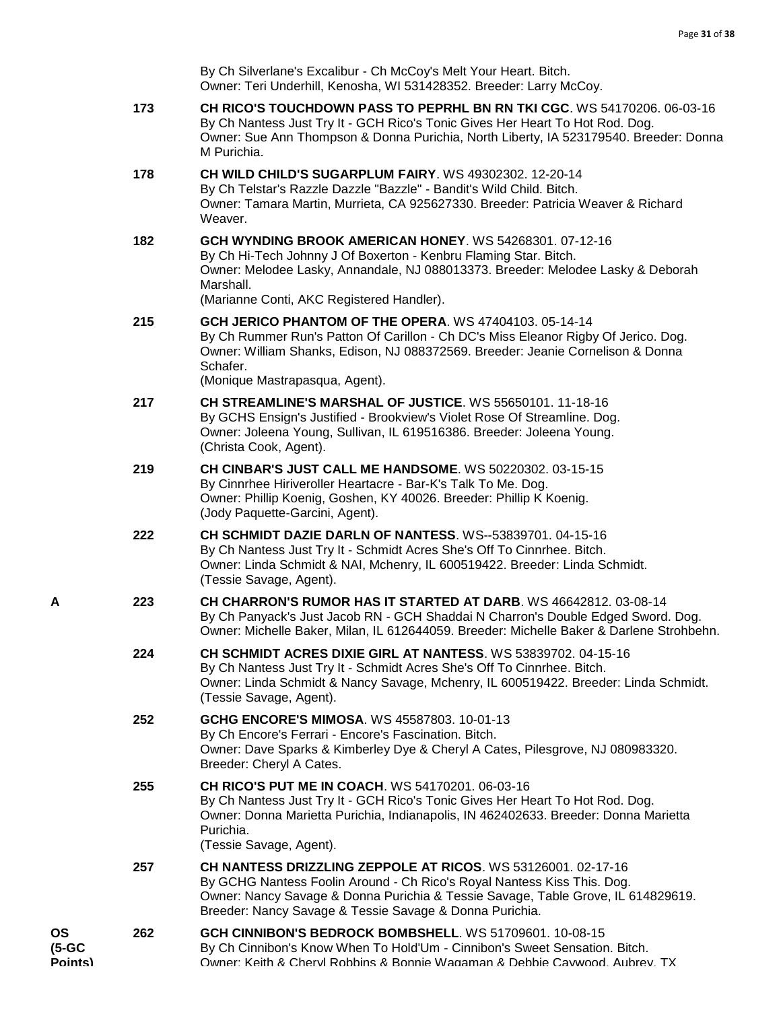| By Ch Silverlane's Excalibur - Ch McCoy's Melt Your Heart. Bitch.   |
|---------------------------------------------------------------------|
| Owner: Teri Underhill, Kenosha, WI 531428352. Breeder: Larry McCoy. |

- **173 [CH RICO'S TOUCHDOWN PASS TO PEPRHL BN RN TKI CGC](http://infodog.com/my/drlookup2.htm?makc=WS%2054170206&mdog=Ch+Rico%27s+Touchdown+Pass+To+Peprhl+BN+RN+TKI+CGC&wins=all)**. WS 54170206. 06-03-16 By Ch Nantess Just Try It - GCH Rico's Tonic Gives Her Heart To Hot Rod. Dog. Owner: Sue Ann Thompson & Donna Purichia, North Liberty, IA 523179540. Breeder: Donna M Purichia.
- **178 [CH WILD CHILD'S SUGARPLUM FAIRY](http://infodog.com/my/drlookup2.htm?makc=WS%2049302302&mdog=Ch+Wild+Child%27s+Sugarplum+Fairy&wins=all)**. WS 49302302. 12-20-14 By Ch Telstar's Razzle Dazzle "Bazzle" - Bandit's Wild Child. Bitch. Owner: Tamara Martin, Murrieta, CA 925627330. Breeder: Patricia Weaver & Richard Weaver.
- **182 [GCH WYNDING BROOK AMERICAN HONEY](http://infodog.com/my/drlookup2.htm?makc=WS%2054268301&mdog=GCH+Wynding+Brook+American+Honey&wins=all)**. WS 54268301. 07-12-16 By Ch Hi-Tech Johnny J Of Boxerton - Kenbru Flaming Star. Bitch. Owner: Melodee Lasky, Annandale, NJ 088013373. Breeder: Melodee Lasky & Deborah Marshall. (Marianne Conti, AKC Registered Handler).

**215 [GCH JERICO PHANTOM OF THE OPERA](http://infodog.com/my/drlookup2.htm?makc=WS%2047404103&mdog=GCH+Jerico+Phantom+Of+The+Opera&wins=all)**. WS 47404103. 05-14-14 By Ch Rummer Run's Patton Of Carillon - Ch DC's Miss Eleanor Rigby Of Jerico. Dog. Owner: William Shanks, Edison, NJ 088372569. Breeder: Jeanie Cornelison & Donna Schafer.

(Monique Mastrapasqua, Agent).

- **217 [CH STREAMLINE'S MARSHAL OF JUSTICE](http://infodog.com/my/drlookup2.htm?makc=WS%2055650101&mdog=Ch+Streamline%27s+Marshal+Of+Justice&wins=all)**. WS 55650101. 11-18-16 By GCHS Ensign's Justified - Brookview's Violet Rose Of Streamline. Dog. Owner: Joleena Young, Sullivan, IL 619516386. Breeder: Joleena Young. (Christa Cook, Agent).
- **219 [CH CINBAR'S JUST CALL ME](http://infodog.com/my/drlookup2.htm?makc=WS%2050220302&mdog=Ch+Cinbar%27s+Just+Call+Me+Handsome&wins=all) HANDSOME**. WS 50220302. 03-15-15 By Cinnrhee Hiriveroller Heartacre - Bar-K's Talk To Me. Dog. Owner: Phillip Koenig, Goshen, KY 40026. Breeder: Phillip K Koenig. (Jody Paquette-Garcini, Agent).
- **222 [CH SCHMIDT DAZIE DARLN OF NANTESS](http://infodog.com/my/drlookup2.htm?makc=WS--53839701&mdog=Ch+Schmidt+Dazie+Darln+Of+Nantess&wins=all)**. WS--53839701. 04-15-16 By Ch Nantess Just Try It - Schmidt Acres She's Off To Cinnrhee. Bitch. Owner: Linda Schmidt & NAI, Mchenry, IL 600519422. Breeder: Linda Schmidt. (Tessie Savage, Agent).
- **A 223 [CH CHARRON'S RUMOR HAS IT STARTED AT DARB](http://infodog.com/my/drlookup2.htm?makc=WS%2046642812&mdog=Ch+Charron%27s+Rumor+Has+It+Started+At+Darb&wins=all)**. WS 46642812. 03-08-14 By Ch Panyack's Just Jacob RN - GCH Shaddai N Charron's Double Edged Sword. Dog. Owner: Michelle Baker, Milan, IL 612644059. Breeder: Michelle Baker & Darlene Strohbehn.
	- **224 [CH SCHMIDT ACRES DIXIE GIRL AT NANTESS](http://infodog.com/my/drlookup2.htm?makc=WS%2053839702&mdog=Ch+Schmidt+Acres+Dixie+Girl+At+Nantess&wins=all)**. WS 53839702. 04-15-16 By Ch Nantess Just Try It - Schmidt Acres She's Off To Cinnrhee. Bitch. Owner: Linda Schmidt & Nancy Savage, Mchenry, IL 600519422. Breeder: Linda Schmidt. (Tessie Savage, Agent).
	- **252 [GCHG ENCORE'S MIMOSA](http://infodog.com/my/drlookup2.htm?makc=WS%2045587803&mdog=GCHG+Encore%27s+Mimosa&wins=all)**. WS 45587803. 10-01-13 By Ch Encore's Ferrari - Encore's Fascination. Bitch. Owner: Dave Sparks & Kimberley Dye & Cheryl A Cates, Pilesgrove, NJ 080983320. Breeder: Cheryl A Cates.
	- **255 [CH RICO'S PUT ME IN COACH](http://infodog.com/my/drlookup2.htm?makc=WS%2054170201&mdog=Ch+Rico%27s+Put+Me+In+Coach&wins=all)**. WS 54170201. 06-03-16 By Ch Nantess Just Try It - GCH Rico's Tonic Gives Her Heart To Hot Rod. Dog. Owner: Donna Marietta Purichia, Indianapolis, IN 462402633. Breeder: Donna Marietta Purichia.

(Tessie Savage, Agent).

- **257 [CH NANTESS DRIZZLING ZEPPOLE AT RICOS](http://infodog.com/my/drlookup2.htm?makc=WS%2053126001&mdog=Ch+Nantess+Drizzling+Zeppole+At+Ricos&wins=all)**. WS 53126001. 02-17-16 By GCHG Nantess Foolin Around - Ch Rico's Royal Nantess Kiss This. Dog. Owner: Nancy Savage & Donna Purichia & Tessie Savage, Table Grove, IL 614829619. Breeder: Nancy Savage & Tessie Savage & Donna Purichia.
- **OS (5-GC Points) 262 [GCH CINNIBON'S BEDROCK BOMBSHELL](http://infodog.com/my/drlookup2.htm?makc=WS%2051709601&mdog=GCH+Cinnibon%27s+Bedrock+Bombshell&wins=all)**. WS 51709601. 10-08-15 By Ch Cinnibon's Know When To Hold'Um - Cinnibon's Sweet Sensation. Bitch. Owner: Keith & Cheryl Robbins & Bonnie Wagaman & Debbie Caywood, Aubrey, TX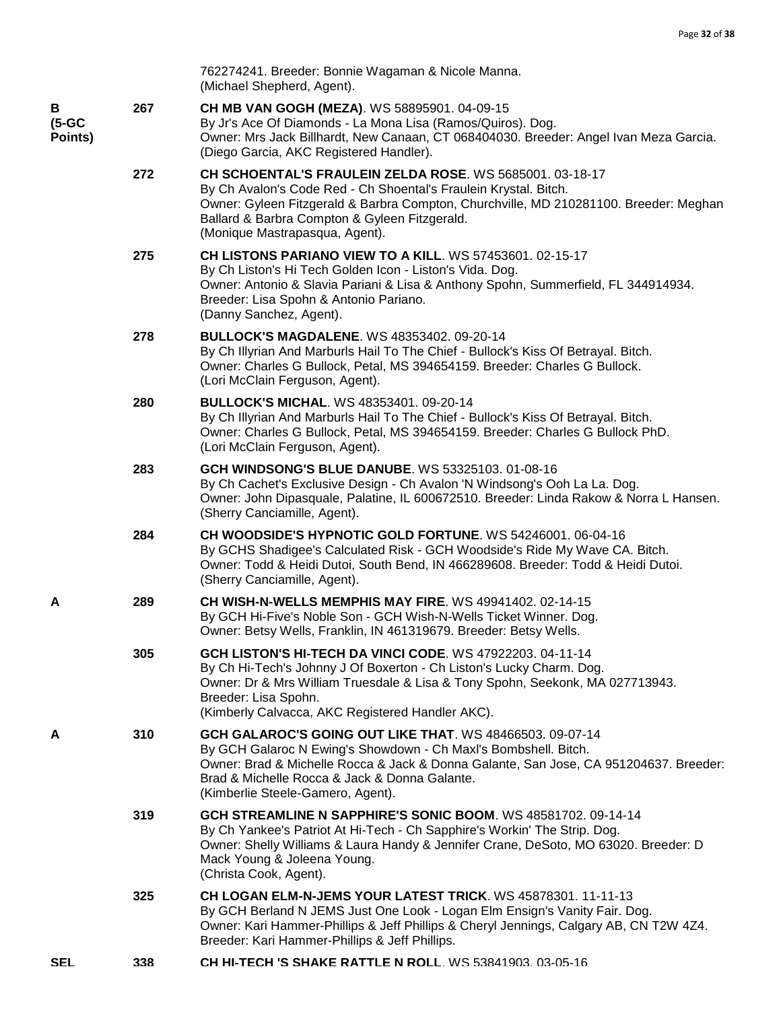|                          |     | 762274241. Breeder: Bonnie Wagaman & Nicole Manna.<br>(Michael Shepherd, Agent).                                                                                                                                                                                                                                  |
|--------------------------|-----|-------------------------------------------------------------------------------------------------------------------------------------------------------------------------------------------------------------------------------------------------------------------------------------------------------------------|
| в<br>$(5-GC)$<br>Points) | 267 | CH MB VAN GOGH (MEZA). WS 58895901. 04-09-15<br>By Jr's Ace Of Diamonds - La Mona Lisa (Ramos/Quiros). Dog.<br>Owner: Mrs Jack Billhardt, New Canaan, CT 068404030. Breeder: Angel Ivan Meza Garcia.<br>(Diego Garcia, AKC Registered Handler).                                                                   |
|                          | 272 | CH SCHOENTAL'S FRAULEIN ZELDA ROSE. WS 5685001. 03-18-17<br>By Ch Avalon's Code Red - Ch Shoental's Fraulein Krystal. Bitch.<br>Owner: Gyleen Fitzgerald & Barbra Compton, Churchville, MD 210281100. Breeder: Meghan<br>Ballard & Barbra Compton & Gyleen Fitzgerald.<br>(Monique Mastrapasqua, Agent).          |
|                          | 275 | CH LISTONS PARIANO VIEW TO A KILL. WS 57453601. 02-15-17<br>By Ch Liston's Hi Tech Golden Icon - Liston's Vida. Dog.<br>Owner: Antonio & Slavia Pariani & Lisa & Anthony Spohn, Summerfield, FL 344914934.<br>Breeder: Lisa Spohn & Antonio Pariano.<br>(Danny Sanchez, Agent).                                   |
|                          | 278 | <b>BULLOCK'S MAGDALENE. WS 48353402. 09-20-14</b><br>By Ch Illyrian And Marburls Hail To The Chief - Bullock's Kiss Of Betrayal. Bitch.<br>Owner: Charles G Bullock, Petal, MS 394654159. Breeder: Charles G Bullock.<br>(Lori McClain Ferguson, Agent).                                                          |
|                          | 280 | <b>BULLOCK'S MICHAL. WS 48353401. 09-20-14</b><br>By Ch Illyrian And Marburls Hail To The Chief - Bullock's Kiss Of Betrayal. Bitch.<br>Owner: Charles G Bullock, Petal, MS 394654159. Breeder: Charles G Bullock PhD.<br>(Lori McClain Ferguson, Agent).                                                         |
|                          | 283 | <b>GCH WINDSONG'S BLUE DANUBE.</b> WS 53325103. 01-08-16<br>By Ch Cachet's Exclusive Design - Ch Avalon 'N Windsong's Ooh La La. Dog.<br>Owner: John Dipasquale, Palatine, IL 600672510. Breeder: Linda Rakow & Norra L Hansen.<br>(Sherry Canciamille, Agent).                                                   |
|                          | 284 | CH WOODSIDE'S HYPNOTIC GOLD FORTUNE. WS 54246001. 06-04-16<br>By GCHS Shadigee's Calculated Risk - GCH Woodside's Ride My Wave CA. Bitch.<br>Owner: Todd & Heidi Dutoi, South Bend, IN 466289608. Breeder: Todd & Heidi Dutoi.<br>(Sherry Canciamille, Agent).                                                    |
| A                        | 289 | <b>CH WISH-N-WELLS MEMPHIS MAY FIRE. WS 49941402. 02-14-15</b><br>By GCH Hi-Five's Noble Son - GCH Wish-N-Wells Ticket Winner. Dog.<br>Owner: Betsy Wells, Franklin, IN 461319679. Breeder: Betsy Wells.                                                                                                          |
|                          | 305 | <b>GCH LISTON'S HI-TECH DA VINCI CODE.</b> WS 47922203, 04-11-14<br>By Ch Hi-Tech's Johnny J Of Boxerton - Ch Liston's Lucky Charm. Dog.<br>Owner: Dr & Mrs William Truesdale & Lisa & Tony Spohn, Seekonk, MA 027713943.<br>Breeder: Lisa Spohn.<br>(Kimberly Calvacca, AKC Registered Handler AKC).             |
| A                        | 310 | <b>GCH GALAROC'S GOING OUT LIKE THAT. WS 48466503. 09-07-14</b><br>By GCH Galaroc N Ewing's Showdown - Ch Maxl's Bombshell. Bitch.<br>Owner: Brad & Michelle Rocca & Jack & Donna Galante, San Jose, CA 951204637. Breeder:<br>Brad & Michelle Rocca & Jack & Donna Galante.<br>(Kimberlie Steele-Gamero, Agent). |
|                          | 319 | GCH STREAMLINE N SAPPHIRE'S SONIC BOOM. WS 48581702. 09-14-14<br>By Ch Yankee's Patriot At Hi-Tech - Ch Sapphire's Workin' The Strip. Dog.<br>Owner: Shelly Williams & Laura Handy & Jennifer Crane, DeSoto, MO 63020. Breeder: D<br>Mack Young & Joleena Young.<br>(Christa Cook, Agent).                        |
|                          | 325 | CH LOGAN ELM-N-JEMS YOUR LATEST TRICK. WS 45878301. 11-11-13<br>By GCH Berland N JEMS Just One Look - Logan Elm Ensign's Vanity Fair. Dog.<br>Owner: Kari Hammer-Phillips & Jeff Phillips & Cheryl Jennings, Calgary AB, CN T2W 4Z4.<br>Breeder: Kari Hammer-Phillips & Jeff Phillips.                            |
| <b>SEL</b>               | 338 | <b>CH HI-TECH 'S SHAKE RATTLE N ROLL. WS 53841903. 03-05-16</b>                                                                                                                                                                                                                                                   |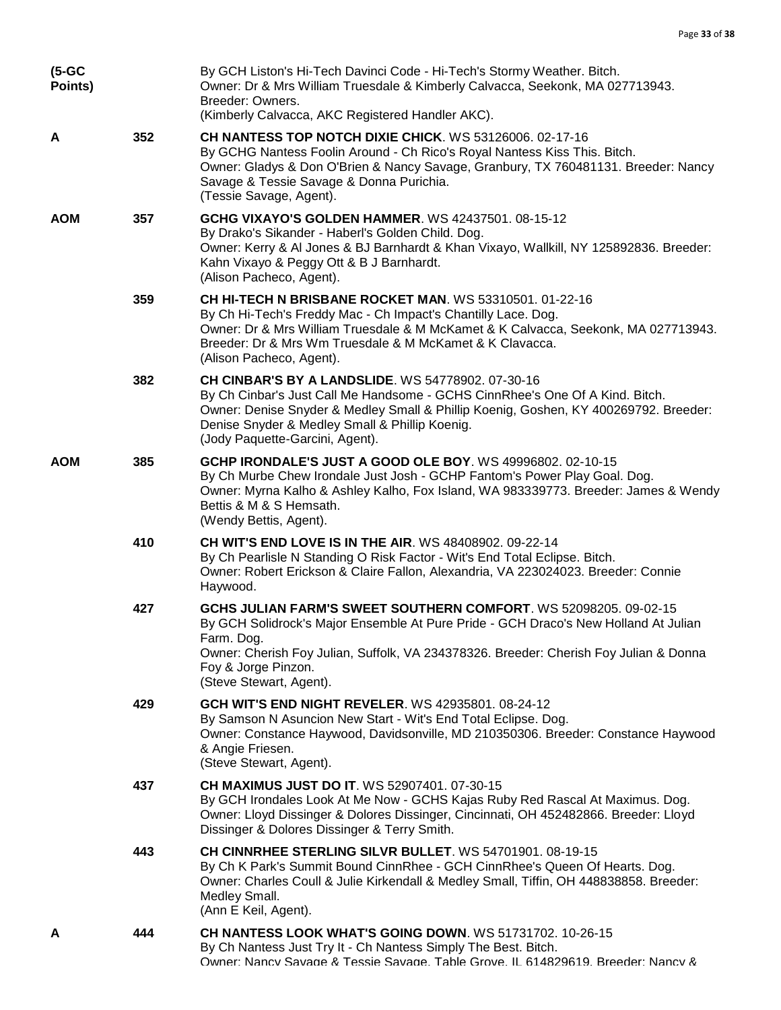| (5-GC<br>Points) |     | By GCH Liston's Hi-Tech Davinci Code - Hi-Tech's Stormy Weather. Bitch.<br>Owner: Dr & Mrs William Truesdale & Kimberly Calvacca, Seekonk, MA 027713943.<br>Breeder: Owners.<br>(Kimberly Calvacca, AKC Registered Handler AKC).                                                                                      |
|------------------|-----|-----------------------------------------------------------------------------------------------------------------------------------------------------------------------------------------------------------------------------------------------------------------------------------------------------------------------|
| A                | 352 | CH NANTESS TOP NOTCH DIXIE CHICK. WS 53126006. 02-17-16<br>By GCHG Nantess Foolin Around - Ch Rico's Royal Nantess Kiss This. Bitch.<br>Owner: Gladys & Don O'Brien & Nancy Savage, Granbury, TX 760481131. Breeder: Nancy<br>Savage & Tessie Savage & Donna Purichia.<br>(Tessie Savage, Agent).                     |
| <b>AOM</b>       | 357 | <b>GCHG VIXAYO'S GOLDEN HAMMER. WS 42437501, 08-15-12</b><br>By Drako's Sikander - Haberl's Golden Child. Dog.<br>Owner: Kerry & Al Jones & BJ Barnhardt & Khan Vixayo, Wallkill, NY 125892836. Breeder:<br>Kahn Vixayo & Peggy Ott & B J Barnhardt.<br>(Alison Pacheco, Agent).                                      |
|                  | 359 | <b>CH HI-TECH N BRISBANE ROCKET MAN. WS 53310501. 01-22-16</b><br>By Ch Hi-Tech's Freddy Mac - Ch Impact's Chantilly Lace. Dog.<br>Owner: Dr & Mrs William Truesdale & M McKamet & K Calvacca, Seekonk, MA 027713943.<br>Breeder: Dr & Mrs Wm Truesdale & M McKamet & K Clavacca.<br>(Alison Pacheco, Agent).         |
|                  | 382 | <b>CH CINBAR'S BY A LANDSLIDE.</b> WS 54778902. 07-30-16<br>By Ch Cinbar's Just Call Me Handsome - GCHS CinnRhee's One Of A Kind. Bitch.<br>Owner: Denise Snyder & Medley Small & Phillip Koenig, Goshen, KY 400269792. Breeder:<br>Denise Snyder & Medley Small & Phillip Koenig.<br>(Jody Paquette-Garcini, Agent). |
| <b>AOM</b>       | 385 | GCHP IRONDALE'S JUST A GOOD OLE BOY. WS 49996802. 02-10-15<br>By Ch Murbe Chew Irondale Just Josh - GCHP Fantom's Power Play Goal. Dog.<br>Owner: Myrna Kalho & Ashley Kalho, Fox Island, WA 983339773. Breeder: James & Wendy<br>Bettis & M & S Hemsath.<br>(Wendy Bettis, Agent).                                   |
|                  | 410 | <b>CH WIT'S END LOVE IS IN THE AIR. WS 48408902. 09-22-14</b><br>By Ch Pearlisle N Standing O Risk Factor - Wit's End Total Eclipse. Bitch.<br>Owner: Robert Erickson & Claire Fallon, Alexandria, VA 223024023. Breeder: Connie<br>Haywood.                                                                          |
|                  | 427 | GCHS JULIAN FARM'S SWEET SOUTHERN COMFORT. WS 52098205. 09-02-15<br>By GCH Solidrock's Major Ensemble At Pure Pride - GCH Draco's New Holland At Julian<br>Farm. Dog.<br>Owner: Cherish Foy Julian, Suffolk, VA 234378326. Breeder: Cherish Foy Julian & Donna<br>Foy & Jorge Pinzon.<br>(Steve Stewart, Agent).      |
|                  | 429 | <b>GCH WIT'S END NIGHT REVELER.</b> WS 42935801, 08-24-12<br>By Samson N Asuncion New Start - Wit's End Total Eclipse. Dog.<br>Owner: Constance Haywood, Davidsonville, MD 210350306. Breeder: Constance Haywood<br>& Angie Friesen.<br>(Steve Stewart, Agent).                                                       |
|                  | 437 | CH MAXIMUS JUST DO IT. WS 52907401. 07-30-15<br>By GCH Irondales Look At Me Now - GCHS Kajas Ruby Red Rascal At Maximus. Dog.<br>Owner: Lloyd Dissinger & Dolores Dissinger, Cincinnati, OH 452482866. Breeder: Lloyd<br>Dissinger & Dolores Dissinger & Terry Smith.                                                 |
|                  | 443 | CH CINNRHEE STERLING SILVR BULLET. WS 54701901. 08-19-15<br>By Ch K Park's Summit Bound CinnRhee - GCH CinnRhee's Queen Of Hearts. Dog.<br>Owner: Charles Coull & Julie Kirkendall & Medley Small, Tiffin, OH 448838858. Breeder:<br>Medley Small.<br>(Ann E Keil, Agent).                                            |
| А                | 444 | <b>CH NANTESS LOOK WHAT'S GOING DOWN. WS 51731702. 10-26-15</b><br>By Ch Nantess Just Try It - Ch Nantess Simply The Best. Bitch.<br>Owner: Nancy Savage & Tessie Savage, Table Grove, IL 614829619, Breeder: Nancy &                                                                                                 |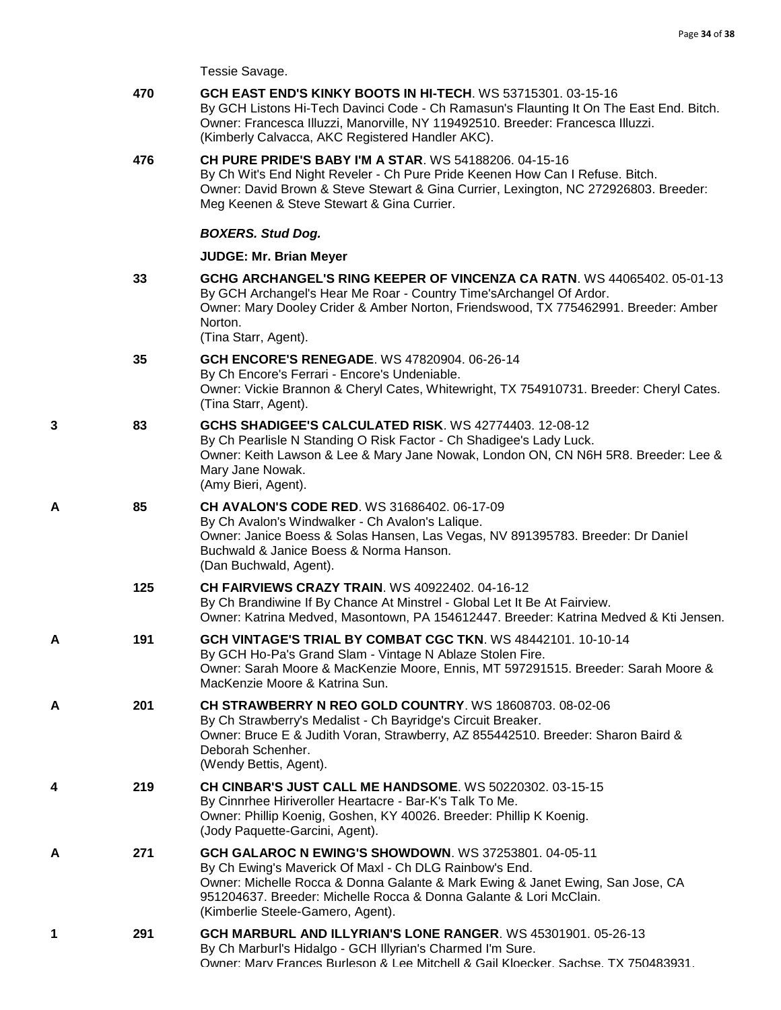Tessie Savage.

|   | 470 | GCH EAST END'S KINKY BOOTS IN HI-TECH. WS 53715301. 03-15-16<br>By GCH Listons Hi-Tech Davinci Code - Ch Ramasun's Flaunting It On The East End. Bitch.<br>Owner: Francesca Illuzzi, Manorville, NY 119492510. Breeder: Francesca Illuzzi.<br>(Kimberly Calvacca, AKC Registered Handler AKC).               |
|---|-----|--------------------------------------------------------------------------------------------------------------------------------------------------------------------------------------------------------------------------------------------------------------------------------------------------------------|
|   | 476 | <b>CH PURE PRIDE'S BABY I'M A STAR. WS 54188206. 04-15-16</b><br>By Ch Wit's End Night Reveler - Ch Pure Pride Keenen How Can I Refuse. Bitch.<br>Owner: David Brown & Steve Stewart & Gina Currier, Lexington, NC 272926803. Breeder:<br>Meg Keenen & Steve Stewart & Gina Currier.                         |
|   |     | <b>BOXERS. Stud Dog.</b>                                                                                                                                                                                                                                                                                     |
|   |     | <b>JUDGE: Mr. Brian Meyer</b>                                                                                                                                                                                                                                                                                |
|   | 33  | GCHG ARCHANGEL'S RING KEEPER OF VINCENZA CA RATN. WS 44065402. 05-01-13<br>By GCH Archangel's Hear Me Roar - Country Time's Archangel Of Ardor.<br>Owner: Mary Dooley Crider & Amber Norton, Friendswood, TX 775462991. Breeder: Amber<br>Norton.<br>(Tina Starr, Agent).                                    |
|   | 35  | <b>GCH ENCORE'S RENEGADE.</b> WS 47820904. 06-26-14<br>By Ch Encore's Ferrari - Encore's Undeniable.<br>Owner: Vickie Brannon & Cheryl Cates, Whitewright, TX 754910731. Breeder: Cheryl Cates.<br>(Tina Starr, Agent).                                                                                      |
| 3 | 83  | GCHS SHADIGEE'S CALCULATED RISK. WS 42774403. 12-08-12<br>By Ch Pearlisle N Standing O Risk Factor - Ch Shadigee's Lady Luck.<br>Owner: Keith Lawson & Lee & Mary Jane Nowak, London ON, CN N6H 5R8. Breeder: Lee &<br>Mary Jane Nowak.<br>(Amy Bieri, Agent).                                               |
| А | 85  | <b>CH AVALON'S CODE RED.</b> WS 31686402. 06-17-09<br>By Ch Avalon's Windwalker - Ch Avalon's Lalique.<br>Owner: Janice Boess & Solas Hansen, Las Vegas, NV 891395783. Breeder: Dr Daniel<br>Buchwald & Janice Boess & Norma Hanson.<br>(Dan Buchwald, Agent).                                               |
|   | 125 | <b>CH FAIRVIEWS CRAZY TRAIN. WS 40922402. 04-16-12</b><br>By Ch Brandiwine If By Chance At Minstrel - Global Let It Be At Fairview.<br>Owner: Katrina Medved, Masontown, PA 154612447. Breeder: Katrina Medved & Kti Jensen.                                                                                 |
| А | 191 | GCH VINTAGE'S TRIAL BY COMBAT CGC TKN. WS 48442101. 10-10-14<br>By GCH Ho-Pa's Grand Slam - Vintage N Ablaze Stolen Fire.<br>Owner: Sarah Moore & MacKenzie Moore, Ennis, MT 597291515. Breeder: Sarah Moore &<br>MacKenzie Moore & Katrina Sun.                                                             |
| А | 201 | <b>CH STRAWBERRY N REO GOLD COUNTRY. WS 18608703, 08-02-06</b><br>By Ch Strawberry's Medalist - Ch Bayridge's Circuit Breaker.<br>Owner: Bruce E & Judith Voran, Strawberry, AZ 855442510. Breeder: Sharon Baird &<br>Deborah Schenher.<br>(Wendy Bettis, Agent).                                            |
| 4 | 219 | <b>CH CINBAR'S JUST CALL ME HANDSOME. WS 50220302. 03-15-15</b><br>By Cinnrhee Hiriveroller Heartacre - Bar-K's Talk To Me.<br>Owner: Phillip Koenig, Goshen, KY 40026. Breeder: Phillip K Koenig.<br>(Jody Paquette-Garcini, Agent).                                                                        |
| A | 271 | GCH GALAROC N EWING'S SHOWDOWN. WS 37253801. 04-05-11<br>By Ch Ewing's Maverick Of Maxl - Ch DLG Rainbow's End.<br>Owner: Michelle Rocca & Donna Galante & Mark Ewing & Janet Ewing, San Jose, CA<br>951204637. Breeder: Michelle Rocca & Donna Galante & Lori McClain.<br>(Kimberlie Steele-Gamero, Agent). |
| 1 | 291 | GCH MARBURL AND ILLYRIAN'S LONE RANGER. WS 45301901. 05-26-13<br>By Ch Marburl's Hidalgo - GCH Illyrian's Charmed I'm Sure.<br>Owner: Mary Frances Burleson & Lee Mitchell & Gail Kloecker, Sachse, TX 750483931                                                                                             |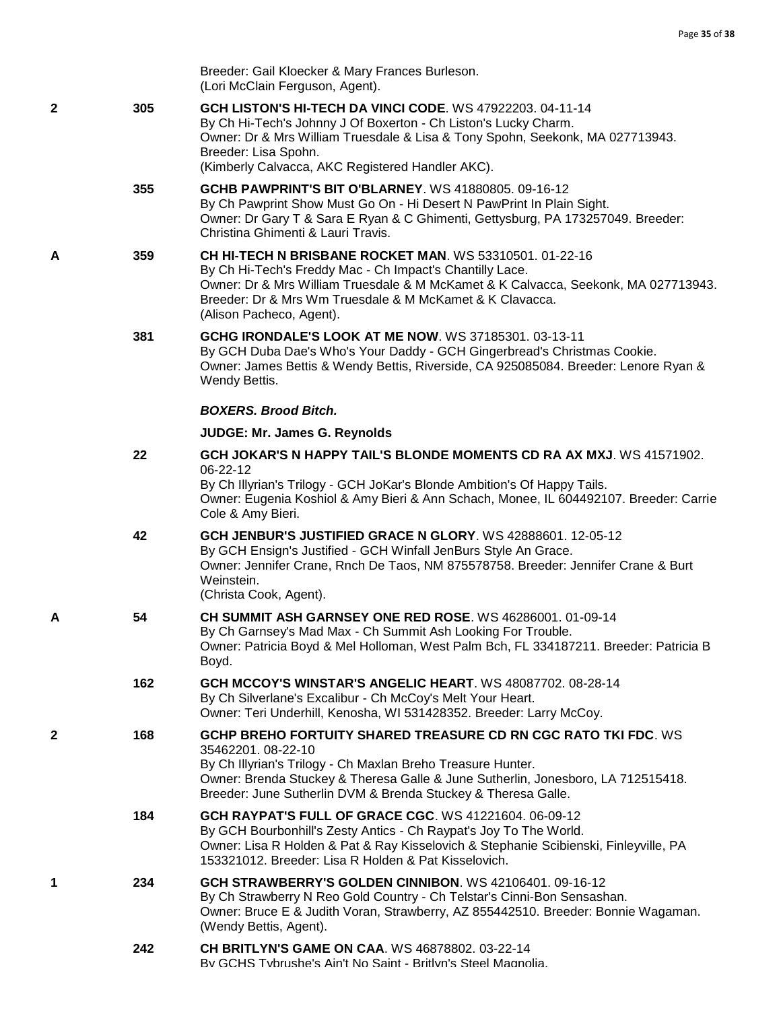|   |     | Breeder: Gail Kloecker & Mary Frances Burleson.<br>(Lori McClain Ferguson, Agent).                                                                                                                                                                                                                       |
|---|-----|----------------------------------------------------------------------------------------------------------------------------------------------------------------------------------------------------------------------------------------------------------------------------------------------------------|
| 2 | 305 | GCH LISTON'S HI-TECH DA VINCI CODE. WS 47922203. 04-11-14<br>By Ch Hi-Tech's Johnny J Of Boxerton - Ch Liston's Lucky Charm.<br>Owner: Dr & Mrs William Truesdale & Lisa & Tony Spohn, Seekonk, MA 027713943.<br>Breeder: Lisa Spohn.                                                                    |
|   |     | (Kimberly Calvacca, AKC Registered Handler AKC).                                                                                                                                                                                                                                                         |
|   | 355 | <b>GCHB PAWPRINT'S BIT O'BLARNEY.</b> WS 41880805. 09-16-12<br>By Ch Pawprint Show Must Go On - Hi Desert N PawPrint In Plain Sight.<br>Owner: Dr Gary T & Sara E Ryan & C Ghimenti, Gettysburg, PA 173257049. Breeder:<br>Christina Ghimenti & Lauri Travis.                                            |
| Α | 359 | <b>CH HI-TECH N BRISBANE ROCKET MAN. WS 53310501. 01-22-16</b><br>By Ch Hi-Tech's Freddy Mac - Ch Impact's Chantilly Lace.<br>Owner: Dr & Mrs William Truesdale & M McKamet & K Calvacca, Seekonk, MA 027713943.<br>Breeder: Dr & Mrs Wm Truesdale & M McKamet & K Clavacca.<br>(Alison Pacheco, Agent). |
|   | 381 | <b>GCHG IRONDALE'S LOOK AT ME NOW. WS 37185301. 03-13-11</b><br>By GCH Duba Dae's Who's Your Daddy - GCH Gingerbread's Christmas Cookie.<br>Owner: James Bettis & Wendy Bettis, Riverside, CA 925085084. Breeder: Lenore Ryan &<br>Wendy Bettis.                                                         |
|   |     | <b>BOXERS. Brood Bitch.</b>                                                                                                                                                                                                                                                                              |
|   |     | JUDGE: Mr. James G. Reynolds                                                                                                                                                                                                                                                                             |
|   | 22  | GCH JOKAR'S N HAPPY TAIL'S BLONDE MOMENTS CD RA AX MXJ. WS 41571902.<br>06-22-12<br>By Ch Illyrian's Trilogy - GCH JoKar's Blonde Ambition's Of Happy Tails.<br>Owner: Eugenia Koshiol & Amy Bieri & Ann Schach, Monee, IL 604492107. Breeder: Carrie<br>Cole & Amy Bieri.                               |
|   | 42  | GCH JENBUR'S JUSTIFIED GRACE N GLORY. WS 42888601. 12-05-12<br>By GCH Ensign's Justified - GCH Winfall JenBurs Style An Grace.<br>Owner: Jennifer Crane, Rnch De Taos, NM 875578758. Breeder: Jennifer Crane & Burt<br>Weinstein.<br>(Christa Cook, Agent).                                              |
| А | 54  | <b>CH SUMMIT ASH GARNSEY ONE RED ROSE. WS 46286001, 01-09-14</b><br>By Ch Garnsey's Mad Max - Ch Summit Ash Looking For Trouble.<br>Owner: Patricia Boyd & Mel Holloman, West Palm Bch, FL 334187211. Breeder: Patricia B<br>Boyd.                                                                       |
|   | 162 | GCH MCCOY'S WINSTAR'S ANGELIC HEART. WS 48087702. 08-28-14<br>By Ch Silverlane's Excalibur - Ch McCoy's Melt Your Heart.<br>Owner: Teri Underhill, Kenosha, WI 531428352. Breeder: Larry McCoy.                                                                                                          |
| 2 | 168 | GCHP BREHO FORTUITY SHARED TREASURE CD RN CGC RATO TKI FDC. WS<br>35462201.08-22-10<br>By Ch Illyrian's Trilogy - Ch Maxlan Breho Treasure Hunter.<br>Owner: Brenda Stuckey & Theresa Galle & June Sutherlin, Jonesboro, LA 712515418.<br>Breeder: June Sutherlin DVM & Brenda Stuckey & Theresa Galle.  |
|   | 184 | <b>GCH RAYPAT'S FULL OF GRACE CGC. WS 41221604, 06-09-12</b><br>By GCH Bourbonhill's Zesty Antics - Ch Raypat's Joy To The World.<br>Owner: Lisa R Holden & Pat & Ray Kisselovich & Stephanie Scibienski, Finleyville, PA<br>153321012. Breeder: Lisa R Holden & Pat Kisselovich.                        |
| 1 | 234 | GCH STRAWBERRY'S GOLDEN CINNIBON. WS 42106401. 09-16-12<br>By Ch Strawberry N Reo Gold Country - Ch Telstar's Cinni-Bon Sensashan.<br>Owner: Bruce E & Judith Voran, Strawberry, AZ 855442510. Breeder: Bonnie Wagaman.<br>(Wendy Bettis, Agent).                                                        |
|   | 242 | <b>CH BRITLYN'S GAME ON CAA. WS 46878802. 03-22-14</b><br>By GCHS Tybrushe's Ain't No Saint - Britlyn's Steel Magnolia                                                                                                                                                                                   |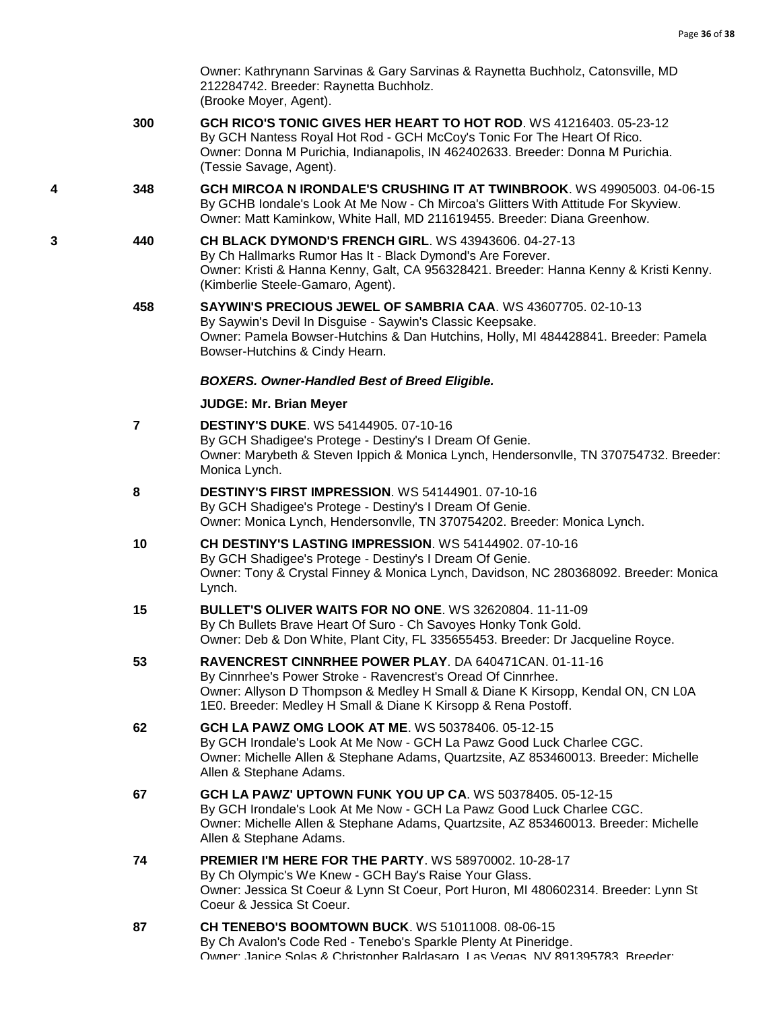Owner: Kathrynann Sarvinas & Gary Sarvinas & Raynetta Buchholz, Catonsville, MD 212284742. Breeder: Raynetta Buchholz. (Brooke Moyer, Agent).

- **300 [GCH RICO'S TONIC GIVES HER HEART TO HOT ROD](http://infodog.com/my/drlookup2.htm?makc=WS%2041216403&mdog=GCH+Rico%27s+Tonic+Gives+Her+Heart+To+Hot+Rod&wins=all)**. WS 41216403. 05-23-12 By GCH Nantess Royal Hot Rod - GCH McCoy's Tonic For The Heart Of Rico. Owner: Donna M Purichia, Indianapolis, IN 462402633. Breeder: Donna M Purichia. (Tessie Savage, Agent).
- **4 348 [GCH MIRCOA N IRONDALE'S CRUSHING IT AT TWINBROOK](http://infodog.com/my/drlookup2.htm?makc=WS%2049905003&mdog=GCH+Mircoa+N+Irondale%27s+Crushing+It+At+Twinbrook&wins=all)**. WS 49905003. 04-06-15 By GCHB Iondale's Look At Me Now - Ch Mircoa's Glitters With Attitude For Skyview. Owner: Matt Kaminkow, White Hall, MD 211619455. Breeder: Diana Greenhow.
- **3 440 [CH BLACK DYMOND'S FRENCH GIRL](http://infodog.com/my/drlookup2.htm?makc=WS%2043943606&mdog=Ch+Black+Dymond%27s+French+Girl&wins=all)**. WS 43943606. 04-27-13 By Ch Hallmarks Rumor Has It - Black Dymond's Are Forever. Owner: Kristi & Hanna Kenny, Galt, CA 956328421. Breeder: Hanna Kenny & Kristi Kenny. (Kimberlie Steele-Gamaro, Agent).
	- **458 [SAYWIN'S PRECIOUS JEWEL OF SAMBRIA CAA](http://infodog.com/my/drlookup2.htm?makc=WS%2043607705&mdog=Saywin%27s+Precious+Jewel+Of+Sambria+CAA&wins=all)**. WS 43607705. 02-10-13 By Saywin's Devil In Disguise - Saywin's Classic Keepsake. Owner: Pamela Bowser-Hutchins & Dan Hutchins, Holly, MI 484428841. Breeder: Pamela Bowser-Hutchins & Cindy Hearn.

## *BOXERS. Owner-Handled Best of Breed Eligible.*

| $\overline{7}$ | <b>DESTINY'S DUKE.</b> WS 54144905, 07-10-16<br>By GCH Shadigee's Protege - Destiny's I Dream Of Genie.<br>Owner: Marybeth & Steven Ippich & Monica Lynch, Hendersonvlle, TN 370754732. Breeder:<br>Monica Lynch.                                                           |
|----------------|-----------------------------------------------------------------------------------------------------------------------------------------------------------------------------------------------------------------------------------------------------------------------------|
| 8              | <b>DESTINY'S FIRST IMPRESSION.</b> WS 54144901, 07-10-16<br>By GCH Shadigee's Protege - Destiny's I Dream Of Genie.<br>Owner: Monica Lynch, Hendersonvlle, TN 370754202. Breeder: Monica Lynch.                                                                             |
| 10             | CH DESTINY'S LASTING IMPRESSION, WS 54144902, 07-10-16<br>By GCH Shadigee's Protege - Destiny's I Dream Of Genie.<br>Owner: Tony & Crystal Finney & Monica Lynch, Davidson, NC 280368092. Breeder: Monica<br>Lynch.                                                         |
| 15             | <b>BULLET'S OLIVER WAITS FOR NO ONE. WS 32620804. 11-11-09</b><br>By Ch Bullets Brave Heart Of Suro - Ch Savoyes Honky Tonk Gold.<br>Owner: Deb & Don White, Plant City, FL 335655453. Breeder: Dr Jacqueline Royce.                                                        |
| 53             | RAVENCREST CINNRHEE POWER PLAY. DA 640471CAN. 01-11-16<br>By Cinnrhee's Power Stroke - Ravencrest's Oread Of Cinnrhee.<br>Owner: Allyson D Thompson & Medley H Small & Diane K Kirsopp, Kendal ON, CN L0A<br>1E0. Breeder: Medley H Small & Diane K Kirsopp & Rena Postoff. |
| 62             | <b>GCH LA PAWZ OMG LOOK AT ME. WS 50378406, 05-12-15</b><br>By GCH Irondale's Look At Me Now - GCH La Pawz Good Luck Charlee CGC.<br>Owner: Michelle Allen & Stephane Adams, Quartzsite, AZ 853460013. Breeder: Michelle<br>Allen & Stephane Adams.                         |
| 67             | <b>GCH LA PAWZ' UPTOWN FUNK YOU UP CA. WS 50378405, 05-12-15</b><br>By GCH Irondale's Look At Me Now - GCH La Pawz Good Luck Charlee CGC.<br>Owner: Michelle Allen & Stephane Adams, Quartzsite, AZ 853460013. Breeder: Michelle<br>Allen & Stephane Adams.                 |
| 74             | <b>PREMIER I'M HERE FOR THE PARTY.</b> WS 58970002, 10-28-17<br>By Ch Olympic's We Knew - GCH Bay's Raise Your Glass.<br>Owner: Jessica St Coeur & Lynn St Coeur, Port Huron, MI 480602314. Breeder: Lynn St<br>Coeur & Jessica St Coeur.                                   |
| 87             | <b>CH TENEBO'S BOOMTOWN BUCK. WS 51011008, 08-06-15</b><br>By Ch Avalon's Code Red - Tenebo's Sparkle Plenty At Pineridge.<br>Owner: Janice Solas & Christopher Baldasaro, Las Vegas, NV 891395783, Breeder:                                                                |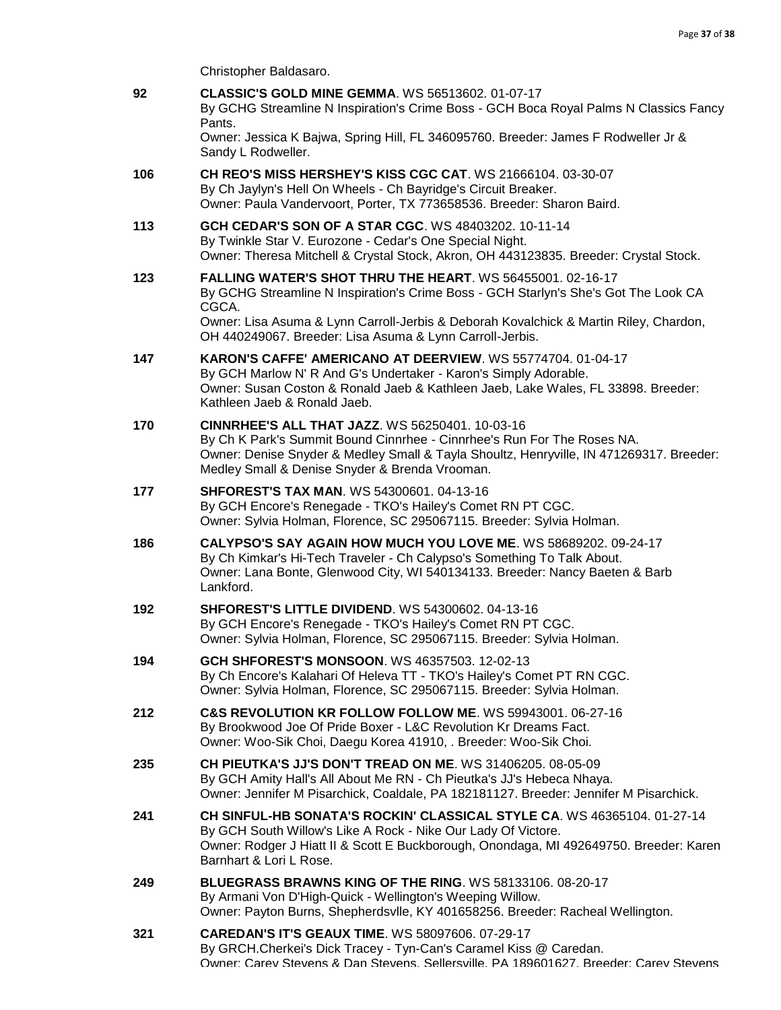Christopher Baldasaro.

| 92  | <b>CLASSIC'S GOLD MINE GEMMA. WS 56513602. 01-07-17</b><br>By GCHG Streamline N Inspiration's Crime Boss - GCH Boca Royal Palms N Classics Fancy<br>Pants.                                                                                                                     |
|-----|--------------------------------------------------------------------------------------------------------------------------------------------------------------------------------------------------------------------------------------------------------------------------------|
|     | Owner: Jessica K Bajwa, Spring Hill, FL 346095760. Breeder: James F Rodweller Jr &<br>Sandy L Rodweller.                                                                                                                                                                       |
| 106 | <b>CH REO'S MISS HERSHEY'S KISS CGC CAT. WS 21666104, 03-30-07</b><br>By Ch Jaylyn's Hell On Wheels - Ch Bayridge's Circuit Breaker.<br>Owner: Paula Vandervoort, Porter, TX 773658536. Breeder: Sharon Baird.                                                                 |
| 113 | <b>GCH CEDAR'S SON OF A STAR CGC. WS 48403202. 10-11-14</b><br>By Twinkle Star V. Eurozone - Cedar's One Special Night.<br>Owner: Theresa Mitchell & Crystal Stock, Akron, OH 443123835. Breeder: Crystal Stock.                                                               |
| 123 | FALLING WATER'S SHOT THRU THE HEART. WS 56455001. 02-16-17<br>By GCHG Streamline N Inspiration's Crime Boss - GCH Starlyn's She's Got The Look CA<br>CGCA.<br>Owner: Lisa Asuma & Lynn Carroll-Jerbis & Deborah Kovalchick & Martin Riley, Chardon,                            |
|     | OH 440249067. Breeder: Lisa Asuma & Lynn Carroll-Jerbis.                                                                                                                                                                                                                       |
| 147 | <b>KARON'S CAFFE' AMERICANO AT DEERVIEW.</b> WS 55774704, 01-04-17<br>By GCH Marlow N' R And G's Undertaker - Karon's Simply Adorable.<br>Owner: Susan Coston & Ronald Jaeb & Kathleen Jaeb, Lake Wales, FL 33898. Breeder:<br>Kathleen Jaeb & Ronald Jaeb.                    |
| 170 | <b>CINNRHEE'S ALL THAT JAZZ. WS 56250401. 10-03-16</b><br>By Ch K Park's Summit Bound Cinnrhee - Cinnrhee's Run For The Roses NA.<br>Owner: Denise Snyder & Medley Small & Tayla Shoultz, Henryville, IN 471269317. Breeder:<br>Medley Small & Denise Snyder & Brenda Vrooman. |
| 177 | <b>SHFOREST'S TAX MAN. WS 54300601. 04-13-16</b><br>By GCH Encore's Renegade - TKO's Hailey's Comet RN PT CGC.<br>Owner: Sylvia Holman, Florence, SC 295067115. Breeder: Sylvia Holman.                                                                                        |
| 186 | CALYPSO'S SAY AGAIN HOW MUCH YOU LOVE ME. WS 58689202. 09-24-17<br>By Ch Kimkar's Hi-Tech Traveler - Ch Calypso's Something To Talk About.<br>Owner: Lana Bonte, Glenwood City, WI 540134133. Breeder: Nancy Baeten & Barb<br>Lankford.                                        |
| 192 | <b>SHFOREST'S LITTLE DIVIDEND.</b> WS 54300602. 04-13-16<br>By GCH Encore's Renegade - TKO's Hailey's Comet RN PT CGC.<br>Owner: Sylvia Holman, Florence, SC 295067115. Breeder: Sylvia Holman.                                                                                |
| 194 | GCH SHFOREST'S MONSOON. WS 46357503. 12-02-13<br>By Ch Encore's Kalahari Of Heleva TT - TKO's Hailey's Comet PT RN CGC.<br>Owner: Sylvia Holman, Florence, SC 295067115. Breeder: Sylvia Holman.                                                                               |
| 212 | C&S REVOLUTION KR FOLLOW FOLLOW ME. WS 59943001. 06-27-16<br>By Brookwood Joe Of Pride Boxer - L&C Revolution Kr Dreams Fact.<br>Owner: Woo-Sik Choi, Daegu Korea 41910, . Breeder: Woo-Sik Choi.                                                                              |
| 235 | CH PIEUTKA'S JJ'S DON'T TREAD ON ME. WS 31406205, 08-05-09<br>By GCH Amity Hall's All About Me RN - Ch Pieutka's JJ's Hebeca Nhaya.<br>Owner: Jennifer M Pisarchick, Coaldale, PA 182181127. Breeder: Jennifer M Pisarchick.                                                   |
| 241 | CH SINFUL-HB SONATA'S ROCKIN' CLASSICAL STYLE CA. WS 46365104. 01-27-14<br>By GCH South Willow's Like A Rock - Nike Our Lady Of Victore.<br>Owner: Rodger J Hiatt II & Scott E Buckborough, Onondaga, MI 492649750. Breeder: Karen<br>Barnhart & Lori L Rose.                  |
| 249 | <b>BLUEGRASS BRAWNS KING OF THE RING. WS 58133106. 08-20-17</b><br>By Armani Von D'High-Quick - Wellington's Weeping Willow.<br>Owner: Payton Burns, Shepherdsvlle, KY 401658256. Breeder: Racheal Wellington.                                                                 |
| 321 | <b>CAREDAN'S IT'S GEAUX TIME. WS 58097606. 07-29-17</b><br>By GRCH.Cherkei's Dick Tracey - Tyn-Can's Caramel Kiss @ Caredan.<br>Owner: Carev Stevens & Dan Stevens, Sellersville, PA 189601627, Breeder: Carev Stevens                                                         |